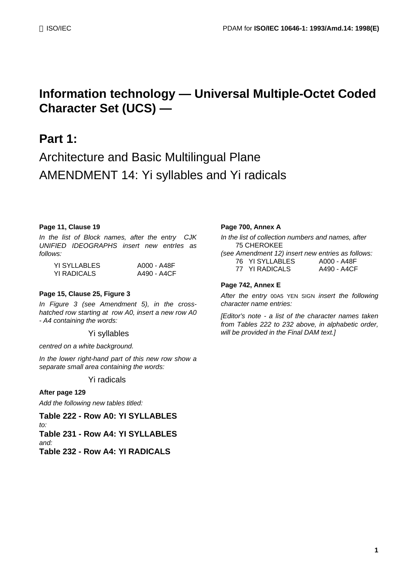# **Information technology — Universal Multiple-Octet Coded Character Set (UCS) —**

# **Part 1:**

# Architecture and Basic Multilingual Plane AMENDMENT 14: Yi syllables and Yi radicals

#### **Page 11, Clause 19**

*In the list of Block names, after the entry CJK UNIFIED IDEOGRAPHS insert new entrIes as follows:*

| YI SYLLABLES | A000 - A48F |
|--------------|-------------|
| YI RADICALS  | A490 - A4CF |

#### **Page 15, Clause 25, Figure 3**

*In Figure 3 (see Amendment 5), in the crosshatched row starting at row A0, insert a new row A0 - A4 containing the words:*

Yi syllables

*centred on a white background.*

*In the lower right-hand part of this new row show a separate small area containing the words:*

Yi radicals

#### **After page 129**

*Add the following new tables titled:*

**Table 222 - Row A0: YI SYLLABLES** *to:* **Table 231 - Row A4: YI SYLLABLES** *and:*

**Table 232 - Row A4: YI RADICALS**

#### **Page 700, Annex A**

*In the list of collection numbers and names, after* 75 CHEROKEE

*(see Amendment 12) insert new entries as follows:* 76 YI SYLLABLES A000 - A48F 77 YI RADICALS A490 - A4CF

#### **Page 742, Annex E**

*After the entry* 00A5 YEN SIGN *insert the following character name entries:*

*[Editor's note - a list of the character names taken from Tables 222 to 232 above, in alphabetic order, will be provided in the Final DAM text.]*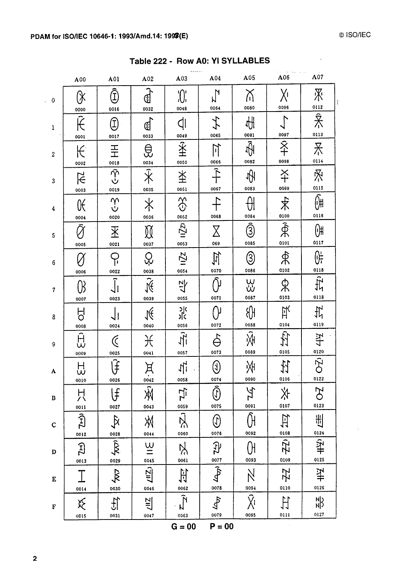$\mathbf{v}$ 

|                        | A00                              | A01                                                                                 | A02                                                  | A03                           | A04                                                                | A05                                         | A06                         | A07                                   |
|------------------------|----------------------------------|-------------------------------------------------------------------------------------|------------------------------------------------------|-------------------------------|--------------------------------------------------------------------|---------------------------------------------|-----------------------------|---------------------------------------|
| $\ddot{\phantom{0}}$ 0 | (X<br>0000                       | $\widehat{\mathbb{D}}$<br>0016                                                      | Œ.<br>0032                                           | $\int_{0}^{1}$<br>0048        | $\mathbf{z}$<br>0064                                               | 0080                                        | χī<br>0096                  | 深<br>0112                             |
| 1                      | Ê<br>0001                        | $\bigoplus$<br>0017                                                                 | ₫<br>0033                                            | $\overline{d}$<br>0049        | 七<br>0065                                                          | ₩<br>0081                                   | $\Gamma$<br>0097            | $\overline{\hat{\mathbf{x}}}$<br>0113 |
| $\boldsymbol{2}$       | K<br>0002                        | $H_{\rm H}$<br>0018                                                                 | ₿<br>0034                                            | $\overline{\hat{*}}$<br>0050  | $\mathbb{H}$<br>0066                                               | $\tilde{\mathbb{H}}$<br>0082                | 。<br>子<br>0098              | 禾<br>0114                             |
| 3                      | $\overline{\mathcal{F}}$<br>0003 | $\widehat{\gamma}$<br>ن<br>0019                                                     | $\overline{\tilde{*}}$<br>0035                       | $\breve{\pm}$<br>0051         | $\hat{+}$<br>0067                                                  | ŀĤ<br>0083                                  | $\breve{+}$<br>0099         | 叉<br>0115                             |
| $\boldsymbol{4}$       | $\mathfrak K$<br>0004            | $\frac{1}{2}$<br>0020                                                               | $\hspace{0.1cm}\not\hspace{0.1cm}\mathbb{X}$<br>0036 | $\Im$<br>0052                 | 0068                                                               | ₩<br>0084                                   | 求<br>0100                   | Ŵ<br>0116                             |
| 5                      | $\tilde{\alpha}$<br>0005         | $\overline{\mathbb{X}}$<br>0021                                                     | $\cancel{\mathbb{N}}$<br>0037                        | $\overline{1}$<br>0053        | $\operatorname{\mathsf{X}}$<br>069                                 | $\widehat{\textcircled{\small{3}}}$<br>0085 | $\hat{\mathcal{R}}$<br>0101 | $\overline{0}$<br>0117                |
| $\boldsymbol{6}$       | 0006                             | ငှ<br>0022                                                                          | 0038                                                 | $\overline{11}$<br>0054       | 宜<br>0070                                                          | $\circledS$<br>0086                         | फ्रै<br>0102                | <u>ed</u><br>0118                     |
| $7\phantom{.}$         | $\emptyset$<br>0007              | $\widehat{\mathcal{J}}_1$<br>0023                                                   | $\tilde{\mathcal{K}}$<br>0039                        | 산<br>0055                     | ÑΙ<br>0071                                                         | w<br>w<br>0087                              | ጵ<br>0103                   | $\frac{1}{2}$<br>0118                 |
| 8                      | Fo<br>0008                       | 0024                                                                                | NÉ<br>0040                                           | স<br>১<br>0056                | N<br>0072                                                          | 8<br>0088                                   | 以<br>0104                   | 计<br>0119                             |
| $\cdot 9$              | Ĥ<br>Ŵ<br>0009                   | $\mathfrak C$<br>0025                                                               | 长<br>0041                                            | $\frac{1}{2}$<br>0057         | $\hat{\Theta}$<br>0073                                             | Ŵ<br>0089                                   | 守<br>0105                   | 4<br>0120                             |
| A                      | 났<br>0010                        | Ĵ<br>0026                                                                           | 月<br>0042                                            | $\frac{1}{2}$<br>0058         | $\bigcirc$<br>0074                                                 | 州<br>0090                                   | 払<br>0106                   | 0Ź<br>0122                            |
| $\, {\bf B}$           | 넜                                | l£<br>0027                                                                          | Ŵ<br>0043                                            | Ξz<br>0059                    | $\widehat{\mathbb{Q}}$<br>0075                                     | УZ<br>У<br>0091                             | 氺<br>0107                   | FO<br>0123                            |
| $\mathbf C$            | 0011<br>$\widehat{\mathcal{D}}$  | $\mathcal{A}$                                                                       | 刈                                                    | Ŗ<br>0060                     | $\left(\!\begin{smallmatrix} 1\ 0\end{smallmatrix}\right)$<br>0076 | 0092                                        | 臼<br>0108                   | 出                                     |
| D                      | 0012<br>$\Xi$                    | 0028<br>$\begin{array}{c}\n\overrightarrow{K}\\ \overrightarrow{O}029\n\end{array}$ | 0044<br>$\underline{\underline{\omega}}$             | Ķ<br>0061                     | 52                                                                 | 0093                                        | 卫<br>0109                   | $rac{0124}{2}$<br>0125                |
| E                      | 0013<br>I                        | $\overline{\mathbf{x}}$                                                             | 0045<br>$\overline{\mathcal{L}^{(1)}_{2}}$           | 古                             | 0077<br>45                                                         |                                             | 圮                           | 计<br>计                                |
| F                      | 0014<br>泛                        | 0030<br>台                                                                           | 0046<br>빌                                            | 0062<br>$\tilde{\mathcal{N}}$ | 0078<br>$\mathcal{L}$                                              | 0094<br>χī                                  | 0110<br>计                   | 0126<br>$rac{N}{N}$                   |
|                        | 0015                             | 0031                                                                                | 0047                                                 | 0063                          | 0079                                                               | 0095                                        | 0111                        | 0127                                  |

Table 222 - Row A0: YI SYLLABLES

 $G = 00$   $P = 00$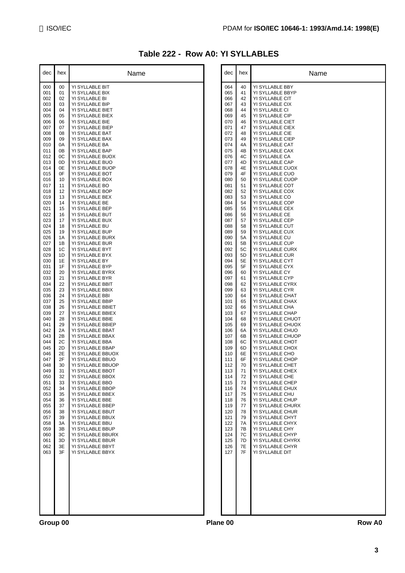| Table 222 - Row A0: YI SYLLABLES |  |  |  |
|----------------------------------|--|--|--|
|----------------------------------|--|--|--|

| dec        | hex      | Name                                   |
|------------|----------|----------------------------------------|
| 000        | 00       | YI SYLLABLE BIT                        |
| 001<br>002 | 01<br>02 | YI SYLLABLE BIX<br>YI SYLLABLE BI      |
| 003        | 03       | YI SYLLABLE BIP                        |
| 004<br>005 | 04<br>05 | YI SYLLABLE BIET<br>YI SYLLABLE BIEX   |
| 006        | 06       | YI SYLLABLE BIE                        |
| 007<br>008 | 07<br>08 | YI SYLLABLE BIEP<br>YI SYLLABLE BAT    |
| 009        | 09       | YI SYLLABLE BAX                        |
| 010<br>011 | 0A<br>0Β | YI SYLLABLE BA<br>YI SYLLABLE BAP      |
| 012        | 0C       | YI SYLLABLE BUOX                       |
| 013<br>014 | 0D<br>0E | YI SYLLABLE BUO<br>YI SYLLABLE BUOP    |
| 015        | 0F       | YI SYLLABLE BOT                        |
| 016        | 10       | YI SYLLABLE BOX                        |
| 017<br>018 | 11<br>12 | YI SYLLABLE BO<br>YI SYLLABLE BOP      |
| 019        | 13       | YI SYLLABLE BEX                        |
| 020<br>021 | 14<br>15 | YI SYLLABLE BE<br>YI SYLLABLE BEP      |
| 022        | 16       | YI SYLLABLE BUT                        |
| 023<br>024 | 17<br>18 | YI SYLLABLE BUX<br>YI SYLLABLE BU      |
| 025        | 19       | YI SYLLABLE BUP                        |
| 026<br>027 | 1Α<br>1Β | YI SYLLABLE BURX<br>YI SYLLABLE BUR    |
| 028        | 1C       | YI SYLLABLE BYT                        |
| 029<br>030 | 1D<br>1E | YI SYLLABLE BYX<br>YI SYLLABLE BY      |
| 031        | 1F       | YI SYLLABLE BYP                        |
| 032<br>033 | 20<br>21 | YI SYLLABLE BYRX<br>YI SYLLABLE BYR    |
| 034        | 22       | YI SYLLABLE BBIT                       |
| 035<br>036 | 23<br>24 | YI SYLLABLE BBIX<br>YI SYLLABLE BBI    |
| 037        | 25       | YI SYLLABLE BBIP                       |
| 038<br>039 | 26<br>27 | YI SYLLABLE BBIET<br>YI SYLLABLE BBIEX |
| 040        | 28       | YI SYLLABLE BBIE                       |
| 041<br>042 | 29<br>2Α | YI SYLLABLE BBIEP<br>YI SYLLABLE BBAT  |
| 043        | 2B       | YI SYLLABLE BBAX                       |
| 044<br>045 | 2C<br>2D | YI SYLLABLE BBA<br>YI SYLLABLE BBAP    |
| 046        | 2Е       | YI SYLLABLE BBUOX                      |
| 047        | 2F       | YI SYLLABLE BBUO                       |
| 048<br>049 | 30<br>31 | YI SYLLABLE BBUOP<br>YI SYLLABLE BBOT  |
| 050        | 32       | YI SYLLABLE BBOX                       |
| 051<br>052 | 33<br>34 | YI SYLLABLE BBO<br>YI SYLLABLE BBOP    |
| 053        | 35       | YI SYLLABLE BBEX                       |
| 054<br>055 | 36<br>37 | YI SYLLABLE BBE<br>YI SYLLABLE BBEP    |
| 056        | 38       | YI SYLLABLE BBUT                       |
| 057<br>058 | 39<br>ЗA | YI SYLLABLE BBUX<br>YI SYLLABLE BBU    |
| 059        | 3B       | YI SYLLABLE BBUP                       |
| 060<br>061 | ЗC<br>3D | YI SYLLABLE BBURX<br>YI SYLLABLE BBUR  |
| 062        | 3E       | YI SYLLABLE BBYT                       |
| 063        | 3F       | YI SYLLABLE BBYX                       |
|            |          |                                        |
|            |          |                                        |
|            |          |                                        |
|            |          |                                        |
|            |          |                                        |
|            |          |                                        |
|            |          |                                        |

| 40<br>YI SYLLABLE BBY<br>064<br>41<br>YI SYLLABLE BBYP<br>065<br>42<br>066<br>YI SYLLABLE CIT<br>43<br>YI SYLLABLE CIX<br>067<br>44<br>YI SYLLABLE CI<br>068<br>45<br>YI SYLLABLE CIP<br>069<br>46<br>YI SYLLABLE CIET<br>070<br>47<br>071<br>YI SYLLABLE CIEX<br>48<br>YI SYLLABLE CIE<br>072<br>49<br>YI SYLLABLE CIEP<br>073<br>4A<br>YI SYLLABLE CAT<br>074<br>4B<br>YI SYLLABLE CAX<br>075<br>4C<br>YI SYLLABLE CA<br>076<br>4D<br>YI SYLLABLE CAP<br>077<br>4Ε<br>YI SYLLABLE CUOX<br>078<br>4F<br>YI SYLLABLE CUO<br>079<br>50<br>YI SYLLABLE CUOP<br>080<br>51<br>YI SYLLABLE COT<br>081<br>52<br>YI SYLLABLE COX<br>082<br>53<br>YI SYLLABLE CO<br>083<br>54<br>YI SYLLABLE COP<br>084<br>55<br>YI SYLLABLE CEX<br>085<br>YI SYLLABLE CE<br>56<br>086<br>YI SYLLABLE CEP<br>087<br>57<br>58<br>YI SYLLABLE CUT<br>088<br>59<br>YI SYLLABLE CUX<br>089<br>5A<br>YI SYLLABLE CU<br>090 |  |
|-----------------------------------------------------------------------------------------------------------------------------------------------------------------------------------------------------------------------------------------------------------------------------------------------------------------------------------------------------------------------------------------------------------------------------------------------------------------------------------------------------------------------------------------------------------------------------------------------------------------------------------------------------------------------------------------------------------------------------------------------------------------------------------------------------------------------------------------------------------------------------------------------|--|
|                                                                                                                                                                                                                                                                                                                                                                                                                                                                                                                                                                                                                                                                                                                                                                                                                                                                                               |  |
|                                                                                                                                                                                                                                                                                                                                                                                                                                                                                                                                                                                                                                                                                                                                                                                                                                                                                               |  |
|                                                                                                                                                                                                                                                                                                                                                                                                                                                                                                                                                                                                                                                                                                                                                                                                                                                                                               |  |
|                                                                                                                                                                                                                                                                                                                                                                                                                                                                                                                                                                                                                                                                                                                                                                                                                                                                                               |  |
|                                                                                                                                                                                                                                                                                                                                                                                                                                                                                                                                                                                                                                                                                                                                                                                                                                                                                               |  |
|                                                                                                                                                                                                                                                                                                                                                                                                                                                                                                                                                                                                                                                                                                                                                                                                                                                                                               |  |
|                                                                                                                                                                                                                                                                                                                                                                                                                                                                                                                                                                                                                                                                                                                                                                                                                                                                                               |  |
|                                                                                                                                                                                                                                                                                                                                                                                                                                                                                                                                                                                                                                                                                                                                                                                                                                                                                               |  |
|                                                                                                                                                                                                                                                                                                                                                                                                                                                                                                                                                                                                                                                                                                                                                                                                                                                                                               |  |
|                                                                                                                                                                                                                                                                                                                                                                                                                                                                                                                                                                                                                                                                                                                                                                                                                                                                                               |  |
|                                                                                                                                                                                                                                                                                                                                                                                                                                                                                                                                                                                                                                                                                                                                                                                                                                                                                               |  |
|                                                                                                                                                                                                                                                                                                                                                                                                                                                                                                                                                                                                                                                                                                                                                                                                                                                                                               |  |
|                                                                                                                                                                                                                                                                                                                                                                                                                                                                                                                                                                                                                                                                                                                                                                                                                                                                                               |  |
|                                                                                                                                                                                                                                                                                                                                                                                                                                                                                                                                                                                                                                                                                                                                                                                                                                                                                               |  |
|                                                                                                                                                                                                                                                                                                                                                                                                                                                                                                                                                                                                                                                                                                                                                                                                                                                                                               |  |
|                                                                                                                                                                                                                                                                                                                                                                                                                                                                                                                                                                                                                                                                                                                                                                                                                                                                                               |  |
|                                                                                                                                                                                                                                                                                                                                                                                                                                                                                                                                                                                                                                                                                                                                                                                                                                                                                               |  |
|                                                                                                                                                                                                                                                                                                                                                                                                                                                                                                                                                                                                                                                                                                                                                                                                                                                                                               |  |
|                                                                                                                                                                                                                                                                                                                                                                                                                                                                                                                                                                                                                                                                                                                                                                                                                                                                                               |  |
| 5Β<br>YI SYLLABLE CUP<br>091                                                                                                                                                                                                                                                                                                                                                                                                                                                                                                                                                                                                                                                                                                                                                                                                                                                                  |  |
| 5С<br>YI SYLLABLE CURX<br>092<br>5D<br>YI SYLLABLE CUR<br>093                                                                                                                                                                                                                                                                                                                                                                                                                                                                                                                                                                                                                                                                                                                                                                                                                                 |  |
| 5Е<br>094<br>YI SYLLABLE CYT                                                                                                                                                                                                                                                                                                                                                                                                                                                                                                                                                                                                                                                                                                                                                                                                                                                                  |  |
| 5F<br>YI SYLLABLE CYX<br>095<br>60<br>YI SYLLABLE CY<br>096                                                                                                                                                                                                                                                                                                                                                                                                                                                                                                                                                                                                                                                                                                                                                                                                                                   |  |
| 097<br>61<br>YI SYLLABLE CYP                                                                                                                                                                                                                                                                                                                                                                                                                                                                                                                                                                                                                                                                                                                                                                                                                                                                  |  |
| 62<br>YI SYLLABLE CYRX<br>098<br>63<br>YI SYLLABLE CYR<br>099                                                                                                                                                                                                                                                                                                                                                                                                                                                                                                                                                                                                                                                                                                                                                                                                                                 |  |
| 64<br>YI SYLLABLE CHAT<br>100                                                                                                                                                                                                                                                                                                                                                                                                                                                                                                                                                                                                                                                                                                                                                                                                                                                                 |  |
| 65<br>YI SYLLABLE CHAX<br>101                                                                                                                                                                                                                                                                                                                                                                                                                                                                                                                                                                                                                                                                                                                                                                                                                                                                 |  |
| 66<br>YI SYLLABLE CHA<br>102<br>67<br>YI SYLLABLE CHAP<br>103                                                                                                                                                                                                                                                                                                                                                                                                                                                                                                                                                                                                                                                                                                                                                                                                                                 |  |
| YI SYLLABLE CHUOT<br>104<br>68                                                                                                                                                                                                                                                                                                                                                                                                                                                                                                                                                                                                                                                                                                                                                                                                                                                                |  |
| 69<br>YI SYLLABLE CHUOX<br>105<br>6A<br>YI SYLLABLE CHUO<br>106                                                                                                                                                                                                                                                                                                                                                                                                                                                                                                                                                                                                                                                                                                                                                                                                                               |  |
| 6B<br>YI SYLLABLE CHUOP<br>107                                                                                                                                                                                                                                                                                                                                                                                                                                                                                                                                                                                                                                                                                                                                                                                                                                                                |  |
| 6C<br>YI SYLLABLE CHOT<br>108<br>109<br>6D<br>YI SYLLABLE CHOX                                                                                                                                                                                                                                                                                                                                                                                                                                                                                                                                                                                                                                                                                                                                                                                                                                |  |
| 6E<br>YI SYLLABLE CHO<br>110                                                                                                                                                                                                                                                                                                                                                                                                                                                                                                                                                                                                                                                                                                                                                                                                                                                                  |  |
| 6F<br>YI SYLLABLE CHOP<br>111<br>112<br>70<br>YI SYLLABLE CHET                                                                                                                                                                                                                                                                                                                                                                                                                                                                                                                                                                                                                                                                                                                                                                                                                                |  |
| YI SYLLABLE CHEX<br>113<br>71                                                                                                                                                                                                                                                                                                                                                                                                                                                                                                                                                                                                                                                                                                                                                                                                                                                                 |  |
| YI SYLLABLE CHE<br>114<br>72                                                                                                                                                                                                                                                                                                                                                                                                                                                                                                                                                                                                                                                                                                                                                                                                                                                                  |  |
| YI SYLLABLE CHEP<br>115<br>73<br>YI SYLLABLE CHUX<br>116<br>74                                                                                                                                                                                                                                                                                                                                                                                                                                                                                                                                                                                                                                                                                                                                                                                                                                |  |
| YI SYLLABLE CHU<br>117<br>75                                                                                                                                                                                                                                                                                                                                                                                                                                                                                                                                                                                                                                                                                                                                                                                                                                                                  |  |
| YI SYLLABLE CHUP<br>118<br>76<br>77<br>YI SYLLABLE CHURX<br>119                                                                                                                                                                                                                                                                                                                                                                                                                                                                                                                                                                                                                                                                                                                                                                                                                               |  |
| YI SYLLABLE CHUR<br>78<br>120                                                                                                                                                                                                                                                                                                                                                                                                                                                                                                                                                                                                                                                                                                                                                                                                                                                                 |  |
| 79<br>YI SYLLABLE CHYT<br>121                                                                                                                                                                                                                                                                                                                                                                                                                                                                                                                                                                                                                                                                                                                                                                                                                                                                 |  |
| 7A<br>YI SYLLABLE CHYX<br>122<br>YI SYLLABLE CHY<br>123<br>7B                                                                                                                                                                                                                                                                                                                                                                                                                                                                                                                                                                                                                                                                                                                                                                                                                                 |  |
| 7C<br>124<br>YI SYLLABLE CHYP                                                                                                                                                                                                                                                                                                                                                                                                                                                                                                                                                                                                                                                                                                                                                                                                                                                                 |  |
| 125<br>7D<br>YI SYLLABLE CHYRX<br>7E<br>YI SYLLABLE CHYR<br>126                                                                                                                                                                                                                                                                                                                                                                                                                                                                                                                                                                                                                                                                                                                                                                                                                               |  |
| 7F<br>YI SYLLABLE DIT<br>127                                                                                                                                                                                                                                                                                                                                                                                                                                                                                                                                                                                                                                                                                                                                                                                                                                                                  |  |
|                                                                                                                                                                                                                                                                                                                                                                                                                                                                                                                                                                                                                                                                                                                                                                                                                                                                                               |  |
|                                                                                                                                                                                                                                                                                                                                                                                                                                                                                                                                                                                                                                                                                                                                                                                                                                                                                               |  |
|                                                                                                                                                                                                                                                                                                                                                                                                                                                                                                                                                                                                                                                                                                                                                                                                                                                                                               |  |
|                                                                                                                                                                                                                                                                                                                                                                                                                                                                                                                                                                                                                                                                                                                                                                                                                                                                                               |  |
|                                                                                                                                                                                                                                                                                                                                                                                                                                                                                                                                                                                                                                                                                                                                                                                                                                                                                               |  |
|                                                                                                                                                                                                                                                                                                                                                                                                                                                                                                                                                                                                                                                                                                                                                                                                                                                                                               |  |
|                                                                                                                                                                                                                                                                                                                                                                                                                                                                                                                                                                                                                                                                                                                                                                                                                                                                                               |  |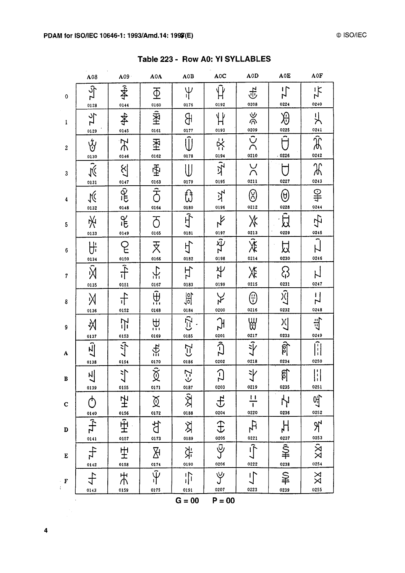|                    | A08                                                                      | A09                                            | A0A                                                  | A0B                               | A0C                                      | A0D                                                                           | A0E                                          | A <sub>OF</sub>                                     |
|--------------------|--------------------------------------------------------------------------|------------------------------------------------|------------------------------------------------------|-----------------------------------|------------------------------------------|-------------------------------------------------------------------------------|----------------------------------------------|-----------------------------------------------------|
| $\pmb{\mathsf{O}}$ | $\frac{2}{7}$<br>0128                                                    | ∯<br>0144                                      | $\overline{\Phi}$<br>0160                            | $\Psi$<br>0176                    | 0192                                     | 乎<br>0208                                                                     | $\frac{1}{2}$<br>0224                        | $\frac{1}{\lambda}$<br>0240                         |
| $\mathbf{1}$       | $\frac{1}{2}$                                                            | <b>≰</b><br>0145                               | 图<br>0161                                            | கி<br>0177                        | $\mathfrak{P}$<br>0193                   | ى<br>ئۆ                                                                       | $\overline{\vartheta}$<br>0225               | 빗<br>0241                                           |
| $\boldsymbol{2}$   | 0129<br>Ý                                                                | $\Rightarrow$                                  | 圣                                                    | $\hat{\mathbb{U}}$<br>0178        | $\ddot{x}$<br>0194                       | $\frac{0209}{\bigcirc}$<br>0210                                               | $\overline{\hat{\sf \Pi}}$<br>$-0226$        | $\overline{\hat{\mathfrak{F}}}$<br>0242             |
| 3                  | 0130<br>$\tilde{\mathcal{M}}$                                            | 0146<br>$\mathfrak{F}$                         | 0162<br>屯                                            | $\bigcup$<br>0179                 | $\frac{1}{2}$<br>0195                    | $\frac{1}{2}$<br>0211                                                         | Π<br>0227                                    | Ж<br>0243                                           |
| 4                  | 0131<br>$\sqrt{\zeta}$                                                   | 0147<br>$\overline{\hat{\mathcal{R}}}$<br>0148 | 0163<br>$\overline{\overline{\overline{C}}}$<br>0164 | ਹਿ<br>0180                        | ユ<br>0196                                | $\circledS$<br>0212                                                           | $\hspace{.1cm} \Theta$<br>0228               | $\frac{1}{2}$<br>0244                               |
| 5                  | 0132<br>圣                                                                | $\tilde{d}$                                    | $\overline{O}$<br>0165                               | 可<br>0181                         | $\lambda$<br>0197                        | $\chi$                                                                        | 良<br>0229                                    | 宁<br>0245                                           |
| 6                  | 0133<br>Uf                                                               | 0149<br>$\overline{E}$                         | 天<br>$rac{0.166}{1}$                                 | 寸                                 | $\vec{\mathfrak{P}}_{\mathbf{Z}}$        | $rac{0213}{x}$<br>0214                                                        | 以<br>0230                                    | 0246                                                |
| $\boldsymbol{7}$   | 0134<br>$\overline{\widehat{\mathsf{M}}}$                                | $\frac{0150}{1}$                               | $\frac{1}{2}$                                        | 0182<br>H                         | 0198<br>子                                | Ӂ                                                                             | <u>ද</u>                                     |                                                     |
| 8                  | 0135<br>Ж                                                                | 0151<br>$\ddot{\tau}$                          | 0167<br>$\hat{\mathbb{H}}$                           | 0183<br>$rac{1}{\sqrt{2}}$        | 0199<br>$\lambda$                        | 0215<br>$\bigoplus$                                                           | 0231<br>$\overline{\widetilde{\mathcal{X}}}$ | 0247<br><u>ا</u><br>سا                              |
| 9                  | 0136<br>义                                                                | 0152<br>宁                                      | 0168<br>₩                                            | 0184<br>$\left( -2 \right)$       | 0200<br>$E_{\mathsf{Z}}$                 | 0216<br>₩                                                                     | 0232<br>시                                    | 0248<br>岢                                           |
| A                  | 0137<br>$\frac{1}{2}$                                                    | 0153<br>$\overline{\mathcal{L}}$               | 0169<br>$\ddot{f}$                                   | 0185<br>$\zeta$ =                 | 0201<br>$\widehat{C}$                    | 0217<br>$\left  \frac{d^{2}}{d} \right $                                      | 0233<br>ଣ୍ଟି                                 | 0249<br>$\left\lVert \cdot \right\rVert$            |
| B                  | 0138<br>$\blacksquare$<br>시                                              | 0154<br>小                                      | 0170<br>$\hat{\times}$<br>义                          | 0186<br>$\zeta$ -2                | 0202<br>$\overline{C}$                   | 0218<br>斗                                                                     | 0234<br>ςγ.<br>ଧ୍ୱ                           | 0250<br>$\begin{bmatrix} 1 \\ 1 \\ 1 \end{bmatrix}$ |
| $\mathbf C$        | 0139<br>ტ                                                                | 0155<br>空                                      | 0171<br>$\widecheck{\mathfrak{A}}$                   | 0187<br>$\frac{\sqrt{2}}{2}$      | 0203<br>士                                | 0219<br>$\overline{11}$<br>$\overline{\mathsf{T}}$                            | 0235<br>Ŋ                                    | 0251<br>년,<br>0252                                  |
| D                  | $\begin{array}{c}\n 0140 \\  \hline\n 1 \\  \hline\n 0141\n \end{array}$ | 0156<br>$\overline{\hat{\pm}}$                 | 0172<br>七<br>广                                       | 0188<br>义                         | 0204<br>$\bigoplus$                      | 0220<br>$\begin{array}{c} \n\pi \text{F} \\ \hline\n\text{0221}\n\end{array}$ | 0236                                         | $\frac{1}{2}$                                       |
| ${\bf E}$          | 4r                                                                       | 0157<br>里                                      | 0173<br>孙                                            | 0189<br>字                         | 0205<br>$\overline{\tilde{\mathcal{Y}}}$ | $\sqrt{\overline{}}$                                                          | 0237<br>$\frac{1}{2}$                        | $rac{0253}{\cancel{X}}$                             |
| $\cdot$ F          | $\frac{0142}{7}$<br>0143                                                 | 0158<br>$\sharp$<br>0159                       | 0174<br>$\hat{\Psi}$<br>0175                         | 0190<br>$\prod_{i=1}^{n}$<br>0191 | 0206<br>$\forall$<br>0207                | 0222<br>$\mathsf{L}$<br>0223                                                  | 0238<br>$\triangleq$<br>0239                 | 0254<br>$\mathbb{X}\mathbb{X}$<br>0255              |

Table 223 - Row A0: YI SYLLABLES

 $G = 00$  $P = 00$ 

0191

0207

0223

0239

0255

 $0159$ 

0175

0143

 $\overline{\mathbf{4}}$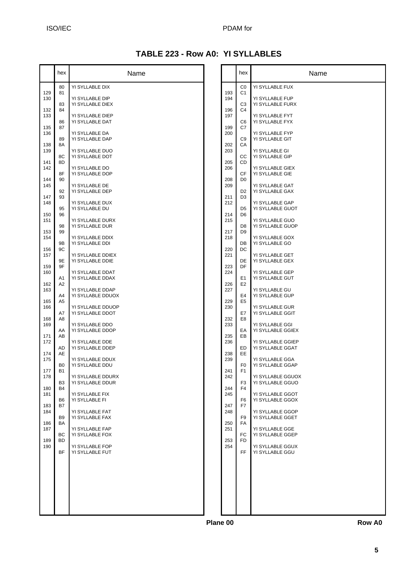#### ISO/IEC PDAM for

### **TABLE 223 - Row A0: YI SYLLABLES**

|            | hex                         | Name                                  |            |
|------------|-----------------------------|---------------------------------------|------------|
| 129        | 80<br>81                    | YI SYLLABLE DIX                       | 193        |
| 130        | 83                          | YI SYLLABLE DIP<br>YI SYLLABLE DIEX   | 194        |
| 132<br>133 | 84<br>86                    | YI SYLLABLE DIEP<br>YI SYLLABLE DAT   | 196<br>197 |
| 135<br>136 | 87                          | YI SYLLABLE DA                        | 199<br>200 |
| 138        | 89<br>8A                    | YI SYLLABLE DAP                       | 202        |
| 139<br>141 | 8С<br>8D                    | YI SYLLABLE DUO<br>YI SYLLABLE DOT    | 203<br>205 |
| 142        | 8F                          | YI SYLLABLE DO<br>YI SYLLABLE DOP     | 206        |
| 144<br>145 | 90<br>92                    | YI SYLLABLE DE<br>YI SYLLABLE DEP     | 208<br>209 |
| 147<br>148 | 93                          | YI SYLLABLE DUX                       | 211<br>212 |
| 150        | 95<br>96                    | YI SYLLABLE DU                        | 214        |
| 151<br>153 | 98<br>99                    | YI SYLLABLE DURX<br>YI SYLLABLE DUR   | 215<br>217 |
| 154        | 9Β                          | YI SYLLABLE DDIX<br>YI SYLLABLE DDI   | 218        |
| 156<br>157 | 9C<br>9Ε                    | YI SYLLABLE DDIEX<br>YI SYLLABLE DDIE | 220<br>221 |
| 159<br>160 | 9F                          | YI SYLLABLE DDAT                      | 223<br>224 |
| 162<br>163 | A1<br>A2                    | YI SYLLABLE DDAX<br>YI SYLLABLE DDAP  | 226        |
| 165        | A4<br>A <sub>5</sub>        | YI SYLLABLE DDUOX                     | 227<br>229 |
| 166        | A7                          | YI SYLLABLE DDUOP<br>YI SYLLABLE DDOT | 230        |
| 168<br>169 | A8<br>AA                    | YI SYLLABLE DDO<br>YI SYLLABLE DDOP   | 232<br>233 |
| 171<br>172 | AB                          | YI SYLLABLE DDE                       | 235<br>236 |
| 174<br>175 | AD<br>AE                    | YI SYLLABLE DDEP<br>YI SYLLABLE DDUX  | 238<br>239 |
| 177        | B0<br>B1                    | YI SYLLABLE DDU                       | 241        |
| 178        | B <sub>3</sub><br><b>B4</b> | YI SYLLABLE DDURX<br>YI SYLLABLE DDUR | 242<br>244 |
| 180<br>181 | B6                          | YI SYLLABLE FIX<br>YI SYLLABLE FI     | 245        |
| 183<br>184 | B7                          | YI SYLLABLE FAT                       | 247<br>248 |
| 186<br>187 | B <sub>9</sub><br>BA        | YI SYLLABLE FAX<br>YI SYLLABLE FAP    | 250<br>251 |
| 189        | BС<br>BD                    | YI SYLLABLE FOX                       | 253        |
| 190        | BF                          | YI SYLLABLE FOP<br>YI SYLLABLE FUT    | 254        |
|            |                             |                                       |            |
|            |                             |                                       |            |
|            |                             |                                       |            |
|            |                             |                                       |            |

|            | hex                  | Name                                |
|------------|----------------------|-------------------------------------|
|            | C0<br>C1             | YI SYLLABLE FUX                     |
| 193<br>194 | CЗ                   | YI SYLLABLE FUP<br>YI SYLLABLE FURX |
| 196        | C4                   | YI SYLLABLE FYT                     |
| 197        | C6                   | YI SYLLABLE FYX                     |
| 199        | C7                   | YI SYLLABLE FYP                     |
| 200        | C9                   | YI SYLLABLE GIT                     |
| 202        | СA                   | YI SYLLABLE GI                      |
| 203        | CС                   | YI SYLLABLE GIP                     |
| 205        | CD                   | YI SYLLABLE GIEX                    |
| 206        | СF                   | YI SYLLABLE GIE                     |
| 208<br>209 | D <sub>0</sub>       | YI SYLLABLE GAT                     |
| 211        | D2                   | YI SYLLABLE GAX                     |
| 212        | D <sub>3</sub>       | YI SYLLABLE GAP                     |
| 214        | D5                   | YI SYLLABLE GUOT                    |
| 215        | D6                   | YI SYLLABLE GUO                     |
| 217        | D8                   | YI SYLLABLE GUOP                    |
| 218        | D <sub>9</sub>       | YI SYLLABLE GOX                     |
| 220        | DB                   | YI SYLLABLE GO                      |
| 221        | DC                   | YI SYLLABLE GET                     |
| 223        | DE                   | YI SYLLABLE GEX                     |
| 224        | DF                   | YI SYLLABLE GEP                     |
| 226        | E1                   | YI SYLLABLE GUT                     |
| 227        | E <sub>2</sub>       | YI SYLLABLE GU                      |
| 229        | E4<br>E <sub>5</sub> | YI SYLLABLE GUP                     |
| 230        | E7                   | YI SYLLABLE GUR                     |
| 232        | E8                   | YI SYLLABLE GGIT                    |
| 233        | EA                   | YI SYLLABLE GGI                     |
| 235        | EВ                   | YI SYLLABLE GGIEX                   |
| 236        | ED                   | YI SYLLABLE GGIEP                   |
| 238        | EE                   | YI SYLLABLE GGAT                    |
| 239        | F0                   | YI SYLLABLE GGA                     |
| 241        | F <sub>1</sub>       | YI SYLLABLE GGAP                    |
| 242        | F3                   | YI SYLLABLE GGUOX                   |
| 244        | F <sub>4</sub>       | YI SYLLABLE GGUO                    |
| 245        | F6                   | YI SYLLABLE GGOT                    |
| 247        | F7                   | YI SYLLABLE GGOX                    |
| 248        | F9                   | YI SYLLABLE GGOP                    |
| 250        | FA                   | YI SYLLABLE GGET                    |
| 251        | FC<br>FD             | YI SYLLABLE GGE<br>YI SYLLABLE GGEP |
| 253<br>254 | FF.                  | YI SYLLABLE GGUX<br>YI SYLLABLE GGU |
|            |                      |                                     |
|            |                      |                                     |
|            |                      |                                     |
|            |                      |                                     |

**Plane 00 Row A0**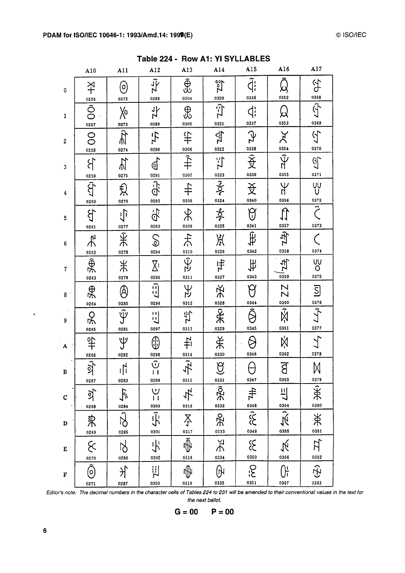|                  | A10                                       | A11                               | A12                                             | A13                                         | A14                              | A15                      | A16                                     | A17                                                                                                                                                                                                                                                                                                                                             |
|------------------|-------------------------------------------|-----------------------------------|-------------------------------------------------|---------------------------------------------|----------------------------------|--------------------------|-----------------------------------------|-------------------------------------------------------------------------------------------------------------------------------------------------------------------------------------------------------------------------------------------------------------------------------------------------------------------------------------------------|
| 0                | 义<br>                                     | $\Theta$<br>0272                  | $\overline{\psi}$<br>0288                       | ⊕<br>0304                                   | $\sqrt{\frac{20}{2}}$<br>0320    | $\widehat{d}$ :<br>0336  | Q<br>0352                               |                                                                                                                                                                                                                                                                                                                                                 |
| $\mathbf{1}$     | $\frac{0256}{\text{O}}$<br>0257           | $\chi_{0}$                        | $\frac{1}{7}$<br>0289                           | $\bigoplus$<br>0305                         | $\vec{Z}$                        | $\ddot{q}$               | ୟ<br>0353                               |                                                                                                                                                                                                                                                                                                                                                 |
| $\boldsymbol{2}$ | O <sub>0258</sub>                         | $\frac{0273}{\pi}$<br>0274        | $ \underline{\tau}_L $<br>0290                  | $\ddagger$                                  | $\frac{1}{\sqrt{2}}$<br>0322     | $\frac{1}{2}$            | $\frac{1}{\sqrt{2}}\sum_{n=0}^{\infty}$ | 守罰守盟行為                                                                                                                                                                                                                                                                                                                                          |
| 3                | $\mathcal{E}$                             | $\frac{1}{2}$<br>0275             | $\mathbb{Q}$<br>0291                            | $\frac{0306}{7}$<br>0307                    | 写                                | 0339                     | 0355                                    | 0371                                                                                                                                                                                                                                                                                                                                            |
| 4                | 0259<br>$\ket{\hat{\mathcal{P}}}$<br>0260 | $\bigoplus_{0276}$                | <b>Q-j</b><br>0292                              | $\ddot{+}$<br>0308                          | $\frac{0323}{2}$<br>0324<br>0324 | $\frac{\text{A}}{20340}$ | УF<br>0356                              | vy<br>U<br>0372                                                                                                                                                                                                                                                                                                                                 |
| 5                | $\sum_{i=1}^{n}$<br>0261                  | $\frac{1}{\sqrt{2}}$<br>0277      | <b>乌·</b><br>0293                               | $\frac{1}{\lambda}$<br>0309                 | $\frac{1}{2}$<br>0325            | $\Theta$<br>0341         | $\mathbb{U}$                            | $\overline{\tilde{\zeta}}$<br>0373                                                                                                                                                                                                                                                                                                              |
| 6                | 大地                                        | 采<br>0278                         | $\mathcal{S}$<br>0294                           | 大<br>0310                                   | 兴<br>0326                        | 有<br>0342                | $\frac{0357}{0358}$                     | $\mathcal{C}_{\mathcal{C}}$<br>0374                                                                                                                                                                                                                                                                                                             |
| $\boldsymbol{7}$ | $rac{0.262}{0.263}$                       | #<br>0279                         | $\overline{\Sigma}$<br>0295                     | स्<br>0311                                  | 中<br>0327                        | $\#$<br>0343             | $\frac{4}{5}$<br>0359                   | $\frac{1}{2}$<br>0375                                                                                                                                                                                                                                                                                                                           |
| 8 <sup>1</sup>   | $\frac{1}{2}$                             | $\bigcircledS$<br>0280            | $\begin{bmatrix} 1 \\ -1 \end{bmatrix}$<br>0296 | ΑÀ<br>0312                                  |                                  | 0344                     | ZZ                                      | $\overline{\mathsf{S}}$                                                                                                                                                                                                                                                                                                                         |
| 9                | $R_{\frac{0265}{}}$                       | $\overline{\hat{\Psi}}$<br>0281   | $\Xi$<br>0297                                   | 马<br>0313                                   | 光。<br>光。                         | Ŝ<br>0345                | $\frac{0360}{\text{N}}$<br>0361         | $rac{0376}{5}$<br>0377                                                                                                                                                                                                                                                                                                                          |
| A                | 의 iss H <sub>S</sub>                      | Y<br>0282                         | ⊕<br>0298                                       | 书                                           | 关<br>0330                        | 0346                     | Ņ<br>0362                               | 0378                                                                                                                                                                                                                                                                                                                                            |
| B                | 0267                                      | $\mathbf{N}$<br>τĮί<br>0283       | $\overline{\hat{v}}$<br>$\mathbf{1}$<br>0299    | $\frac{0314}{7}$<br>0315                    | $\widehat{\mathbf{G}}$<br>0331   | U<br>0347                | ਨ<br>ď<br>0363                          | $\bowtie$                                                                                                                                                                                                                                                                                                                                       |
| $\mathbf C$      | ्री<br>0268                               | 宁<br>0284                         | $\cup$<br>$\mathbf{1}$<br>0300                  | 卡<br>0316                                   | क्रि<br>0332                     |                          | $\frac{11}{2}$                          | $rac{0379}{7}$<br>0380                                                                                                                                                                                                                                                                                                                          |
| $\mathbf D$      | 来<br>0269                                 | $\overline{\vec{\delta}}$<br>0285 | 示<br>0301                                       | $\sum_{i}$<br>0317                          | $rac{1}{2}$                      | $\frac{4\pi}{348}$       | $\frac{0364}{\sqrt{x}}$                 | $\frac{1}{\frac{1}{2}}$                                                                                                                                                                                                                                                                                                                         |
| E                | $\mathcal{S}$<br>0270                     | <b>N</b><br>0286                  | 小<br>0302                                       | $\overline{\hat{\mathbb{P}}}% _{T}$<br>0318 | Ř<br>0334                        | $x^2$                    | $\frac{1}{\sqrt{2}}$                    | $\begin{picture}(20,5) \put(0,0){\line(1,0){155}} \put(15,0){\line(1,0){155}} \put(15,0){\line(1,0){155}} \put(15,0){\line(1,0){155}} \put(15,0){\line(1,0){155}} \put(15,0){\line(1,0){155}} \put(15,0){\line(1,0){155}} \put(15,0){\line(1,0){155}} \put(15,0){\line(1,0){155}} \put(15,0){\line(1,0){155}} \put(15,0){\line(1,0){155}} \put$ |
| F                | $\overline{\widehat{\odot}}$<br>0271      | 丬<br>0287                         | 凹<br>0303                                       | ₩<br>0319                                   | ဖြ<br>0335                       | م.<br>ح<br>0351          | <sub>Or</sub><br>0367                   | $\widehat{\mathfrak{T}}$<br>0383                                                                                                                                                                                                                                                                                                                |

Table 224 - Row A1: YI SYLLABLES

Editor's note: The decimal numbers in the character cells of Tables 224 to 231 will be amended to their conventional values in the text for the next ballot.



 $\hat{\mathbf{r}}$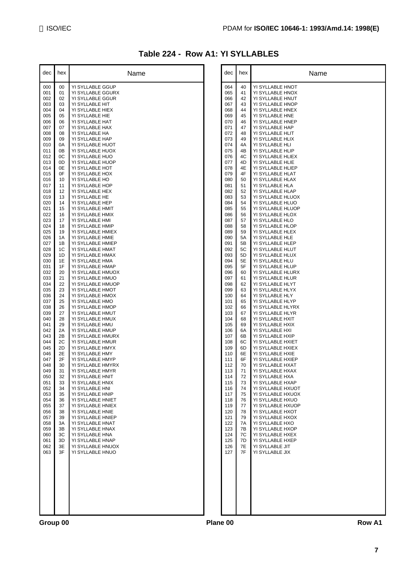### **Table 224 - Row A1: YI SYLLABLES**

| dec        | hex      | Name                                  |          | dec        | hex      | Name                                  |
|------------|----------|---------------------------------------|----------|------------|----------|---------------------------------------|
| 000        | 00       | YI SYLLABLE GGUP                      |          | 064        | 40       | YI SYLLABLE HNOT                      |
| 001        | 01       | YI SYLLABLE GGURX                     |          | 065        | 41       | YI SYLLABLE HNOX                      |
| 002<br>003 | 02<br>03 | YI SYLLABLE GGUR<br>YI SYLLABLE HIT   |          | 066<br>067 | 42<br>43 | YI SYLLABLE HNUT<br>YI SYLLABLE HNOP  |
| 004        | 04       | YI SYLLABLE HIEX                      |          | 068        | 44       | YI SYLLABLE HNEX                      |
| 005        | 05       | YI SYLLABLE HIE                       |          | 069        | 45       | YI SYLLABLE HNE                       |
| 006        | 06       | YI SYLLABLE HAT                       |          | 070        | 46       | YI SYLLABLE HNEP                      |
| 007<br>008 | 07<br>08 | YI SYLLABLE HAX<br>YI SYLLABLE HA     |          | 071<br>072 | 47<br>48 | YI SYLLABLE HAP<br>YI SYLLABLE HLIT   |
| 009        | 09       | YI SYLLABLE HAP                       |          | 073        | 49       | YI SYLLABLE HLIX                      |
| 010        | 0A       | YI SYLLABLE HUOT                      |          | 074        | 4A       | YI SYLLABLE HLI                       |
| 011        | 0B       | YI SYLLABLE HUOX                      |          | 075        | 4B       | YI SYLLABLE HLIP                      |
| 012<br>013 | 0C<br>0D | YI SYLLABLE HUO<br>YI SYLLABLE HUOP   |          | 076<br>077 | 4C<br>4D | YI SYLLABLE HLIEX<br>YI SYLLABLE HLIE |
| 014        | 0E       | YI SYLLABLE HOT                       |          | 078        | 4E       | YI SYLLABLE HLIEP                     |
| 015        | 0F       | YI SYLLABLE HOX                       |          | 079        | 4F       | YI SYLLABLE HLAT                      |
| 016<br>017 | 10       | YI SYLLABLE HO                        |          | 080<br>081 | 50       | YI SYLLABLE HLAX                      |
| 018        | 11<br>12 | YI SYLLABLE HOP<br>YI SYLLABLE HEX    |          | 082        | 51<br>52 | YI SYLLABLE HLA<br>YI SYLLABLE HLAP   |
| 019        | 13       | YI SYLLABLE HE                        |          | 083        | 53       | YI SYLLABLE HLUOX                     |
| 020        | 14       | YI SYLLABLE HEP                       |          | 084        | 54       | YI SYLLABLE HLUO                      |
| 021<br>022 | 15<br>16 | YI SYLLABLE HMIT                      |          | 085<br>086 | 55<br>56 | YI SYLLABLE HLUOP                     |
| 023        | 17       | YI SYLLABLE HMIX<br>YI SYLLABLE HMI   |          | 087        | 57       | YI SYLLABLE HLOX<br>YI SYLLABLE HLO   |
| 024        | 18       | YI SYLLABLE HMIP                      |          | 088        | 58       | YI SYLLABLE HLOP                      |
| 025        | 19       | YI SYLLABLE HMIEX                     |          | 089        | 59       | YI SYLLABLE HLEX                      |
| 026<br>027 | 1A<br>1B | YI SYLLABLE HMIE<br>YI SYLLABLE HMIEP |          | 090<br>091 | 5A<br>5B | YI SYLLABLE HLE<br>YI SYLLABLE HLEP   |
| 028        | 1C       | YI SYLLABLE HMAT                      |          | 092        | 5C       | YI SYLLABLE HLUT                      |
| 029        | 1D       | YI SYLLABLE HMAX                      |          | 093        | 5D       | YI SYLLABLE HLUX                      |
| 030        | 1E       | YI SYLLABLE HMA                       |          | 094        | 5E       | YI SYLLABLE HLU                       |
| 031<br>032 | 1F<br>20 | YI SYLLABLE HMAP<br>YI SYLLABLE HMUOX |          | 095<br>096 | 5F<br>60 | YI SYLLABLE HLUP<br>YI SYLLABLE HLURX |
| 033        | 21       | YI SYLLABLE HMUO                      |          | 097        | 61       | YI SYLLABLE HLUR                      |
| 034        | 22       | YI SYLLABLE HMUOP                     |          | 098        | 62       | YI SYLLABLE HLYT                      |
| 035        | 23       | YI SYLLABLE HMOT                      |          | 099        | 63       | YI SYLLABLE HLYX                      |
| 036<br>037 | 24<br>25 | YI SYLLABLE HMOX<br>YI SYLLABLE HMO   |          | 100<br>101 | 64<br>65 | YI SYLLABLE HLY<br>YI SYLLABLE HLYP   |
| 038        | 26       | YI SYLLABLE HMOP                      |          | 102        | 66       | YI SYLLABLE HLYRX                     |
| 039        | 27       | YI SYLLABLE HMUT                      |          | 103        | 67       | YI SYLLABLE HLYR                      |
| 040        | 28       | YI SYLLABLE HMUX                      |          | 104        | 68       | YI SYLLABLE HXIT                      |
| 041<br>042 | 29<br>2A | YI SYLLABLE HMU<br>YI SYLLABLE HMUP   |          | 105<br>106 | 69<br>6A | YI SYLLABLE HXIX<br>YI SYLLABLE HXI   |
| 043        | 2B       | YI SYLLABLE HMURX                     |          | 107        | 6B       | YI SYLLABLE HXIP                      |
| 044        | 2C       | YI SYLLABLE HMUR                      |          | 108        | 6C       | YI SYLLABLE HXIET                     |
| 045<br>046 | 2D<br>2E | YI SYLLABLE HMYX<br>YI SYLLABLE HMY   |          | 109<br>110 | 6D<br>6E | YI SYLLABLE HXIEX<br>YI SYLLABLE HXIE |
| 047        | 2F       | YI SYLLABLE HMYP                      |          | 111        | 6F       | YI SYLLABLE HXIEP                     |
| 048        | 30       | YI SYLLABLE HMYRX                     |          | 112        | 70       | YI SYLLABLE HXAT                      |
| 049        | 31       | YI SYLLABLE HMYR                      |          | 113        | 71       | YI SYLLABLE HXAX                      |
| 050<br>051 | 32<br>33 | YI SYLLABLE HNIT<br>YI SYLLABLE HNIX  |          | 114<br>115 | 72<br>73 | YI SYLLABLE HXA<br>YI SYLLABLE HXAP   |
| 052        | 34       | YI SYLLABLE HNI                       |          | 116        | 74       | YI SYLLABLE HXUOT                     |
| 053        | 35       | YI SYLLABLE HNIP                      |          | 117        | 75       | YI SYLLABLE HXUOX                     |
| 054        | 36       | YI SYLLABLE HNIET                     |          | 118        | 76       | YI SYLLABLE HXUO<br>YI SYLLABLE HXUOP |
| 055<br>056 | 37<br>38 | YI SYLLABLE HNIEX<br>YI SYLLABLE HNIE |          | 119<br>120 | 77<br>78 | YI SYLLABLE HXOT                      |
| 057        | 39       | YI SYLLABLE HNIEP                     |          | 121        | 79       | YI SYLLABLE HXOX                      |
| 058        | 3A       | YI SYLLABLE HNAT                      |          | 122        | 7A       | YI SYLLABLE HXO                       |
| 059<br>060 | 3B<br>3C | YI SYLLABLE HNAX                      |          | 123<br>124 | 7B<br>7C | YI SYLLABLE HXOP                      |
| 061        | 3D       | YI SYLLABLE HNA<br>YI SYLLABLE HNAP   |          | 125        | 7D       | YI SYLLABLE HXEX<br>YI SYLLABLE HXEP  |
| 062        | 3E       | YI SYLLABLE HNUOX                     |          | 126        | 7E       | YI SYLLABLE JIT                       |
| 063        | 3F       | YI SYLLABLE HNUO                      |          | 127        | 7F       | YI SYLLABLE JIX                       |
|            |          |                                       |          |            |          |                                       |
|            |          |                                       |          |            |          |                                       |
|            |          |                                       |          |            |          |                                       |
|            |          |                                       |          |            |          |                                       |
|            |          |                                       |          |            |          |                                       |
|            |          |                                       |          |            |          |                                       |
|            |          |                                       |          |            |          |                                       |
|            |          |                                       |          |            |          |                                       |
| Group 00   |          |                                       | Plane 00 |            |          | Row A1                                |

| dec        | hex      | Name                                  |
|------------|----------|---------------------------------------|
| 064        | 40       | YI SYLLABLE HNOT                      |
| 065        | 41       | YI SYLLABLE HNOX                      |
| 066<br>067 | 42<br>43 | YI SYLLABLE HNUT<br>YI SYLLABLE HNOP  |
| 068        | 44       | YI SYLLABLE HNEX                      |
| 069        | 45       | YI SYLLABLE HNE                       |
| 070<br>071 | 46<br>47 | YI SYLLABLE HNEP<br>YI SYLLABLE HAP   |
| 072        | 48       | YI SYLLABLE HLIT                      |
| 073        | 49       | YI SYLLABLE HLIX                      |
| 074<br>075 | 4A<br>4B | YI SYLLABLE HLI<br>YI SYLLABLE HLIP   |
| 076        | 4C       | YI SYLLABLE HLIEX                     |
| 077        | 4D       | YI SYLLABLE HLIE                      |
| 078<br>079 | 4E<br>4F | YI SYLLABLE HLIEP<br>YI SYLLABLE HLAT |
| 080        | 50       | YI SYLLABLE HLAX                      |
| 081        | 51       | YI SYLLABLE HLA                       |
| 082<br>083 | 52<br>53 | YI SYLLABLE HLAP<br>YI SYLLABLE HLUOX |
| 084        | 54       | YI SYLLABLE HLUO                      |
| 085        | 55       | YI SYLLABLE HLUOP                     |
| 086<br>087 | 56<br>57 | YI SYLLABLE HLOX<br>YI SYLLABLE HLO   |
| 088        | 58       | YI SYLLABLE HLOP                      |
| 089        | 59       | YI SYLLABLE HLEX                      |
| 090<br>091 | 5A<br>5Β | YI SYLLABLE HLE<br>YI SYLLABLE HLEP   |
| 092        | 5C       | YI SYLLABLE HLUT                      |
| 093        | 5D       | YI SYLLABLE HLUX                      |
| 094<br>095 | 5Ε<br>5F | YI SYLLABLE HLU<br>YI SYLLABLE HLUP   |
| 096        | 60       | YI SYLLABLE HLURX                     |
| 097        | 61       | YI SYLLABLE HLUR                      |
| 098<br>099 | 62<br>63 | YI SYLLABLE HLYT<br>YI SYLLABLE HLYX  |
| 100        | 64       | YI SYLLABLE HLY                       |
| 101        | 65       | YI SYLLABLE HLYP                      |
| 102<br>103 | 66<br>67 | YI SYLLABLE HLYRX<br>YI SYLLABLE HLYR |
| 104        | 68       | YI SYLLABLE HXIT                      |
| 105        | 69       | YI SYLLABLE HXIX                      |
| 106<br>107 | 6A<br>6B | YI SYLLABLE HXI<br>YI SYLLABLE HXIP   |
| 108        | 6C       | YI SYLLABLE HXIET                     |
| 109        | 6D       | YI SYLLABLE HXIEX<br>YI SYLLABLE HXIE |
| 110<br>111 | 6E<br>6F | YI SYLLABLE HXIEP                     |
| 112        | 70       | YI SYLLABLE HXAT                      |
| 113        | 71       | YI SYLLABLE HXAX                      |
| 114<br>115 | 72<br>73 | YI SYLLABLE HXA<br>YI SYLLABLE HXAP   |
| 116        | 74       | YI SYLLABLE HXUOT                     |
| 117<br>118 | 75<br>76 | YI SYLLABLE HXUOX<br>YI SYLLABLE HXUO |
| 119        | 77       | YI SYLLABLE HXUOP                     |
| 120        | 78       | YI SYLLABLE HXOT                      |
| 121        | 79       | YI SYLLABLE HXOX<br>YI SYLLABLE HXO   |
| 122<br>123 | 7A<br>7B | YI SYLLABLE HXOP                      |
| 124        | 7C       | YI SYLLABLE HXEX                      |
| 125<br>126 | 7D<br>7E | YI SYLLABLE HXEP<br>YI SYLLABLE JIT   |
| 127        | 7F       | YI SYLLABLE JIX                       |
|            |          |                                       |
|            |          |                                       |
|            |          |                                       |
|            |          |                                       |
|            |          |                                       |
|            |          |                                       |
|            |          |                                       |
|            |          |                                       |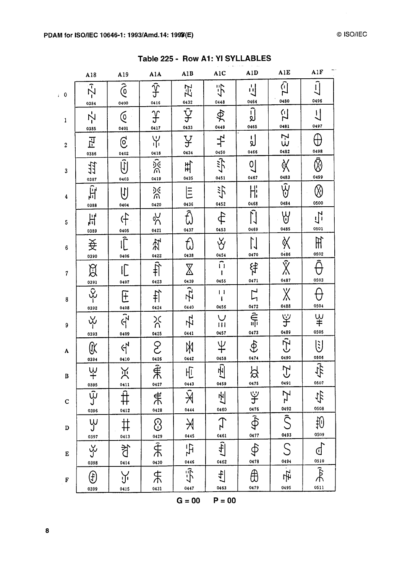| Table 225 - Row A1: YI SYLLABLES |  |  |  |  |
|----------------------------------|--|--|--|--|
|----------------------------------|--|--|--|--|

| $\widehat{E}$<br>$\widehat{\mathfrak{G}}$<br>$\tilde{\mathcal{N}}$<br>Ĵ<br>$\frac{1}{2}$<br>示<br>玘<br>$i=0$<br>0480<br>0464<br>0432<br>0448<br>0416<br>0400<br>0384<br>$\overline{\hat{\mathbf{\mathsf{Y}}}}$<br>ٳۘڔٛ<br>宁<br>Ŕ<br>$\mathfrak{F}$<br>$\overline{\mathsf{C}}$<br>Ņ<br>$\mathbf{1}$<br>0481<br>0433<br>0449<br>0465<br>0417<br>0401<br>0385<br>$\overline{\mathsf{Z}}$ $\overline{\mathsf{S}}$<br>ارا<br>¥<br>弋<br>Ϋ́<br>$\overline{6}$<br>고<br>$\overline{\mathbf{c}}$<br>0482<br>0434<br>0450<br>0466<br>0418<br>0402<br>0386<br>$\frac{1}{26}$<br>$\tilde{f}$<br>$\breve{\mathsf{X}}$<br>$\tilde{\mathbb{U}}$<br>出<br>의<br>轩<br>$\mathbf{3}$<br>0483<br>0467<br>0435<br>0451<br>0419<br>0403<br>0387<br>$\overline{\hat{\mathsf{W}}}$<br>同<br>Hi<br>讣<br>ৡ৻<br>$\overline{\overline{\Xi}}$<br>$\overline{\mathbb{U}}$<br>$\boldsymbol{4}$<br>0484<br>0452<br>0468<br>0436<br>0420<br>0404<br>0388<br>Ĉ<br>$\tilde{\Pi}$<br>Y<br>$\ddot{\mathrm{f}}$<br>4<br>$\frac{1}{2}$<br>부<br>5 | $\hat{a}$<br>0496<br>$\overline{\mathcal{L}}$<br>0497<br>$\oplus$<br>0498<br>$\bar{\textcircled{2}}$<br>0499<br>$\oslash$ |
|------------------------------------------------------------------------------------------------------------------------------------------------------------------------------------------------------------------------------------------------------------------------------------------------------------------------------------------------------------------------------------------------------------------------------------------------------------------------------------------------------------------------------------------------------------------------------------------------------------------------------------------------------------------------------------------------------------------------------------------------------------------------------------------------------------------------------------------------------------------------------------------------------------------------------------------------------------------------------------------------------|---------------------------------------------------------------------------------------------------------------------------|
|                                                                                                                                                                                                                                                                                                                                                                                                                                                                                                                                                                                                                                                                                                                                                                                                                                                                                                                                                                                                      |                                                                                                                           |
|                                                                                                                                                                                                                                                                                                                                                                                                                                                                                                                                                                                                                                                                                                                                                                                                                                                                                                                                                                                                      |                                                                                                                           |
|                                                                                                                                                                                                                                                                                                                                                                                                                                                                                                                                                                                                                                                                                                                                                                                                                                                                                                                                                                                                      |                                                                                                                           |
|                                                                                                                                                                                                                                                                                                                                                                                                                                                                                                                                                                                                                                                                                                                                                                                                                                                                                                                                                                                                      |                                                                                                                           |
|                                                                                                                                                                                                                                                                                                                                                                                                                                                                                                                                                                                                                                                                                                                                                                                                                                                                                                                                                                                                      |                                                                                                                           |
|                                                                                                                                                                                                                                                                                                                                                                                                                                                                                                                                                                                                                                                                                                                                                                                                                                                                                                                                                                                                      | 0500<br>$\frac{1}{2}$                                                                                                     |
| 0485<br>0453<br>0469<br>0437<br>0421<br>0405<br>0389<br>$\overline{\widehat{\mathbb{F}}}$<br>$\forall$<br>≪<br>$\prod_{i=1}^{n}$<br>空<br>妾<br>$\bf 6$                                                                                                                                                                                                                                                                                                                                                                                                                                                                                                                                                                                                                                                                                                                                                                                                                                                | 0501<br>$\mathbb H$                                                                                                       |
| 0486<br>0470<br>0454<br>0422<br>0438<br>0390<br>0406<br>$\hat{\mathsf{X}}$<br>$\hat{\Pi}$<br>守<br>$\hat{\mathrm{H}}$<br>$\overline{L}$<br>ଞ୍ଚ<br>$\overline{\mathbb{X}}$<br>$\overline{\mathcal{U}}$                                                                                                                                                                                                                                                                                                                                                                                                                                                                                                                                                                                                                                                                                                                                                                                                 | 0502<br>م                                                                                                                 |
| 0487<br>0471<br>0439<br>0455<br>0423<br>0391<br>0407                                                                                                                                                                                                                                                                                                                                                                                                                                                                                                                                                                                                                                                                                                                                                                                                                                                                                                                                                 | 0503                                                                                                                      |
| E<br>$\overline{\mathfrak{X}}$<br>$\mathsf{\%}$<br>$\Gamma$<br>$\sharp$<br>$\mathbf{1}$<br>$\mathbb{E}$<br>8<br>0488<br>0472<br>0440<br>0456<br>0408<br>0424<br>0392                                                                                                                                                                                                                                                                                                                                                                                                                                                                                                                                                                                                                                                                                                                                                                                                                                 | 0504                                                                                                                      |
| $\frac{1}{2}$<br>$\overline{\hat{\mathcal{F}}}$<br>Ψ<br>$\bigcup$<br>占<br>Ϋ́<br>$\frac{1}{2}$<br>Ш<br>9<br>0489<br>0473<br>0425<br>0457<br>0441<br>0409<br>0393                                                                                                                                                                                                                                                                                                                                                                                                                                                                                                                                                                                                                                                                                                                                                                                                                                      | $\Psi$<br>0505                                                                                                            |
| $\overline{C}$<br>$\hat{\Phi}$<br>¥<br>ဥ<br>₩<br>$\mathbb{Q}$<br>$\mathfrak{q}$<br>$\cdot$ A<br>0490<br>0474<br>0426<br>0442<br>0458<br>0394<br>0410                                                                                                                                                                                                                                                                                                                                                                                                                                                                                                                                                                                                                                                                                                                                                                                                                                                 | じ<br>0506                                                                                                                 |
| $\overline{\hat{t}}$<br>凸<br>$\mathcal{L}$<br><b>A</b><br>$\Psi$<br>Ж<br>匝<br>禾<br>$\, {\bf B}$<br>0475<br>0491                                                                                                                                                                                                                                                                                                                                                                                                                                                                                                                                                                                                                                                                                                                                                                                                                                                                                      | $\frac{1}{2}$<br>0507                                                                                                     |
| 0427<br>$\frac{0443}{\mathcal{A}}$<br>0459<br>0395<br>U<br>O<br>0396<br>$\begin{array}{c}\n\hline\n\end{array}\n\qquad\n\begin{array}{c}\n\hline\n\end{array}\n\begin{array}{c}\n\hline\n\end{array}$<br>$\mathcal{I}$<br>#<br>上<br>$\mathbf C$                                                                                                                                                                                                                                                                                                                                                                                                                                                                                                                                                                                                                                                                                                                                                      | 守                                                                                                                         |
| $rac{6}{5}$ $rac{47}{9}$ $rac{8}{10}$ $rac{6}{10}$<br>$\frac{0492}{\hat{\zeta}}$<br>0428<br>0444<br>0460<br>0412<br>Y<br>$\uparrow$<br>$\sharp$<br>8<br>$\aleph$<br>$\mathbf D$                                                                                                                                                                                                                                                                                                                                                                                                                                                                                                                                                                                                                                                                                                                                                                                                                      | 0508<br>$\mathbb{G}^{\sharp}$                                                                                             |
| 0493<br>0461<br>0429<br>0445<br>0413<br>$\frac{1}{4}$                                                                                                                                                                                                                                                                                                                                                                                                                                                                                                                                                                                                                                                                                                                                                                                                                                                                                                                                                | 0509                                                                                                                      |
| $\frac{1}{2}$<br>y,<br>S<br>t<br>S<br>丐<br>E<br>0494<br>0414<br>0462<br>0446<br>0398                                                                                                                                                                                                                                                                                                                                                                                                                                                                                                                                                                                                                                                                                                                                                                                                                                                                                                                 | <u>୍</u>                                                                                                                  |
| 玉<br>$\hat{J}$<br>$\frac{4}{\pi}$<br>$\bigoplus$<br>$\frac{44}{5}$<br>Y,<br>$\bigoplus$<br>F<br>0479<br>0495<br>0447<br>0463<br>0431<br>0415<br>0399                                                                                                                                                                                                                                                                                                                                                                                                                                                                                                                                                                                                                                                                                                                                                                                                                                                 | $rac{0510}{20}$                                                                                                           |

 $G = 00$   $P = 00$ 

 $\bf 8$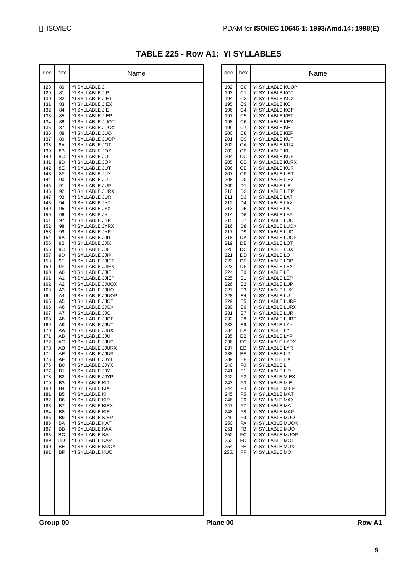## **TABLE 225 - Row A1: YI SYLLABLES**

| dec        | hex                  | Name                                   |
|------------|----------------------|----------------------------------------|
| 128        | 80                   | YI SYLLABLE JI                         |
| 129        | 81                   | YI SYLLABLE JIP                        |
| 130<br>131 | 82<br>83             | YI SYLLABLE JIET<br>YI SYLLABLE JIEX   |
| 132        | 84                   | YI SYLLABLE JIE                        |
| 133        | 85                   | YI SYLLABLE JIEP                       |
| 134        | 86                   | YI SYLLABLE JUOT<br>YI SYLLABLE JUOX   |
| 135<br>136 | 87<br>88             | YI SYLLABLE JUO                        |
| 137        | 89                   | YI SYLLABLE JUOP                       |
| 138        | 8Α                   | YI SYLLABLE JOT<br>YI SYLLABLE JOX     |
| 139<br>140 | 8Β<br>8C             | YI SYLLABLE JO                         |
| 141        | 8D                   | YI SYLLABLE JOP                        |
| 142<br>143 | 8Ε<br>8F             | YI SYLLABLE JUT<br>YI SYLLABLE JUX     |
| 144        | 90                   | YI SYLLABLE JU                         |
| 145        | 91                   | YI SYLLABLE JUP                        |
| 146<br>147 | 92<br>93             | YI SYLLABLE JURX<br>YI SYLLABLE JUR    |
| 148        | 94                   | YI SYLLABLE JYT                        |
| 149        | 95                   | YI SYLLABLE JYX                        |
| 150<br>151 | 96<br>97             | YI SYLLABLE JY<br>YI SYLLABLE JYP      |
| 152        | 98                   | YI SYLLABLE JYRX                       |
| 153        | 99                   | YI SYLLABLE JYR                        |
| 154<br>155 | 9Α<br>9Β             | YI SYLLABLE JJIT<br>YI SYLLABLE JJIX   |
| 156        | 9C                   | YI SYLLABLE JJI                        |
| 157<br>158 | 9D<br>9Ε             | YI SYLLABLE JJIP<br>YI SYLLABLE JJIET  |
| 159        | 9F                   | YI SYLLABLE JJIEX                      |
| 160        | A0                   | YI SYLLABLE JJIE                       |
| 161<br>162 | A1<br>A2             | YI SYLLABLE JJIEP<br>YI SYLLABLE JJUOX |
| 163        | ΑЗ                   | YI SYLLABLE JJUO                       |
| 164        | A4                   | YI SYLLABLE JJUOP                      |
| 165<br>166 | A5<br>A6             | YI SYLLABLE JJOT<br>YI SYLLABLE JJOX   |
| 167        | A7                   | YI SYLLABLE JJO                        |
| 168<br>169 | A8<br>A9             | YI SYLLABLE JJOP<br>YI SYLLABLE JJUT   |
| 170        | AA                   | YI SYLLABLE JJUX                       |
| 171        | AВ                   | YI SYLLABLE JJU                        |
| 172<br>173 | АC<br>AD             | YI SYLLABLE JJUP<br>YI SYLLABLE JJURX  |
| 174        | AЕ                   | YI SYLLABLE JJUR                       |
| 175        | AF                   | YI SYLLABLE JJYT                       |
| 176<br>177 | B0<br>B1             | YI SYLLABLE JJYX<br>YI SYLLABLE JJY    |
| 178        | B <sub>2</sub>       | YI SYLLABLE JJYP                       |
| 179<br>180 | B <sub>3</sub><br>B4 | YI SYLLABLE KIT<br>YI SYLLABLE KIX     |
| 181        | B5                   | YI SYLLABLE KI                         |
| 182        | B6                   | YI SYLLABLE KIP                        |
| 183<br>184 | B7<br>B8             | YI SYLLABLE KIEX<br>YI SYLLABLE KIE    |
| 185        | B9                   | YI SYLLABLE KIEP                       |
| 186        | BA                   | YI SYLLABLE KAT                        |
| 187<br>188 | BB<br>ВC             | YI SYLLABLE KAX<br>YI SYLLABLE KA      |
| 189        | ВD                   | YI SYLLABLE KAP                        |
| 190<br>191 | ВE<br>BF             | YI SYLLABLE KUOX<br>YI SYLLABLE KUO    |
|            |                      |                                        |
|            |                      |                                        |
|            |                      |                                        |
|            |                      |                                        |
|            |                      |                                        |
|            |                      |                                        |
|            |                      |                                        |
|            |                      |                                        |

| dec                                                                                                                                                                                                                                                                                                                                                                                                                                                          | hex                                                                                                                                                                                                                                                                                                                                                                                                                                                                                                                                                          | Name                                                                                                                                                                                                                                                                                                                                                                                                                                                                                                                                                                                                                                                                                                                                                                                                                                                                                                                                                                                                                                                                                                                                                                                                                                                                                         |          | dec                                                                                                                                                                                                                                                                                                                                                                                                                                                           | hex                                                                                                                                                                                                                                                                                                                                                                                                                                                                                                                                                                                                                     | Name                                                                                                                                                                                                                                                                                                                                                                                                                                                                                                                                                                                                                                                                                                                                                                                                                                                                                                                                                                                                                                                                                                                                                                                                                                                               |
|--------------------------------------------------------------------------------------------------------------------------------------------------------------------------------------------------------------------------------------------------------------------------------------------------------------------------------------------------------------------------------------------------------------------------------------------------------------|--------------------------------------------------------------------------------------------------------------------------------------------------------------------------------------------------------------------------------------------------------------------------------------------------------------------------------------------------------------------------------------------------------------------------------------------------------------------------------------------------------------------------------------------------------------|----------------------------------------------------------------------------------------------------------------------------------------------------------------------------------------------------------------------------------------------------------------------------------------------------------------------------------------------------------------------------------------------------------------------------------------------------------------------------------------------------------------------------------------------------------------------------------------------------------------------------------------------------------------------------------------------------------------------------------------------------------------------------------------------------------------------------------------------------------------------------------------------------------------------------------------------------------------------------------------------------------------------------------------------------------------------------------------------------------------------------------------------------------------------------------------------------------------------------------------------------------------------------------------------|----------|---------------------------------------------------------------------------------------------------------------------------------------------------------------------------------------------------------------------------------------------------------------------------------------------------------------------------------------------------------------------------------------------------------------------------------------------------------------|-------------------------------------------------------------------------------------------------------------------------------------------------------------------------------------------------------------------------------------------------------------------------------------------------------------------------------------------------------------------------------------------------------------------------------------------------------------------------------------------------------------------------------------------------------------------------------------------------------------------------|--------------------------------------------------------------------------------------------------------------------------------------------------------------------------------------------------------------------------------------------------------------------------------------------------------------------------------------------------------------------------------------------------------------------------------------------------------------------------------------------------------------------------------------------------------------------------------------------------------------------------------------------------------------------------------------------------------------------------------------------------------------------------------------------------------------------------------------------------------------------------------------------------------------------------------------------------------------------------------------------------------------------------------------------------------------------------------------------------------------------------------------------------------------------------------------------------------------------------------------------------------------------|
| 128<br>129<br>130<br>131<br>132<br>133<br>134<br>135<br>136<br>137<br>138<br>139<br>140<br>141<br>142<br>143<br>144<br>145<br>146<br>147<br>148<br>149<br>150<br>151<br>152<br>153<br>154<br>155<br>156<br>157<br>158<br>159<br>160<br>161<br>162<br>163<br>164<br>165<br>166<br>167<br>168<br>169<br>170<br>171<br>172<br>173<br>174<br>175<br>176<br>177<br>178<br>179<br>180<br>181<br>182<br>183<br>184<br>185<br>186<br>187<br>188<br>189<br>190<br>191 | 80<br>81<br>82<br>83<br>84<br>85<br>86<br>87<br>88<br>89<br>8A<br>8B<br>8C<br>8D<br>8E<br>8F<br>90<br>91<br>92<br>93<br>94<br>95<br>96<br>97<br>98<br>99<br>9A<br>9Β<br>9C<br>9D<br>9E<br>9F<br>A <sub>0</sub><br>A1<br>A2<br>A <sub>3</sub><br>A4<br>A <sub>5</sub><br>A6<br>A7<br>A8<br>A <sub>9</sub><br>AA<br>AB<br>AC<br>AD<br>AE<br>AF<br>B <sub>0</sub><br><b>B1</b><br><b>B2</b><br>B <sub>3</sub><br>B <sub>4</sub><br>B <sub>5</sub><br>B <sub>6</sub><br>B7<br>B <sub>8</sub><br>B <sub>9</sub><br>BA<br>BB<br>ВC<br><b>BD</b><br>BE<br><b>BF</b> | YI SYLLABLE JI<br>YI SYLLABLE JIP<br>YI SYLLABLE JIET<br>YI SYLLABLE JIEX<br>YI SYLLABLE JIE<br>YI SYLLABLE JIEP<br>YI SYLLABLE JUOT<br>YI SYLLABLE JUOX<br>YI SYLLABLE JUO<br>YI SYLLABLE JUOP<br>YI SYLLABLE JOT<br>YI SYLLABLE JOX<br>YI SYLLABLE JO<br>YI SYLLABLE JOP<br>YI SYLLABLE JUT<br>YI SYLLABLE JUX<br>YI SYLLABLE JU<br>YI SYLLABLE JUP<br>YI SYLLABLE JURX<br>YI SYLLABLE JUR<br>YI SYLLABLE JYT<br>YI SYLLABLE JYX<br>YI SYLLABLE JY<br>YI SYLLABLE JYP<br>YI SYLLABLE JYRX<br>YI SYLLABLE JYR<br>YI SYLLABLE JJIT<br>YI SYLLABLE JJIX<br>YI SYLLABLE JJI<br>YI SYLLABLE JJIP<br>YI SYLLABLE JJIET<br>YI SYLLABLE JJIEX<br>YI SYLLABLE JJIE<br>YI SYLLABLE JJIEP<br>YI SYLLABLE JJUOX<br>YI SYLLABLE JJUO<br>YI SYLLABLE JJUOP<br>YI SYLLABLE JJOT<br>YI SYLLABLE JJOX<br>YI SYLLABLE JJO<br>YI SYLLABLE JJOP<br>YI SYLLABLE JJUT<br>YI SYLLABLE JJUX<br>YI SYLLABLE JJU<br>YI SYLLABLE JJUP<br>YI SYLLABLE JJURX<br>YI SYLLABLE JJUR<br>YI SYLLABLE JJYT<br>YI SYLLABLE JJYX<br>YI SYLLABLE JJY<br>YI SYLLABLE JJYP<br>YI SYLLABLE KIT<br>YI SYLLABLE KIX<br>YI SYLLABLE KI<br>YI SYLLABLE KIP<br>YI SYLLABLE KIEX<br>YI SYLLABLE KIE<br>YI SYLLABLE KIEP<br>YI SYLLABLE KAT<br>YI SYLLABLE KAX<br>YI SYLLABLE KA<br>YI SYLLABLE KAP<br>YI SYLLABLE KUOX<br>YI SYLLABLE KUO |          | 192<br>193<br>194<br>195<br>196<br>197<br>198<br>199<br>200<br>201<br>202<br>203<br>204<br>205<br>206<br>207<br>208<br>209<br>210<br>211<br>212<br>213<br>214<br>215<br>216<br>217<br>218<br>219<br>220<br>221<br>222<br>223<br>224<br>225<br>226<br>227<br>228<br>229<br>230<br>231<br>232<br>233<br>234<br>235<br>236<br>237<br>238<br>239<br>240<br>241<br>242<br>243<br>244<br>245<br>246<br>247<br>248<br>249<br>250<br>251<br>252<br>253<br>254<br>255. | C0<br>C <sub>1</sub><br>C <sub>2</sub><br>C <sub>3</sub><br>C4<br>C <sub>5</sub><br>C <sub>6</sub><br>C7<br>C8<br>C <sub>9</sub><br>СA<br>CВ<br>CС<br>CD<br>CЕ<br>СF<br>D <sub>0</sub><br>D1<br>D <sub>2</sub><br>D3<br>D <sub>4</sub><br>D5<br>D6<br>D7<br>D8<br>D9<br>DA<br>DB<br>DC<br>DD<br>DE<br>DF<br>E0<br>E <sub>1</sub><br>E2<br>E <sub>3</sub><br>E4<br>E <sub>5</sub><br>E <sub>6</sub><br>E7<br>E8<br>E9<br>EA<br>EB<br>EC<br>ED<br>EE<br>EF<br>F <sub>0</sub><br>F <sub>1</sub><br>F <sub>2</sub><br>F <sub>3</sub><br>F4<br>F5<br>F6<br>F7<br>F8<br>F9<br>FA<br>FB<br>FC<br><b>FD</b><br>FE.<br><b>FF</b> | YI SYLLABLE KUOP<br>YI SYLLABLE KOT<br>YI SYLLABLE KOX<br>YI SYLLABLE KO<br>YI SYLLABLE KOP<br>YI SYLLABLE KET<br>YI SYLLABLE KEX<br>YI SYLLABLE KE<br>YI SYLLABLE KEP<br>YI SYLLABLE KUT<br>YI SYLLABLE KUX<br>YI SYLLABLE KU<br>YI SYLLABLE KUP<br>YI SYLLABLE KURX<br>YI SYLLABLE KUR<br>YI SYLLABLE LIET<br>YI SYLLABLE LIEX<br>YI SYLLABLE LIE<br>YI SYLLABLE LIEP<br>YI SYLLABLE LAT<br>YI SYLLABLE LAX<br>YI SYLLABLE LA<br>YI SYLLABLE LAP<br>YI SYLLABLE LUOT<br>YI SYLLABLE LUOX<br>YI SYLLABLE LUO<br>YI SYLLABLE LUOP<br>YI SYLLABLE LOT<br>YI SYLLABLE LOX<br>YI SYLLABLE LO<br>YI SYLLABLE LOP<br>YI SYLLABLE LEX<br>YI SYLLABLE LE<br>YI SYLLABLE LEP<br>YI SYLLABLE LUP<br>YI SYLLABLE LUX<br>YI SYLLABLE LU<br>YI SYLLABLE LURP<br>YI SYLLABLE LURX<br>YI SYLLABLE LUR<br>YI SYLLABLE LURT<br>YI SYLLABLE LYX<br>YI SYLLABLE LY<br>YI SYLLABLE LYP<br>YI SYLLABLE LYRX<br>YI SYLLABLE LYR<br>YI SYLLABLE LIT<br>YI SYLLABLE LIX<br>YI SYLLABLE LI<br>YI SYLLABLE LIP<br>YI SYLLABLE MIEX<br>YI SYLLABLE MIE<br>YI SYLLABLE MIEP<br>YI SYLLABLE MAT<br>YI SYLLABLE MAX<br>YI SYLLABLE MA<br>YI SYLLABLE MAP<br>YI SYLLABLE MUOT<br>YI SYLLABLE MUOX<br>YI SYLLABLE MUO<br>YI SYLLABLE MUOP<br>YI SYLLABLE MOT<br>YI SYLLABLE MOX<br>YI SYLLABLE MO |
| Group 00                                                                                                                                                                                                                                                                                                                                                                                                                                                     |                                                                                                                                                                                                                                                                                                                                                                                                                                                                                                                                                              |                                                                                                                                                                                                                                                                                                                                                                                                                                                                                                                                                                                                                                                                                                                                                                                                                                                                                                                                                                                                                                                                                                                                                                                                                                                                                              | Plane 00 |                                                                                                                                                                                                                                                                                                                                                                                                                                                               |                                                                                                                                                                                                                                                                                                                                                                                                                                                                                                                                                                                                                         | Row A1                                                                                                                                                                                                                                                                                                                                                                                                                                                                                                                                                                                                                                                                                                                                                                                                                                                                                                                                                                                                                                                                                                                                                                                                                                                             |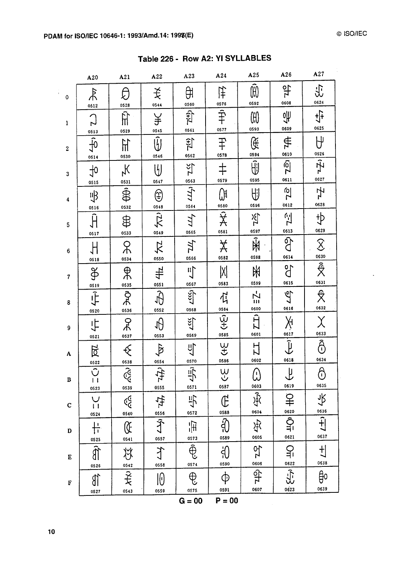$\frac{1}{4}$  .

| Table 226 - Row A2: YI SYLLABLES |  |  |  |
|----------------------------------|--|--|--|
|----------------------------------|--|--|--|

|                  | A20                                             | A21                                            | A22                                       | A23                                   | A24                                   | A25                                   | A26                                                                                                       | A27                                   |
|------------------|-------------------------------------------------|------------------------------------------------|-------------------------------------------|---------------------------------------|---------------------------------------|---------------------------------------|-----------------------------------------------------------------------------------------------------------|---------------------------------------|
| $\pmb{0}$        | $\frac{1}{2}$<br>0512                           | 0528                                           | 关<br>0544                                 | ਸ਼ਿ<br>0560                           | 佯<br>0576                             | $\widehat{H}$<br>0592                 | 악<br>0608                                                                                                 | 忠<br>0624                             |
| $\mathbf{1}$     | C <sub>z</sub>                                  | $\hat{H}$<br>0529                              | $\frac{1}{2}$<br>0545                     | $7(\frac{1}{2})$<br>0561              | $\overline{\hat{\hat{\mp}}}$<br>0577  | 000<br>0593                           | ᢞ<br>0609                                                                                                 | $\frac{1}{2}$<br>0625                 |
| $\boldsymbol{2}$ | $rac{0513}{10}$<br>0514                         | $\mathbb{H}$<br>0530                           | $\overline{\tilde{\mathfrak{y}}}$<br>0546 | $\frac{1}{2}$<br>0562                 | $\overline{\ddagger}$<br>0578         | Œ<br>0594                             | #<br>0610                                                                                                 | $\theta$                              |
| 3                | $\frac{1}{2}$<br>0515                           | $\lambda_{\mathsf{Y}}$<br>0531                 | $\biguplus$<br>0547                       | $= 25$                                | $\ddagger$<br>0579                    | $\hat{\mathbb{H}}$<br>0595            | $\frac{1}{2}$<br>0611                                                                                     | $\frac{1}{2}$<br>0627                 |
| 4                | 导<br>0516                                       | $\frac{1}{\bigoplus_{0.532}^{0.5}}$            | ⊕                                         | $\frac{0563}{2}$<br>0564              | Qн<br>0580                            | 山<br>0596                             | $2\overline{C}$<br>0612                                                                                   | ł<br>0628                             |
| 5                | $\hat{\mathsf{H}}$<br>0517                      | $\bigoplus$<br>0533                            | $\frac{0548}{0549}$                       | Щ,<br>0565                            | $\overline{\hat{\mathsf{X}}}$<br>0581 | $\tilde{\mathbb{R}}$<br>0597          | E <sub>2</sub>                                                                                            | $\overline{\ddot{\psi}}$<br>0629      |
| $\boldsymbol{6}$ | H<br>0518                                       | $\mathcal{R}$<br>0534                          | $\sum_{\text{osso}}$                      | TЛ<br>0566                            | $\cancel{\chi}$<br>0582               | $\overline{\hat{\mathbb{R}}}$<br>0598 | $rac{0613}{9}$<br>0614                                                                                    | $\mathcal{S}$<br>0630                 |
| 7                | 在。宋                                             | $\frac{\Theta}{\Theta}$                        | $+1$                                      | $\prod_{i=1}^{n}$<br>0567             | X <br>0583                            | $\frac{1}{2}$<br>0599                 | 9°<br>0615                                                                                                | $\hat{\vec{\mathsf{X}}}$<br>0631      |
| $\boldsymbol{8}$ | 0520                                            | $rac{0535}{0}$<br>0536                         | $\frac{0551}{\sqrt{1}}$<br>0552           | $L \leq C$<br>0568                    | $\vec{r}$<br>0584                     | $\overline{L}$<br>щj<br>0600          | 49<br>0616                                                                                                | $\frac{\partial}{\partial x}$<br>0632 |
| 9                | 中<br>0521                                       | ይ<br>0537                                      | $\overline{\theta}$<br>0553               | $rac{1}{2}$<br>0569                   | $\overline{\hat{\Psi}}$<br>0585       | $\overline{\hat{H}}$<br>0601          | Ķ                                                                                                         | 0633                                  |
| A                | 区                                               | €                                              | $\oint$                                   | 少                                     | $\frac{\omega}{\omega}$<br>0586       | 0602                                  | $\begin{array}{c}\n\overbrace{\phantom{0}}^{0617} \\ \overbrace{\phantom{0}}^{0617}\n\end{array}$<br>0618 | Â<br>0634                             |
| B                | $\frac{0522}{\sqrt{2}}$<br>$\mathbf{1}$<br>0523 | 0538<br>0539                                   | $\frac{0554}{111}$<br>0555                | $\frac{0570}{2}$<br>0571              | V<br>V<br>0587                        | $\hat{\omega}$<br>0603                | $\overline{\mathsf{L}}$<br>0619                                                                           | $\hat{\Theta}$<br>0635                |
| $\mathbf C$      | $\bigcup$<br>$\mathbf{I}$<br>0524               | $\mathbb{C}^{\mathbb{C}}_{\mathbb{C}}$<br>0540 | 守論                                        | 小<br>0572                             | $\overline{\mathbb{G}}$<br>0588       | 序<br>0604                             | $rac{1}{2}$<br>0620                                                                                       | 永<br>0636                             |
| $\mathbf D$      | 十<br>0525                                       | $\mathbb{Q}$<br>0541                           | 0557                                      | 闸<br>0573                             | $\widehat{\theta}$<br>0589            | 法<br>0605                             | $\frac{1}{2}$<br>0621                                                                                     | $\overline{\hat{H}}$<br>0637          |
| E                | 0526                                            | 兆                                              | グ<br>0558                                 | $\overline{\widehat{\oplus}}$<br>0574 | ှ<br>(၂)<br>0590                      | 52<br>0606                            | $\frac{1}{\sqrt{1}}$                                                                                      | $\frac{1}{2}$<br>0638                 |
| F                | ST)<br>0527                                     | $\frac{0542}{7}$<br>0543                       | 10<br>0559                                | $\bigoplus$<br>0575                   | $\boldsymbol{\varphi}$<br>0591        | 49<br>0607                            | $\frac{0622}{\sqrt{1}}$<br>0623                                                                           | ਉ੦<br>0639                            |
|                  |                                                 |                                                |                                           | $G = 00$                              | $P = 00$                              |                                       |                                                                                                           |                                       |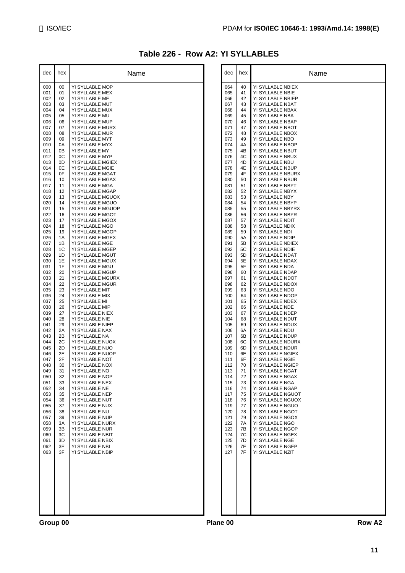### **Table 226 - Row A2: YI SYLLABLES**

| 000<br>00<br>YI SYLLABLE MOP<br>001<br>YI SYLLABLE MEX<br>01<br>YI SYLLABLE ME<br>002<br>02<br>YI SYLLABLE MUT<br>003<br>03<br>004<br>04<br>YI SYLLABLE MUX<br>YI SYLLABLE MU<br>005<br>05<br>YI SYLLABLE MUP<br>006<br>06<br>07<br>YI SYLLABLE MURX<br>007<br>YI SYLLABLE MUR<br>008<br>08<br>YI SYLLABLE MYT<br>009<br>09<br>YI SYLLABLE MYX<br>010<br>0A<br>0Β<br>YI SYLLABLE MY<br>011<br>0C<br>YI SYLLABLE MYP<br>012<br>013<br>0D<br>YI SYLLABLE MGIEX<br>0Ε<br>YI SYLLABLE MGIE<br>014<br>0F<br>YI SYLLABLE MGAT<br>015<br>YI SYLLABLE MGAX<br>016<br>10<br>YI SYLLABLE MGA<br>017<br>11<br>12<br>YI SYLLABLE MGAP<br>018<br>13<br>YI SYLLABLE MGUOX<br>019<br>020<br>YI SYLLABLE MGUO<br>14<br>YI SYLLABLE MGUOP<br>021<br>15<br>YI SYLLABLE MGOT<br>022<br>16<br>YI SYLLABLE MGOX<br>023<br>17<br>YI SYLLABLE MGO<br>024<br>18<br>19<br>YI SYLLABLE MGOP<br>025<br>YI SYLLABLE MGEX<br>026<br>1Α<br>1B<br>YI SYLLABLE MGE<br>027<br>1C<br>YI SYLLABLE MGEP<br>028<br>1D<br>YI SYLLABLE MGUT<br>029<br>030<br>1Ε<br>YI SYLLABLE MGUX<br>1F<br>YI SYLLABLE MGU<br>031<br>032<br>YI SYLLABLE MGUP<br>20<br>033<br>21<br>YI SYLLABLE MGURX<br>22<br>YI SYLLABLE MGUR<br>034<br>035<br>23<br>YI SYLLABLE MIT<br>YI SYLLABLE MIX<br>036<br>24<br>037<br>25<br>YI SYLLABLE MI<br>26<br>YI SYLLABLE MIP<br>038<br>039<br>YI SYLLABLE NIEX<br>27<br>YI SYLLABLE NIE<br>040<br>28<br>29<br>YI SYLLABLE NIEP<br>041<br>2A<br>YI SYLLABLE NAX<br>042<br>2Β<br>YI SYLLABLE NA<br>043<br>044<br>2C<br>YI SYLLABLE NUOX<br>2D<br>YI SYLLABLE NUO<br>045<br>2Ε<br>YI SYLLABLE NUOP<br>046<br>2F<br>YI SYLLABLE NOT<br>047<br>048<br>30<br>YI SYLLABLE NOX<br>049<br>31<br>YI SYI LABI E NO<br>050<br>32<br>YI SYLLABLE NOP<br>051<br>33<br>YI SYLLABLE NEX<br>052<br>34<br>YI SYLLABLE NE<br>YI SYLLABLE NEP<br>053<br>35<br>054<br>36<br>YI SYLLABLE NUT<br>37<br>YI SYLLABLE NUX<br>055<br>YI SYLLABLE NU<br>056<br>38<br>YI SYLLABLE NUP<br>057<br>39<br>058<br>ЗA<br>YI SYLLABLE NURX<br>3B<br>059<br>YI SYLLABLE NUR<br>ЗC<br>YI SYLLABLE NBIT<br>060<br>061<br>3D<br>YI SYLLABLE NBIX<br>062<br>3E<br>YI SYLLABLE NBI<br>3F<br>063<br>YI SYLLABLE NBIP | dec | hex | Name |  |
|-------------------------------------------------------------------------------------------------------------------------------------------------------------------------------------------------------------------------------------------------------------------------------------------------------------------------------------------------------------------------------------------------------------------------------------------------------------------------------------------------------------------------------------------------------------------------------------------------------------------------------------------------------------------------------------------------------------------------------------------------------------------------------------------------------------------------------------------------------------------------------------------------------------------------------------------------------------------------------------------------------------------------------------------------------------------------------------------------------------------------------------------------------------------------------------------------------------------------------------------------------------------------------------------------------------------------------------------------------------------------------------------------------------------------------------------------------------------------------------------------------------------------------------------------------------------------------------------------------------------------------------------------------------------------------------------------------------------------------------------------------------------------------------------------------------------------------------------------------------------------------------------------------------------------------------------------------------------------------------------------------------------------------------------------------------------------------------------------------------------------------------------------------|-----|-----|------|--|
|                                                                                                                                                                                                                                                                                                                                                                                                                                                                                                                                                                                                                                                                                                                                                                                                                                                                                                                                                                                                                                                                                                                                                                                                                                                                                                                                                                                                                                                                                                                                                                                                                                                                                                                                                                                                                                                                                                                                                                                                                                                                                                                                                       |     |     |      |  |
|                                                                                                                                                                                                                                                                                                                                                                                                                                                                                                                                                                                                                                                                                                                                                                                                                                                                                                                                                                                                                                                                                                                                                                                                                                                                                                                                                                                                                                                                                                                                                                                                                                                                                                                                                                                                                                                                                                                                                                                                                                                                                                                                                       |     |     |      |  |
|                                                                                                                                                                                                                                                                                                                                                                                                                                                                                                                                                                                                                                                                                                                                                                                                                                                                                                                                                                                                                                                                                                                                                                                                                                                                                                                                                                                                                                                                                                                                                                                                                                                                                                                                                                                                                                                                                                                                                                                                                                                                                                                                                       |     |     |      |  |
|                                                                                                                                                                                                                                                                                                                                                                                                                                                                                                                                                                                                                                                                                                                                                                                                                                                                                                                                                                                                                                                                                                                                                                                                                                                                                                                                                                                                                                                                                                                                                                                                                                                                                                                                                                                                                                                                                                                                                                                                                                                                                                                                                       |     |     |      |  |
|                                                                                                                                                                                                                                                                                                                                                                                                                                                                                                                                                                                                                                                                                                                                                                                                                                                                                                                                                                                                                                                                                                                                                                                                                                                                                                                                                                                                                                                                                                                                                                                                                                                                                                                                                                                                                                                                                                                                                                                                                                                                                                                                                       |     |     |      |  |
|                                                                                                                                                                                                                                                                                                                                                                                                                                                                                                                                                                                                                                                                                                                                                                                                                                                                                                                                                                                                                                                                                                                                                                                                                                                                                                                                                                                                                                                                                                                                                                                                                                                                                                                                                                                                                                                                                                                                                                                                                                                                                                                                                       |     |     |      |  |
|                                                                                                                                                                                                                                                                                                                                                                                                                                                                                                                                                                                                                                                                                                                                                                                                                                                                                                                                                                                                                                                                                                                                                                                                                                                                                                                                                                                                                                                                                                                                                                                                                                                                                                                                                                                                                                                                                                                                                                                                                                                                                                                                                       |     |     |      |  |
|                                                                                                                                                                                                                                                                                                                                                                                                                                                                                                                                                                                                                                                                                                                                                                                                                                                                                                                                                                                                                                                                                                                                                                                                                                                                                                                                                                                                                                                                                                                                                                                                                                                                                                                                                                                                                                                                                                                                                                                                                                                                                                                                                       |     |     |      |  |
|                                                                                                                                                                                                                                                                                                                                                                                                                                                                                                                                                                                                                                                                                                                                                                                                                                                                                                                                                                                                                                                                                                                                                                                                                                                                                                                                                                                                                                                                                                                                                                                                                                                                                                                                                                                                                                                                                                                                                                                                                                                                                                                                                       |     |     |      |  |
|                                                                                                                                                                                                                                                                                                                                                                                                                                                                                                                                                                                                                                                                                                                                                                                                                                                                                                                                                                                                                                                                                                                                                                                                                                                                                                                                                                                                                                                                                                                                                                                                                                                                                                                                                                                                                                                                                                                                                                                                                                                                                                                                                       |     |     |      |  |
|                                                                                                                                                                                                                                                                                                                                                                                                                                                                                                                                                                                                                                                                                                                                                                                                                                                                                                                                                                                                                                                                                                                                                                                                                                                                                                                                                                                                                                                                                                                                                                                                                                                                                                                                                                                                                                                                                                                                                                                                                                                                                                                                                       |     |     |      |  |
|                                                                                                                                                                                                                                                                                                                                                                                                                                                                                                                                                                                                                                                                                                                                                                                                                                                                                                                                                                                                                                                                                                                                                                                                                                                                                                                                                                                                                                                                                                                                                                                                                                                                                                                                                                                                                                                                                                                                                                                                                                                                                                                                                       |     |     |      |  |
|                                                                                                                                                                                                                                                                                                                                                                                                                                                                                                                                                                                                                                                                                                                                                                                                                                                                                                                                                                                                                                                                                                                                                                                                                                                                                                                                                                                                                                                                                                                                                                                                                                                                                                                                                                                                                                                                                                                                                                                                                                                                                                                                                       |     |     |      |  |
|                                                                                                                                                                                                                                                                                                                                                                                                                                                                                                                                                                                                                                                                                                                                                                                                                                                                                                                                                                                                                                                                                                                                                                                                                                                                                                                                                                                                                                                                                                                                                                                                                                                                                                                                                                                                                                                                                                                                                                                                                                                                                                                                                       |     |     |      |  |
|                                                                                                                                                                                                                                                                                                                                                                                                                                                                                                                                                                                                                                                                                                                                                                                                                                                                                                                                                                                                                                                                                                                                                                                                                                                                                                                                                                                                                                                                                                                                                                                                                                                                                                                                                                                                                                                                                                                                                                                                                                                                                                                                                       |     |     |      |  |
|                                                                                                                                                                                                                                                                                                                                                                                                                                                                                                                                                                                                                                                                                                                                                                                                                                                                                                                                                                                                                                                                                                                                                                                                                                                                                                                                                                                                                                                                                                                                                                                                                                                                                                                                                                                                                                                                                                                                                                                                                                                                                                                                                       |     |     |      |  |
|                                                                                                                                                                                                                                                                                                                                                                                                                                                                                                                                                                                                                                                                                                                                                                                                                                                                                                                                                                                                                                                                                                                                                                                                                                                                                                                                                                                                                                                                                                                                                                                                                                                                                                                                                                                                                                                                                                                                                                                                                                                                                                                                                       |     |     |      |  |
|                                                                                                                                                                                                                                                                                                                                                                                                                                                                                                                                                                                                                                                                                                                                                                                                                                                                                                                                                                                                                                                                                                                                                                                                                                                                                                                                                                                                                                                                                                                                                                                                                                                                                                                                                                                                                                                                                                                                                                                                                                                                                                                                                       |     |     |      |  |
|                                                                                                                                                                                                                                                                                                                                                                                                                                                                                                                                                                                                                                                                                                                                                                                                                                                                                                                                                                                                                                                                                                                                                                                                                                                                                                                                                                                                                                                                                                                                                                                                                                                                                                                                                                                                                                                                                                                                                                                                                                                                                                                                                       |     |     |      |  |
|                                                                                                                                                                                                                                                                                                                                                                                                                                                                                                                                                                                                                                                                                                                                                                                                                                                                                                                                                                                                                                                                                                                                                                                                                                                                                                                                                                                                                                                                                                                                                                                                                                                                                                                                                                                                                                                                                                                                                                                                                                                                                                                                                       |     |     |      |  |
|                                                                                                                                                                                                                                                                                                                                                                                                                                                                                                                                                                                                                                                                                                                                                                                                                                                                                                                                                                                                                                                                                                                                                                                                                                                                                                                                                                                                                                                                                                                                                                                                                                                                                                                                                                                                                                                                                                                                                                                                                                                                                                                                                       |     |     |      |  |
|                                                                                                                                                                                                                                                                                                                                                                                                                                                                                                                                                                                                                                                                                                                                                                                                                                                                                                                                                                                                                                                                                                                                                                                                                                                                                                                                                                                                                                                                                                                                                                                                                                                                                                                                                                                                                                                                                                                                                                                                                                                                                                                                                       |     |     |      |  |
|                                                                                                                                                                                                                                                                                                                                                                                                                                                                                                                                                                                                                                                                                                                                                                                                                                                                                                                                                                                                                                                                                                                                                                                                                                                                                                                                                                                                                                                                                                                                                                                                                                                                                                                                                                                                                                                                                                                                                                                                                                                                                                                                                       |     |     |      |  |
|                                                                                                                                                                                                                                                                                                                                                                                                                                                                                                                                                                                                                                                                                                                                                                                                                                                                                                                                                                                                                                                                                                                                                                                                                                                                                                                                                                                                                                                                                                                                                                                                                                                                                                                                                                                                                                                                                                                                                                                                                                                                                                                                                       |     |     |      |  |
|                                                                                                                                                                                                                                                                                                                                                                                                                                                                                                                                                                                                                                                                                                                                                                                                                                                                                                                                                                                                                                                                                                                                                                                                                                                                                                                                                                                                                                                                                                                                                                                                                                                                                                                                                                                                                                                                                                                                                                                                                                                                                                                                                       |     |     |      |  |
|                                                                                                                                                                                                                                                                                                                                                                                                                                                                                                                                                                                                                                                                                                                                                                                                                                                                                                                                                                                                                                                                                                                                                                                                                                                                                                                                                                                                                                                                                                                                                                                                                                                                                                                                                                                                                                                                                                                                                                                                                                                                                                                                                       |     |     |      |  |
|                                                                                                                                                                                                                                                                                                                                                                                                                                                                                                                                                                                                                                                                                                                                                                                                                                                                                                                                                                                                                                                                                                                                                                                                                                                                                                                                                                                                                                                                                                                                                                                                                                                                                                                                                                                                                                                                                                                                                                                                                                                                                                                                                       |     |     |      |  |
|                                                                                                                                                                                                                                                                                                                                                                                                                                                                                                                                                                                                                                                                                                                                                                                                                                                                                                                                                                                                                                                                                                                                                                                                                                                                                                                                                                                                                                                                                                                                                                                                                                                                                                                                                                                                                                                                                                                                                                                                                                                                                                                                                       |     |     |      |  |
|                                                                                                                                                                                                                                                                                                                                                                                                                                                                                                                                                                                                                                                                                                                                                                                                                                                                                                                                                                                                                                                                                                                                                                                                                                                                                                                                                                                                                                                                                                                                                                                                                                                                                                                                                                                                                                                                                                                                                                                                                                                                                                                                                       |     |     |      |  |
|                                                                                                                                                                                                                                                                                                                                                                                                                                                                                                                                                                                                                                                                                                                                                                                                                                                                                                                                                                                                                                                                                                                                                                                                                                                                                                                                                                                                                                                                                                                                                                                                                                                                                                                                                                                                                                                                                                                                                                                                                                                                                                                                                       |     |     |      |  |
|                                                                                                                                                                                                                                                                                                                                                                                                                                                                                                                                                                                                                                                                                                                                                                                                                                                                                                                                                                                                                                                                                                                                                                                                                                                                                                                                                                                                                                                                                                                                                                                                                                                                                                                                                                                                                                                                                                                                                                                                                                                                                                                                                       |     |     |      |  |
|                                                                                                                                                                                                                                                                                                                                                                                                                                                                                                                                                                                                                                                                                                                                                                                                                                                                                                                                                                                                                                                                                                                                                                                                                                                                                                                                                                                                                                                                                                                                                                                                                                                                                                                                                                                                                                                                                                                                                                                                                                                                                                                                                       |     |     |      |  |
|                                                                                                                                                                                                                                                                                                                                                                                                                                                                                                                                                                                                                                                                                                                                                                                                                                                                                                                                                                                                                                                                                                                                                                                                                                                                                                                                                                                                                                                                                                                                                                                                                                                                                                                                                                                                                                                                                                                                                                                                                                                                                                                                                       |     |     |      |  |
|                                                                                                                                                                                                                                                                                                                                                                                                                                                                                                                                                                                                                                                                                                                                                                                                                                                                                                                                                                                                                                                                                                                                                                                                                                                                                                                                                                                                                                                                                                                                                                                                                                                                                                                                                                                                                                                                                                                                                                                                                                                                                                                                                       |     |     |      |  |
|                                                                                                                                                                                                                                                                                                                                                                                                                                                                                                                                                                                                                                                                                                                                                                                                                                                                                                                                                                                                                                                                                                                                                                                                                                                                                                                                                                                                                                                                                                                                                                                                                                                                                                                                                                                                                                                                                                                                                                                                                                                                                                                                                       |     |     |      |  |
|                                                                                                                                                                                                                                                                                                                                                                                                                                                                                                                                                                                                                                                                                                                                                                                                                                                                                                                                                                                                                                                                                                                                                                                                                                                                                                                                                                                                                                                                                                                                                                                                                                                                                                                                                                                                                                                                                                                                                                                                                                                                                                                                                       |     |     |      |  |
|                                                                                                                                                                                                                                                                                                                                                                                                                                                                                                                                                                                                                                                                                                                                                                                                                                                                                                                                                                                                                                                                                                                                                                                                                                                                                                                                                                                                                                                                                                                                                                                                                                                                                                                                                                                                                                                                                                                                                                                                                                                                                                                                                       |     |     |      |  |
|                                                                                                                                                                                                                                                                                                                                                                                                                                                                                                                                                                                                                                                                                                                                                                                                                                                                                                                                                                                                                                                                                                                                                                                                                                                                                                                                                                                                                                                                                                                                                                                                                                                                                                                                                                                                                                                                                                                                                                                                                                                                                                                                                       |     |     |      |  |
|                                                                                                                                                                                                                                                                                                                                                                                                                                                                                                                                                                                                                                                                                                                                                                                                                                                                                                                                                                                                                                                                                                                                                                                                                                                                                                                                                                                                                                                                                                                                                                                                                                                                                                                                                                                                                                                                                                                                                                                                                                                                                                                                                       |     |     |      |  |
|                                                                                                                                                                                                                                                                                                                                                                                                                                                                                                                                                                                                                                                                                                                                                                                                                                                                                                                                                                                                                                                                                                                                                                                                                                                                                                                                                                                                                                                                                                                                                                                                                                                                                                                                                                                                                                                                                                                                                                                                                                                                                                                                                       |     |     |      |  |
|                                                                                                                                                                                                                                                                                                                                                                                                                                                                                                                                                                                                                                                                                                                                                                                                                                                                                                                                                                                                                                                                                                                                                                                                                                                                                                                                                                                                                                                                                                                                                                                                                                                                                                                                                                                                                                                                                                                                                                                                                                                                                                                                                       |     |     |      |  |
|                                                                                                                                                                                                                                                                                                                                                                                                                                                                                                                                                                                                                                                                                                                                                                                                                                                                                                                                                                                                                                                                                                                                                                                                                                                                                                                                                                                                                                                                                                                                                                                                                                                                                                                                                                                                                                                                                                                                                                                                                                                                                                                                                       |     |     |      |  |
|                                                                                                                                                                                                                                                                                                                                                                                                                                                                                                                                                                                                                                                                                                                                                                                                                                                                                                                                                                                                                                                                                                                                                                                                                                                                                                                                                                                                                                                                                                                                                                                                                                                                                                                                                                                                                                                                                                                                                                                                                                                                                                                                                       |     |     |      |  |
|                                                                                                                                                                                                                                                                                                                                                                                                                                                                                                                                                                                                                                                                                                                                                                                                                                                                                                                                                                                                                                                                                                                                                                                                                                                                                                                                                                                                                                                                                                                                                                                                                                                                                                                                                                                                                                                                                                                                                                                                                                                                                                                                                       |     |     |      |  |
|                                                                                                                                                                                                                                                                                                                                                                                                                                                                                                                                                                                                                                                                                                                                                                                                                                                                                                                                                                                                                                                                                                                                                                                                                                                                                                                                                                                                                                                                                                                                                                                                                                                                                                                                                                                                                                                                                                                                                                                                                                                                                                                                                       |     |     |      |  |
|                                                                                                                                                                                                                                                                                                                                                                                                                                                                                                                                                                                                                                                                                                                                                                                                                                                                                                                                                                                                                                                                                                                                                                                                                                                                                                                                                                                                                                                                                                                                                                                                                                                                                                                                                                                                                                                                                                                                                                                                                                                                                                                                                       |     |     |      |  |
|                                                                                                                                                                                                                                                                                                                                                                                                                                                                                                                                                                                                                                                                                                                                                                                                                                                                                                                                                                                                                                                                                                                                                                                                                                                                                                                                                                                                                                                                                                                                                                                                                                                                                                                                                                                                                                                                                                                                                                                                                                                                                                                                                       |     |     |      |  |
|                                                                                                                                                                                                                                                                                                                                                                                                                                                                                                                                                                                                                                                                                                                                                                                                                                                                                                                                                                                                                                                                                                                                                                                                                                                                                                                                                                                                                                                                                                                                                                                                                                                                                                                                                                                                                                                                                                                                                                                                                                                                                                                                                       |     |     |      |  |
|                                                                                                                                                                                                                                                                                                                                                                                                                                                                                                                                                                                                                                                                                                                                                                                                                                                                                                                                                                                                                                                                                                                                                                                                                                                                                                                                                                                                                                                                                                                                                                                                                                                                                                                                                                                                                                                                                                                                                                                                                                                                                                                                                       |     |     |      |  |
|                                                                                                                                                                                                                                                                                                                                                                                                                                                                                                                                                                                                                                                                                                                                                                                                                                                                                                                                                                                                                                                                                                                                                                                                                                                                                                                                                                                                                                                                                                                                                                                                                                                                                                                                                                                                                                                                                                                                                                                                                                                                                                                                                       |     |     |      |  |
|                                                                                                                                                                                                                                                                                                                                                                                                                                                                                                                                                                                                                                                                                                                                                                                                                                                                                                                                                                                                                                                                                                                                                                                                                                                                                                                                                                                                                                                                                                                                                                                                                                                                                                                                                                                                                                                                                                                                                                                                                                                                                                                                                       |     |     |      |  |

| dec                                                                                                                                                                                                                                                                                                                                                                                                                                                          | hex                                                                                                                                                                                                                                                                                                                                                                                          | Name                                                                                                                                                                                                                                                                                                                                                                                                                                                                                                                                                                                                                                                                                                                                                                                                                                                                                                                                                                                                                                                                                                                                                                                                                                                                                |          | dec                                                                                                                                                                                                                                                                                                                                                                                                                                                          | hex                                                                                                                                                                                                                                                                                                                                                                                          | Name                                                                                                                                                                                                                                                                                                                                                                                                                                                                                                                                                                                                                                                                                                                                                                                                                                                                                                                                                                                                                                                                                                                                                                                                                                                                                                                       |
|--------------------------------------------------------------------------------------------------------------------------------------------------------------------------------------------------------------------------------------------------------------------------------------------------------------------------------------------------------------------------------------------------------------------------------------------------------------|----------------------------------------------------------------------------------------------------------------------------------------------------------------------------------------------------------------------------------------------------------------------------------------------------------------------------------------------------------------------------------------------|-------------------------------------------------------------------------------------------------------------------------------------------------------------------------------------------------------------------------------------------------------------------------------------------------------------------------------------------------------------------------------------------------------------------------------------------------------------------------------------------------------------------------------------------------------------------------------------------------------------------------------------------------------------------------------------------------------------------------------------------------------------------------------------------------------------------------------------------------------------------------------------------------------------------------------------------------------------------------------------------------------------------------------------------------------------------------------------------------------------------------------------------------------------------------------------------------------------------------------------------------------------------------------------|----------|--------------------------------------------------------------------------------------------------------------------------------------------------------------------------------------------------------------------------------------------------------------------------------------------------------------------------------------------------------------------------------------------------------------------------------------------------------------|----------------------------------------------------------------------------------------------------------------------------------------------------------------------------------------------------------------------------------------------------------------------------------------------------------------------------------------------------------------------------------------------|----------------------------------------------------------------------------------------------------------------------------------------------------------------------------------------------------------------------------------------------------------------------------------------------------------------------------------------------------------------------------------------------------------------------------------------------------------------------------------------------------------------------------------------------------------------------------------------------------------------------------------------------------------------------------------------------------------------------------------------------------------------------------------------------------------------------------------------------------------------------------------------------------------------------------------------------------------------------------------------------------------------------------------------------------------------------------------------------------------------------------------------------------------------------------------------------------------------------------------------------------------------------------------------------------------------------------|
| 000<br>001<br>002<br>003<br>004<br>005<br>006<br>007<br>008<br>009<br>010<br>011<br>012<br>013<br>014<br>015<br>016<br>017<br>018<br>019<br>020<br>021<br>022<br>023<br>024<br>025<br>026<br>027<br>028<br>029<br>030<br>031<br>032<br>033<br>034<br>035<br>036<br>037<br>038<br>039<br>040<br>041<br>042<br>043<br>044<br>045<br>046<br>047<br>048<br>049<br>050<br>051<br>052<br>053<br>054<br>055<br>056<br>057<br>058<br>059<br>060<br>061<br>062<br>063 | 00<br>01<br>02<br>03<br>04<br>05<br>06<br>07<br>08<br>09<br>0A<br>0B<br>0C<br>0D<br>0E<br>0F<br>10<br>11<br>12<br>13<br>14<br>15<br>16<br>17<br>18<br>19<br>1A<br>1B<br>1C<br>1D<br>1E<br>1F<br>20<br>21<br>22<br>23<br>24<br>25<br>26<br>27<br>28<br>29<br>2A<br>2B<br>2C<br>2D<br>2E<br>2F<br>30<br>31<br>32<br>33<br>34<br>35<br>36<br>37<br>38<br>39<br>3A<br>3B<br>3C<br>3D<br>3E<br>3F | YI SYLLABLE MOP<br>YI SYLLABLE MEX<br>YI SYLLABLE ME<br>YI SYLLABLE MUT<br>YI SYLLABLE MUX<br>YI SYLLABLE MU<br>YI SYLLABLE MUP<br>YI SYLLABLE MURX<br>YI SYLLABLE MUR<br>YI SYLLABLE MYT<br>YI SYLLABLE MYX<br>YI SYLLABLE MY<br>YI SYLLABLE MYP<br>YI SYLLABLE MGIEX<br>YI SYLLABLE MGIE<br>YI SYLLABLE MGAT<br>YI SYLLABLE MGAX<br>YI SYLLABLE MGA<br>YI SYLLABLE MGAP<br>YI SYLLABLE MGUOX<br>YI SYLLABLE MGUO<br>YI SYLLABLE MGUOP<br>YI SYLLABLE MGOT<br>YI SYLLABLE MGOX<br>YI SYLLABLE MGO<br>YI SYLLABLE MGOP<br>YI SYLLABLE MGEX<br>YI SYLLABLE MGE<br>YI SYLLABLE MGEP<br>YI SYLLABLE MGUT<br>YI SYLLABLE MGUX<br>YI SYLLABLE MGU<br>YI SYLLABLE MGUP<br>YI SYLLABLE MGURX<br>YI SYLLABLE MGUR<br>YI SYLLABLE MIT<br>YI SYLLABLE MIX<br>YI SYLLABLE MI<br>YI SYLLABLE MIP<br>YI SYLLABLE NIEX<br>YI SYLLABLE NIE<br>YI SYLLABLE NIEP<br>YI SYLLABLE NAX<br>YI SYLLABLE NA<br>YI SYLLABLE NUOX<br>YI SYLLABLE NUO<br>YI SYLLABLE NUOP<br>YI SYLLABLE NOT<br>YI SYLLABLE NOX<br>YI SYLLABLE NO<br>YI SYLLABLE NOP<br>YI SYLLABLE NEX<br>YI SYLLABLE NE<br>YI SYLLABLE NEP<br>YI SYLLABLE NUT<br>YI SYLLABLE NUX<br>YI SYLLABLE NU<br>YI SYLLABLE NUP<br>YI SYLLABLE NURX<br>YI SYLLABLE NUR<br>YI SYLLABLE NBIT<br>YI SYLLABLE NBIX<br>YI SYLLABLE NBI<br>YI SYLLABLE NBIP |          | 064<br>065<br>066<br>067<br>068<br>069<br>070<br>071<br>072<br>073<br>074<br>075<br>076<br>077<br>078<br>079<br>080<br>081<br>082<br>083<br>084<br>085<br>086<br>087<br>088<br>089<br>090<br>091<br>092<br>093<br>094<br>095<br>096<br>097<br>098<br>099<br>100<br>101<br>102<br>103<br>104<br>105<br>106<br>107<br>108<br>109<br>110<br>111<br>112<br>113<br>114<br>115<br>116<br>117<br>118<br>119<br>120<br>121<br>122<br>123<br>124<br>125<br>126<br>127 | 40<br>41<br>42<br>43<br>44<br>45<br>46<br>47<br>48<br>49<br>4A<br>4B<br>4C<br>4D<br>4E<br>4F<br>50<br>51<br>52<br>53<br>54<br>55<br>56<br>57<br>58<br>59<br>5A<br>5B<br>5C<br>5D<br>5E<br>5F<br>60<br>61<br>62<br>63<br>64<br>65<br>66<br>67<br>68<br>69<br>6A<br>6B<br>6C<br>6D<br>6E<br>6F<br>70<br>71<br>72<br>73<br>74<br>75<br>76<br>77<br>78<br>79<br>7Α<br>7B<br>7C<br>7D<br>7E<br>7F | YI SYLLABLE NBIEX<br>YI SYLLABLE NBIE<br>YI SYLLABLE NBIEP<br>YI SYLLABLE NBAT<br>YI SYLLABLE NBAX<br>YI SYLLABLE NBA<br>YI SYLLABLE NBAP<br>YI SYLLABLE NBOT<br>YI SYLLABLE NBOX<br>YI SYLLABLE NBO<br>YI SYLLABLE NBOP<br>YI SYLLABLE NBUT<br>YI SYLLABLE NBUX<br>YI SYLLABLE NBU<br>YI SYLLABLE NBUP<br>YI SYLLABLE NBURX<br>YI SYLLABLE NBUR<br>YI SYLLABLE NBYT<br>YI SYLLABLE NBYX<br>YI SYLLABLE NBY<br>YI SYLLABLE NBYP<br>YI SYLLABLE NBYRX<br>YI SYLLABLE NBYR<br>YI SYLLABLE NDIT<br>YI SYLLABLE NDIX<br>YI SYLLABLE NDI<br>YI SYLLABLE NDIP<br>YI SYLLABLE NDIEX<br>YI SYLLABLE NDIE<br>YI SYLLABLE NDAT<br>YI SYLLABLE NDAX<br>YI SYLLABLE NDA<br>YI SYLLABLE NDAP<br>YI SYLLABLE NDOT<br>YI SYLLABLE NDOX<br>YI SYLLABLE NDO<br>YI SYLLABLE NDOP<br>YI SYLLABLE NDEX<br>YI SYLLABLE NDE<br>YI SYLLABLE NDEP<br>YI SYLLABLE NDUT<br>YI SYLLABLE NDUX<br>YI SYLLABLE NDU<br>YI SYLLABLE NDUP<br>YI SYLLABLE NDURX<br>YI SYLLABLE NDUR<br>YI SYLLABLE NGIEX<br>YI SYLLABLE NGIE<br>YI SYLLABLE NGIEP<br>YI SYLLABLE NGAT<br>YI SYLLABLE NGAX<br>YI SYLLABLE NGA<br>YI SYLLABLE NGAP<br>YI SYLLABLE NGUOT<br>YI SYLLABLE NGUOX<br>YI SYLLABLE NGUO<br>YI SYLLABLE NGOT<br>YI SYLLABLE NGOX<br>YI SYLLABLE NGO<br>YI SYLLABLE NGOP<br>YI SYLLABLE NGEX<br>YI SYLLABLE NGE<br>YI SYLLABLE NGEP<br>YI SYLLABLE NZIT |
| Group 00                                                                                                                                                                                                                                                                                                                                                                                                                                                     |                                                                                                                                                                                                                                                                                                                                                                                              |                                                                                                                                                                                                                                                                                                                                                                                                                                                                                                                                                                                                                                                                                                                                                                                                                                                                                                                                                                                                                                                                                                                                                                                                                                                                                     | Plane 00 |                                                                                                                                                                                                                                                                                                                                                                                                                                                              |                                                                                                                                                                                                                                                                                                                                                                                              | Row A2                                                                                                                                                                                                                                                                                                                                                                                                                                                                                                                                                                                                                                                                                                                                                                                                                                                                                                                                                                                                                                                                                                                                                                                                                                                                                                                     |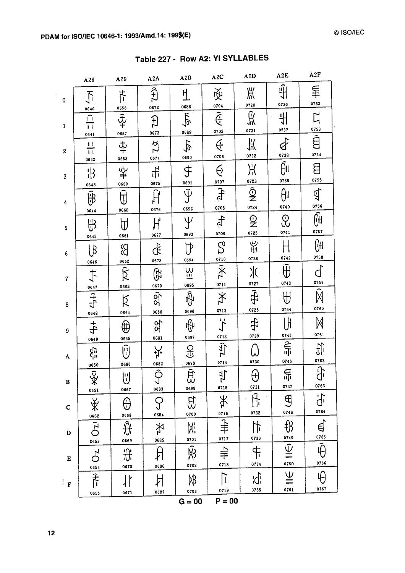$\frac{1}{2}$ 

|                          | A28                                                   | A29                                       | A2A                               | A2B                                       | A2C                                      | A2D                                                              | A2E                                         | A2F                                                |
|--------------------------|-------------------------------------------------------|-------------------------------------------|-----------------------------------|-------------------------------------------|------------------------------------------|------------------------------------------------------------------|---------------------------------------------|----------------------------------------------------|
| 0                        | $\overline{\mathcal{L}}$<br>0640                      | 卞<br>0656                                 | $\widehat{t}$<br>0672             | Η<br>0688                                 | 咬<br>0704                                | Ж<br>0720                                                        | $\frac{1}{4}$<br>0736                       | ≨<br>0752                                          |
| $\mathbf{1}$             | $\hat{\mathbf{u}}$<br>$\overline{\mathsf{H}}$<br>0641 | $\overline{\hat{\Psi}}$<br>0657           | $\overline{H}$<br>0673            | $\sqrt{2}$<br>0689                        | $\overline{\hat{f}}$<br>0705             | 瓜<br>0721                                                        | 쀠<br>0737                                   | $\overline{L}$<br>0753                             |
| $\boldsymbol{2}$         | $\mathbf{H}$<br>$\overline{\mathsf{H}}$<br>0642       | $\frac{1}{4}$<br>0658                     | $\tilde{\Sigma}$<br>0674          | $\overline{\phi}$<br>0690                 | $\overline{\mathfrak{S}}$<br>0706        | 买<br>0722                                                        | 0738                                        | ā<br>0754                                          |
| 3                        | $\mathbb{R}$<br>0643                                  | ى <del>ن</del><br>#<br>0659               | 뉴<br>0675                         | F<br>0691                                 | $\breve{\Theta}$<br>0707                 | Ж<br>0723                                                        | Ąπ<br>0739                                  | 8<br>0755                                          |
| 4                        | ₩Ĥ<br>0644                                            | $\widehat{\mathrm{d}}$<br>0660            | Ĥ<br>0676                         | $\tilde{\Psi}$<br>0692                    | $\frac{1}{\sqrt{1-\frac{1}{2}}}$<br>0708 | $\overline{\hat{\mathbb{Q}}}% _{k}$<br>0724                      | $\theta$<br>0740                            | $\mathbb{Q}$<br>0756                               |
| 5                        | 出<br>0645                                             | 0661                                      | H,<br>0677                        | Ψ<br>0693                                 | 七<br>0709                                | $\mathbf{Q}$<br>0725                                             | $\mathcal{L}$<br>0741                       | $\overline{\widehat{\mathbb{G}}^{\sharp}}$<br>0757 |
| 6                        | l B<br>0646                                           | B<br>0662                                 | $\hat{\mathbf{r}}$<br>0678        | 0694                                      | $\mathcal{S}$<br>0710                    | ¥<br>0726                                                        | 0742                                        | ⊮<br>0758                                          |
| $\overline{\mathcal{U}}$ | $\ddot{\tau}$                                         | $\overline{\widehat{\mathsf{R}}}$<br>0663 | டு<br>0679                        | $\frac{1}{2}$<br>0695                     | Ÿ<br>0711                                | )(<br>0727                                                       | ₩<br>0743                                   | 0759                                               |
| 8                        | $\frac{0647}{7}$<br>0648                              | Ŕ<br>0664                                 | ञ्जी<br>0680                      | Ŵ<br>0696                                 | $\divideontimes$<br>0712                 | 0728                                                             | $\bigoplus$<br>0744                         | M<br>0760                                          |
| 9                        | $\ddagger$<br>0649                                    | ⊕<br>0665                                 | 8q<br>0681                        | फ़ी<br>0697                               | デ<br>0713                                | 0729                                                             | UH<br>0745                                  | 0761                                               |
| A                        | 邻<br>0650                                             | (i)<br>0666                               | 솼<br>0682                         | 오<br>군<br>0698                            | 宁<br>0714                                | 0730                                                             | $\widehat{\widehat{\widehat{\Pi}}}$<br>0746 | 讥<br>0762                                          |
| $\pmb B$                 | $\overline{Q}$<br>℀<br>0651                           | $\biguplus$<br>0667                       | $\overline{\hat{O}}$<br>J<br>0683 | $ \hat{\pi}$<br>0699                      | $\frac{1}{7}$<br>0715                    | $\Theta$<br>0731                                                 | $\bigoplus_{i\in I}$<br>0747                | $\overline{\hat{d}^{\prime}}$<br>0763              |
| C                        | ₩                                                     | θ<br>0668                                 | 0684                              | $E_3$<br>0700                             | Ж                                        | $\hat{\mathbb{H}}$<br>0732                                       | $\bigoplus$<br>0748                         | ď<br>0764                                          |
| $\mathbf D$              | $\frac{0652}{C}$<br>0653                              | $\overline{\hat{\theta}}$<br>0669         | 圣<br>0685                         | Mi<br>0701                                | $rac{0716}{7}$<br>0717                   | $\frac{1}{2}$<br>0733                                            | ∯                                           | ਥ੍ਰੇ<br>$rac{0765}{2}$                             |
| ${\bf E}$                | $\beta$                                               | ₩<br>0670                                 | Ĥ<br>0686                         | $\overline{\widehat{\mathsf{R}}}$<br>0702 | 0718                                     | $+$<br>$+$<br>$-$<br>$-$<br>$-$<br>$-$<br>$-$<br><br>$-$<br><br> | $rac{0749}{1}$<br>0750                      | $\hat{\theta}$<br>0766                             |
| $\mathbf{F}$             | 0654<br>下门                                            | ١ŀ                                        | 片<br>0687                         | ₩<br>0703                                 | 0719                                     | idi<br>0735                                                      | $\underline{\underline{\Psi}}$<br>0751      | Ę<br>0767                                          |
|                          | 0655                                                  | 0671                                      |                                   | $G = 00$                                  | $P = 00$                                 |                                                                  |                                             |                                                    |

Table 227 - Row A2: YI SYLLABLES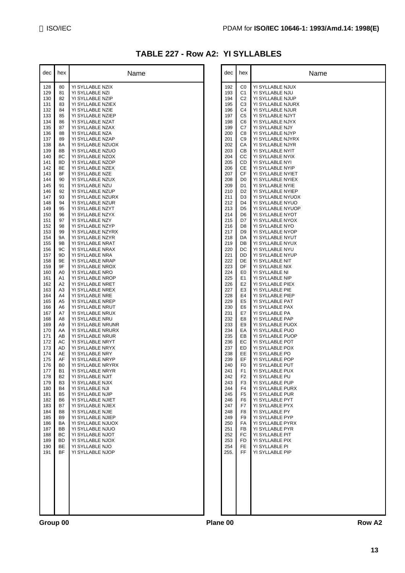### **TABLE 227 - Row A2: YI SYLLABLES**

| YI SYLLABLE NZIX<br>128<br>80<br>129<br>81<br>YI SYLLABLE NZI<br>130<br>82<br>YI SYLLABLE NZIP<br>YI SYLLABLE NZIEX<br>131<br>83<br>YI SYLLABLE NZIE<br>132<br>84<br>YI SYLLABLE NZIEP<br>133<br>85<br>YI SYLLABLE NZAT<br>134<br>86<br>135<br>YI SYLLABLE NZAX<br>87<br>88<br>YI SYLLABLE NZA<br>136<br>YI SYLLABLE NZAP<br>137<br>89<br>8A<br>YI SYLLABLE NZUOX<br>138<br>8B<br>YI SYLLABLE NZUO<br>139<br>8C<br>YI SYLLABLE NZOX<br>140<br>YI SYLLABLE NZOP<br>8D<br>141<br>YI SYLLABLE NZEX<br>142<br>8Ε<br>143<br>8F<br>YI SYLLABLE NZE<br>144<br>YI SYLLABLE NZUX<br>90<br>YI SYLLABLE NZU<br>145<br>91<br>YI SYLLABLE NZUP<br>146<br>92<br>93<br>YI SYLLABLE NZURX<br>147<br>148<br>94<br>YI SYLLABLE NZUR<br>YI SYLLABLE NZYT<br>149<br>95<br>YI SYLLABLE NZYX<br>96<br>150<br>YI SYLLABLE NZY<br>151<br>97<br>YI SYLLABLE NZYP<br>152<br>98<br>YI SYLLABLE NZYRX<br>153<br>99<br>154<br>9Α<br>YI SYLLABLE NZYR<br>9Β<br>YI SYLLABLE NRAT<br>155<br>9C<br>YI SYLLABLE NRAX<br>156<br>YI SYLLABLE NRA<br>157<br>9D<br>158<br>9Ε<br>YI SYLLABLE NRAP<br>9F<br>YI SYLLABLE NROX<br>159<br>YI SYLLABLE NRO<br>160<br>A0<br>161<br>YI SYLLABLE NROP<br>A1<br>A2<br>YI SYLLABLE NRET<br>162<br>A3<br>YI SYLLABLE NREX<br>163<br>A4<br>YI SYLLABLE NRE<br>164<br>YI SYLLABLE NREP<br>A5<br>165<br>YI SYLLABLE NRUT<br>166<br>A6<br>A7<br>YI SYLLABLE NRUX<br>167<br>168<br>A8<br>YI SYLLABLE NRU<br>A9<br>YI SYLLABLE NRUNR<br>169<br>AA<br>YI SYLLABLE NRURX<br>170<br>AB<br>YI SYLLABLE NRUR<br>171<br>AC<br>YI SYLLABLE NRYT<br>172<br>173<br>AD<br>YI SYLLABLE NRYX<br>174<br>AЕ<br>YI SYLLABLE NRY<br>AF<br>YI SYLLABLE NRYP<br>175<br>176<br>B0<br>YI SYLLABLE NRYRX<br>177<br>B1<br>YI SYLLABLE NRYR<br>B <sub>2</sub><br>YI SYLLABLE NJIT<br>178<br>179<br>B3<br>YI SYLLABLE NJIX<br>180<br>B4<br>YI SYLLABLE NJI<br>YI SYLLABLE NJIP<br>B5<br>181<br>YI SYLLABLE NJIET<br>182<br>B6<br>183<br>B7<br>YI SYLLABLE NJIEX<br>YI SYLLABLE NJIE<br>184<br>B8<br>B9<br>185<br>YI SYLLABLE NJIEP<br>BA<br>YI SYLLABLE NJUOX<br>186<br>BB<br>YI SYLLABLE NJUO<br>187<br>ВC<br>YI SYLLABLE NJOT<br>188<br>YI SYLLABLE NJOX<br>189<br>BD<br><b>BE</b><br>YI SYLLABLE NJO<br>190<br>BF<br>191<br>YI SYLLABLE NJOP | dec | hex | Name |
|-----------------------------------------------------------------------------------------------------------------------------------------------------------------------------------------------------------------------------------------------------------------------------------------------------------------------------------------------------------------------------------------------------------------------------------------------------------------------------------------------------------------------------------------------------------------------------------------------------------------------------------------------------------------------------------------------------------------------------------------------------------------------------------------------------------------------------------------------------------------------------------------------------------------------------------------------------------------------------------------------------------------------------------------------------------------------------------------------------------------------------------------------------------------------------------------------------------------------------------------------------------------------------------------------------------------------------------------------------------------------------------------------------------------------------------------------------------------------------------------------------------------------------------------------------------------------------------------------------------------------------------------------------------------------------------------------------------------------------------------------------------------------------------------------------------------------------------------------------------------------------------------------------------------------------------------------------------------------------------------------------------------------------------------------------------------------------------------------------------------------------------------------------------------------------------------------------------------|-----|-----|------|
|                                                                                                                                                                                                                                                                                                                                                                                                                                                                                                                                                                                                                                                                                                                                                                                                                                                                                                                                                                                                                                                                                                                                                                                                                                                                                                                                                                                                                                                                                                                                                                                                                                                                                                                                                                                                                                                                                                                                                                                                                                                                                                                                                                                                                 |     |     |      |
|                                                                                                                                                                                                                                                                                                                                                                                                                                                                                                                                                                                                                                                                                                                                                                                                                                                                                                                                                                                                                                                                                                                                                                                                                                                                                                                                                                                                                                                                                                                                                                                                                                                                                                                                                                                                                                                                                                                                                                                                                                                                                                                                                                                                                 |     |     |      |
|                                                                                                                                                                                                                                                                                                                                                                                                                                                                                                                                                                                                                                                                                                                                                                                                                                                                                                                                                                                                                                                                                                                                                                                                                                                                                                                                                                                                                                                                                                                                                                                                                                                                                                                                                                                                                                                                                                                                                                                                                                                                                                                                                                                                                 |     |     |      |
|                                                                                                                                                                                                                                                                                                                                                                                                                                                                                                                                                                                                                                                                                                                                                                                                                                                                                                                                                                                                                                                                                                                                                                                                                                                                                                                                                                                                                                                                                                                                                                                                                                                                                                                                                                                                                                                                                                                                                                                                                                                                                                                                                                                                                 |     |     |      |
|                                                                                                                                                                                                                                                                                                                                                                                                                                                                                                                                                                                                                                                                                                                                                                                                                                                                                                                                                                                                                                                                                                                                                                                                                                                                                                                                                                                                                                                                                                                                                                                                                                                                                                                                                                                                                                                                                                                                                                                                                                                                                                                                                                                                                 |     |     |      |
|                                                                                                                                                                                                                                                                                                                                                                                                                                                                                                                                                                                                                                                                                                                                                                                                                                                                                                                                                                                                                                                                                                                                                                                                                                                                                                                                                                                                                                                                                                                                                                                                                                                                                                                                                                                                                                                                                                                                                                                                                                                                                                                                                                                                                 |     |     |      |
|                                                                                                                                                                                                                                                                                                                                                                                                                                                                                                                                                                                                                                                                                                                                                                                                                                                                                                                                                                                                                                                                                                                                                                                                                                                                                                                                                                                                                                                                                                                                                                                                                                                                                                                                                                                                                                                                                                                                                                                                                                                                                                                                                                                                                 |     |     |      |
|                                                                                                                                                                                                                                                                                                                                                                                                                                                                                                                                                                                                                                                                                                                                                                                                                                                                                                                                                                                                                                                                                                                                                                                                                                                                                                                                                                                                                                                                                                                                                                                                                                                                                                                                                                                                                                                                                                                                                                                                                                                                                                                                                                                                                 |     |     |      |
|                                                                                                                                                                                                                                                                                                                                                                                                                                                                                                                                                                                                                                                                                                                                                                                                                                                                                                                                                                                                                                                                                                                                                                                                                                                                                                                                                                                                                                                                                                                                                                                                                                                                                                                                                                                                                                                                                                                                                                                                                                                                                                                                                                                                                 |     |     |      |
|                                                                                                                                                                                                                                                                                                                                                                                                                                                                                                                                                                                                                                                                                                                                                                                                                                                                                                                                                                                                                                                                                                                                                                                                                                                                                                                                                                                                                                                                                                                                                                                                                                                                                                                                                                                                                                                                                                                                                                                                                                                                                                                                                                                                                 |     |     |      |
|                                                                                                                                                                                                                                                                                                                                                                                                                                                                                                                                                                                                                                                                                                                                                                                                                                                                                                                                                                                                                                                                                                                                                                                                                                                                                                                                                                                                                                                                                                                                                                                                                                                                                                                                                                                                                                                                                                                                                                                                                                                                                                                                                                                                                 |     |     |      |
|                                                                                                                                                                                                                                                                                                                                                                                                                                                                                                                                                                                                                                                                                                                                                                                                                                                                                                                                                                                                                                                                                                                                                                                                                                                                                                                                                                                                                                                                                                                                                                                                                                                                                                                                                                                                                                                                                                                                                                                                                                                                                                                                                                                                                 |     |     |      |
|                                                                                                                                                                                                                                                                                                                                                                                                                                                                                                                                                                                                                                                                                                                                                                                                                                                                                                                                                                                                                                                                                                                                                                                                                                                                                                                                                                                                                                                                                                                                                                                                                                                                                                                                                                                                                                                                                                                                                                                                                                                                                                                                                                                                                 |     |     |      |
|                                                                                                                                                                                                                                                                                                                                                                                                                                                                                                                                                                                                                                                                                                                                                                                                                                                                                                                                                                                                                                                                                                                                                                                                                                                                                                                                                                                                                                                                                                                                                                                                                                                                                                                                                                                                                                                                                                                                                                                                                                                                                                                                                                                                                 |     |     |      |
|                                                                                                                                                                                                                                                                                                                                                                                                                                                                                                                                                                                                                                                                                                                                                                                                                                                                                                                                                                                                                                                                                                                                                                                                                                                                                                                                                                                                                                                                                                                                                                                                                                                                                                                                                                                                                                                                                                                                                                                                                                                                                                                                                                                                                 |     |     |      |
|                                                                                                                                                                                                                                                                                                                                                                                                                                                                                                                                                                                                                                                                                                                                                                                                                                                                                                                                                                                                                                                                                                                                                                                                                                                                                                                                                                                                                                                                                                                                                                                                                                                                                                                                                                                                                                                                                                                                                                                                                                                                                                                                                                                                                 |     |     |      |
|                                                                                                                                                                                                                                                                                                                                                                                                                                                                                                                                                                                                                                                                                                                                                                                                                                                                                                                                                                                                                                                                                                                                                                                                                                                                                                                                                                                                                                                                                                                                                                                                                                                                                                                                                                                                                                                                                                                                                                                                                                                                                                                                                                                                                 |     |     |      |
|                                                                                                                                                                                                                                                                                                                                                                                                                                                                                                                                                                                                                                                                                                                                                                                                                                                                                                                                                                                                                                                                                                                                                                                                                                                                                                                                                                                                                                                                                                                                                                                                                                                                                                                                                                                                                                                                                                                                                                                                                                                                                                                                                                                                                 |     |     |      |
|                                                                                                                                                                                                                                                                                                                                                                                                                                                                                                                                                                                                                                                                                                                                                                                                                                                                                                                                                                                                                                                                                                                                                                                                                                                                                                                                                                                                                                                                                                                                                                                                                                                                                                                                                                                                                                                                                                                                                                                                                                                                                                                                                                                                                 |     |     |      |
|                                                                                                                                                                                                                                                                                                                                                                                                                                                                                                                                                                                                                                                                                                                                                                                                                                                                                                                                                                                                                                                                                                                                                                                                                                                                                                                                                                                                                                                                                                                                                                                                                                                                                                                                                                                                                                                                                                                                                                                                                                                                                                                                                                                                                 |     |     |      |
|                                                                                                                                                                                                                                                                                                                                                                                                                                                                                                                                                                                                                                                                                                                                                                                                                                                                                                                                                                                                                                                                                                                                                                                                                                                                                                                                                                                                                                                                                                                                                                                                                                                                                                                                                                                                                                                                                                                                                                                                                                                                                                                                                                                                                 |     |     |      |
|                                                                                                                                                                                                                                                                                                                                                                                                                                                                                                                                                                                                                                                                                                                                                                                                                                                                                                                                                                                                                                                                                                                                                                                                                                                                                                                                                                                                                                                                                                                                                                                                                                                                                                                                                                                                                                                                                                                                                                                                                                                                                                                                                                                                                 |     |     |      |
|                                                                                                                                                                                                                                                                                                                                                                                                                                                                                                                                                                                                                                                                                                                                                                                                                                                                                                                                                                                                                                                                                                                                                                                                                                                                                                                                                                                                                                                                                                                                                                                                                                                                                                                                                                                                                                                                                                                                                                                                                                                                                                                                                                                                                 |     |     |      |
|                                                                                                                                                                                                                                                                                                                                                                                                                                                                                                                                                                                                                                                                                                                                                                                                                                                                                                                                                                                                                                                                                                                                                                                                                                                                                                                                                                                                                                                                                                                                                                                                                                                                                                                                                                                                                                                                                                                                                                                                                                                                                                                                                                                                                 |     |     |      |
|                                                                                                                                                                                                                                                                                                                                                                                                                                                                                                                                                                                                                                                                                                                                                                                                                                                                                                                                                                                                                                                                                                                                                                                                                                                                                                                                                                                                                                                                                                                                                                                                                                                                                                                                                                                                                                                                                                                                                                                                                                                                                                                                                                                                                 |     |     |      |
|                                                                                                                                                                                                                                                                                                                                                                                                                                                                                                                                                                                                                                                                                                                                                                                                                                                                                                                                                                                                                                                                                                                                                                                                                                                                                                                                                                                                                                                                                                                                                                                                                                                                                                                                                                                                                                                                                                                                                                                                                                                                                                                                                                                                                 |     |     |      |
|                                                                                                                                                                                                                                                                                                                                                                                                                                                                                                                                                                                                                                                                                                                                                                                                                                                                                                                                                                                                                                                                                                                                                                                                                                                                                                                                                                                                                                                                                                                                                                                                                                                                                                                                                                                                                                                                                                                                                                                                                                                                                                                                                                                                                 |     |     |      |
|                                                                                                                                                                                                                                                                                                                                                                                                                                                                                                                                                                                                                                                                                                                                                                                                                                                                                                                                                                                                                                                                                                                                                                                                                                                                                                                                                                                                                                                                                                                                                                                                                                                                                                                                                                                                                                                                                                                                                                                                                                                                                                                                                                                                                 |     |     |      |
|                                                                                                                                                                                                                                                                                                                                                                                                                                                                                                                                                                                                                                                                                                                                                                                                                                                                                                                                                                                                                                                                                                                                                                                                                                                                                                                                                                                                                                                                                                                                                                                                                                                                                                                                                                                                                                                                                                                                                                                                                                                                                                                                                                                                                 |     |     |      |
|                                                                                                                                                                                                                                                                                                                                                                                                                                                                                                                                                                                                                                                                                                                                                                                                                                                                                                                                                                                                                                                                                                                                                                                                                                                                                                                                                                                                                                                                                                                                                                                                                                                                                                                                                                                                                                                                                                                                                                                                                                                                                                                                                                                                                 |     |     |      |
|                                                                                                                                                                                                                                                                                                                                                                                                                                                                                                                                                                                                                                                                                                                                                                                                                                                                                                                                                                                                                                                                                                                                                                                                                                                                                                                                                                                                                                                                                                                                                                                                                                                                                                                                                                                                                                                                                                                                                                                                                                                                                                                                                                                                                 |     |     |      |
|                                                                                                                                                                                                                                                                                                                                                                                                                                                                                                                                                                                                                                                                                                                                                                                                                                                                                                                                                                                                                                                                                                                                                                                                                                                                                                                                                                                                                                                                                                                                                                                                                                                                                                                                                                                                                                                                                                                                                                                                                                                                                                                                                                                                                 |     |     |      |
|                                                                                                                                                                                                                                                                                                                                                                                                                                                                                                                                                                                                                                                                                                                                                                                                                                                                                                                                                                                                                                                                                                                                                                                                                                                                                                                                                                                                                                                                                                                                                                                                                                                                                                                                                                                                                                                                                                                                                                                                                                                                                                                                                                                                                 |     |     |      |
|                                                                                                                                                                                                                                                                                                                                                                                                                                                                                                                                                                                                                                                                                                                                                                                                                                                                                                                                                                                                                                                                                                                                                                                                                                                                                                                                                                                                                                                                                                                                                                                                                                                                                                                                                                                                                                                                                                                                                                                                                                                                                                                                                                                                                 |     |     |      |
|                                                                                                                                                                                                                                                                                                                                                                                                                                                                                                                                                                                                                                                                                                                                                                                                                                                                                                                                                                                                                                                                                                                                                                                                                                                                                                                                                                                                                                                                                                                                                                                                                                                                                                                                                                                                                                                                                                                                                                                                                                                                                                                                                                                                                 |     |     |      |
|                                                                                                                                                                                                                                                                                                                                                                                                                                                                                                                                                                                                                                                                                                                                                                                                                                                                                                                                                                                                                                                                                                                                                                                                                                                                                                                                                                                                                                                                                                                                                                                                                                                                                                                                                                                                                                                                                                                                                                                                                                                                                                                                                                                                                 |     |     |      |
|                                                                                                                                                                                                                                                                                                                                                                                                                                                                                                                                                                                                                                                                                                                                                                                                                                                                                                                                                                                                                                                                                                                                                                                                                                                                                                                                                                                                                                                                                                                                                                                                                                                                                                                                                                                                                                                                                                                                                                                                                                                                                                                                                                                                                 |     |     |      |
|                                                                                                                                                                                                                                                                                                                                                                                                                                                                                                                                                                                                                                                                                                                                                                                                                                                                                                                                                                                                                                                                                                                                                                                                                                                                                                                                                                                                                                                                                                                                                                                                                                                                                                                                                                                                                                                                                                                                                                                                                                                                                                                                                                                                                 |     |     |      |
|                                                                                                                                                                                                                                                                                                                                                                                                                                                                                                                                                                                                                                                                                                                                                                                                                                                                                                                                                                                                                                                                                                                                                                                                                                                                                                                                                                                                                                                                                                                                                                                                                                                                                                                                                                                                                                                                                                                                                                                                                                                                                                                                                                                                                 |     |     |      |
|                                                                                                                                                                                                                                                                                                                                                                                                                                                                                                                                                                                                                                                                                                                                                                                                                                                                                                                                                                                                                                                                                                                                                                                                                                                                                                                                                                                                                                                                                                                                                                                                                                                                                                                                                                                                                                                                                                                                                                                                                                                                                                                                                                                                                 |     |     |      |
|                                                                                                                                                                                                                                                                                                                                                                                                                                                                                                                                                                                                                                                                                                                                                                                                                                                                                                                                                                                                                                                                                                                                                                                                                                                                                                                                                                                                                                                                                                                                                                                                                                                                                                                                                                                                                                                                                                                                                                                                                                                                                                                                                                                                                 |     |     |      |
|                                                                                                                                                                                                                                                                                                                                                                                                                                                                                                                                                                                                                                                                                                                                                                                                                                                                                                                                                                                                                                                                                                                                                                                                                                                                                                                                                                                                                                                                                                                                                                                                                                                                                                                                                                                                                                                                                                                                                                                                                                                                                                                                                                                                                 |     |     |      |
|                                                                                                                                                                                                                                                                                                                                                                                                                                                                                                                                                                                                                                                                                                                                                                                                                                                                                                                                                                                                                                                                                                                                                                                                                                                                                                                                                                                                                                                                                                                                                                                                                                                                                                                                                                                                                                                                                                                                                                                                                                                                                                                                                                                                                 |     |     |      |
|                                                                                                                                                                                                                                                                                                                                                                                                                                                                                                                                                                                                                                                                                                                                                                                                                                                                                                                                                                                                                                                                                                                                                                                                                                                                                                                                                                                                                                                                                                                                                                                                                                                                                                                                                                                                                                                                                                                                                                                                                                                                                                                                                                                                                 |     |     |      |
|                                                                                                                                                                                                                                                                                                                                                                                                                                                                                                                                                                                                                                                                                                                                                                                                                                                                                                                                                                                                                                                                                                                                                                                                                                                                                                                                                                                                                                                                                                                                                                                                                                                                                                                                                                                                                                                                                                                                                                                                                                                                                                                                                                                                                 |     |     |      |
|                                                                                                                                                                                                                                                                                                                                                                                                                                                                                                                                                                                                                                                                                                                                                                                                                                                                                                                                                                                                                                                                                                                                                                                                                                                                                                                                                                                                                                                                                                                                                                                                                                                                                                                                                                                                                                                                                                                                                                                                                                                                                                                                                                                                                 |     |     |      |
|                                                                                                                                                                                                                                                                                                                                                                                                                                                                                                                                                                                                                                                                                                                                                                                                                                                                                                                                                                                                                                                                                                                                                                                                                                                                                                                                                                                                                                                                                                                                                                                                                                                                                                                                                                                                                                                                                                                                                                                                                                                                                                                                                                                                                 |     |     |      |
|                                                                                                                                                                                                                                                                                                                                                                                                                                                                                                                                                                                                                                                                                                                                                                                                                                                                                                                                                                                                                                                                                                                                                                                                                                                                                                                                                                                                                                                                                                                                                                                                                                                                                                                                                                                                                                                                                                                                                                                                                                                                                                                                                                                                                 |     |     |      |
|                                                                                                                                                                                                                                                                                                                                                                                                                                                                                                                                                                                                                                                                                                                                                                                                                                                                                                                                                                                                                                                                                                                                                                                                                                                                                                                                                                                                                                                                                                                                                                                                                                                                                                                                                                                                                                                                                                                                                                                                                                                                                                                                                                                                                 |     |     |      |
|                                                                                                                                                                                                                                                                                                                                                                                                                                                                                                                                                                                                                                                                                                                                                                                                                                                                                                                                                                                                                                                                                                                                                                                                                                                                                                                                                                                                                                                                                                                                                                                                                                                                                                                                                                                                                                                                                                                                                                                                                                                                                                                                                                                                                 |     |     |      |
|                                                                                                                                                                                                                                                                                                                                                                                                                                                                                                                                                                                                                                                                                                                                                                                                                                                                                                                                                                                                                                                                                                                                                                                                                                                                                                                                                                                                                                                                                                                                                                                                                                                                                                                                                                                                                                                                                                                                                                                                                                                                                                                                                                                                                 |     |     |      |
|                                                                                                                                                                                                                                                                                                                                                                                                                                                                                                                                                                                                                                                                                                                                                                                                                                                                                                                                                                                                                                                                                                                                                                                                                                                                                                                                                                                                                                                                                                                                                                                                                                                                                                                                                                                                                                                                                                                                                                                                                                                                                                                                                                                                                 |     |     |      |
|                                                                                                                                                                                                                                                                                                                                                                                                                                                                                                                                                                                                                                                                                                                                                                                                                                                                                                                                                                                                                                                                                                                                                                                                                                                                                                                                                                                                                                                                                                                                                                                                                                                                                                                                                                                                                                                                                                                                                                                                                                                                                                                                                                                                                 |     |     |      |
|                                                                                                                                                                                                                                                                                                                                                                                                                                                                                                                                                                                                                                                                                                                                                                                                                                                                                                                                                                                                                                                                                                                                                                                                                                                                                                                                                                                                                                                                                                                                                                                                                                                                                                                                                                                                                                                                                                                                                                                                                                                                                                                                                                                                                 |     |     |      |
|                                                                                                                                                                                                                                                                                                                                                                                                                                                                                                                                                                                                                                                                                                                                                                                                                                                                                                                                                                                                                                                                                                                                                                                                                                                                                                                                                                                                                                                                                                                                                                                                                                                                                                                                                                                                                                                                                                                                                                                                                                                                                                                                                                                                                 |     |     |      |
|                                                                                                                                                                                                                                                                                                                                                                                                                                                                                                                                                                                                                                                                                                                                                                                                                                                                                                                                                                                                                                                                                                                                                                                                                                                                                                                                                                                                                                                                                                                                                                                                                                                                                                                                                                                                                                                                                                                                                                                                                                                                                                                                                                                                                 |     |     |      |
|                                                                                                                                                                                                                                                                                                                                                                                                                                                                                                                                                                                                                                                                                                                                                                                                                                                                                                                                                                                                                                                                                                                                                                                                                                                                                                                                                                                                                                                                                                                                                                                                                                                                                                                                                                                                                                                                                                                                                                                                                                                                                                                                                                                                                 |     |     |      |
|                                                                                                                                                                                                                                                                                                                                                                                                                                                                                                                                                                                                                                                                                                                                                                                                                                                                                                                                                                                                                                                                                                                                                                                                                                                                                                                                                                                                                                                                                                                                                                                                                                                                                                                                                                                                                                                                                                                                                                                                                                                                                                                                                                                                                 |     |     |      |

| dec                                                                                                                                                                                                                                                                                                                                                                                                                                                          | hex                                                                                                                                                                                                                                                                                                                                                                                                                                                                                                                                                   | Name                                                                                                                                                                                                                                                                                                                                                                                                                                                                                                                                                                                                                                                                                                                                                                                                                                                                                                                                                                                                                                                                                                                                                                                                                                                                                                                         |          | dec                                                                                                                                                                                                                                                                                                                                                                                                                                                           | hex                                                                                                                                                                                                                                                                                                                                                                                                                                                                                                                                                                                                                                          | Name                                                                                                                                                                                                                                                                                                                                                                                                                                                                                                                                                                                                                                                                                                                                                                                                                                                                                                                                                                                                                                                                                                                                                                                                                                                                                         |
|--------------------------------------------------------------------------------------------------------------------------------------------------------------------------------------------------------------------------------------------------------------------------------------------------------------------------------------------------------------------------------------------------------------------------------------------------------------|-------------------------------------------------------------------------------------------------------------------------------------------------------------------------------------------------------------------------------------------------------------------------------------------------------------------------------------------------------------------------------------------------------------------------------------------------------------------------------------------------------------------------------------------------------|------------------------------------------------------------------------------------------------------------------------------------------------------------------------------------------------------------------------------------------------------------------------------------------------------------------------------------------------------------------------------------------------------------------------------------------------------------------------------------------------------------------------------------------------------------------------------------------------------------------------------------------------------------------------------------------------------------------------------------------------------------------------------------------------------------------------------------------------------------------------------------------------------------------------------------------------------------------------------------------------------------------------------------------------------------------------------------------------------------------------------------------------------------------------------------------------------------------------------------------------------------------------------------------------------------------------------|----------|---------------------------------------------------------------------------------------------------------------------------------------------------------------------------------------------------------------------------------------------------------------------------------------------------------------------------------------------------------------------------------------------------------------------------------------------------------------|----------------------------------------------------------------------------------------------------------------------------------------------------------------------------------------------------------------------------------------------------------------------------------------------------------------------------------------------------------------------------------------------------------------------------------------------------------------------------------------------------------------------------------------------------------------------------------------------------------------------------------------------|----------------------------------------------------------------------------------------------------------------------------------------------------------------------------------------------------------------------------------------------------------------------------------------------------------------------------------------------------------------------------------------------------------------------------------------------------------------------------------------------------------------------------------------------------------------------------------------------------------------------------------------------------------------------------------------------------------------------------------------------------------------------------------------------------------------------------------------------------------------------------------------------------------------------------------------------------------------------------------------------------------------------------------------------------------------------------------------------------------------------------------------------------------------------------------------------------------------------------------------------------------------------------------------------|
| 128<br>129<br>130<br>131<br>132<br>133<br>134<br>135<br>136<br>137<br>138<br>139<br>140<br>141<br>142<br>143<br>144<br>145<br>146<br>147<br>148<br>149<br>150<br>151<br>152<br>153<br>154<br>155<br>156<br>157<br>158<br>159<br>160<br>161<br>162<br>163<br>164<br>165<br>166<br>167<br>168<br>169<br>170<br>171<br>172<br>173<br>174<br>175<br>176<br>177<br>178<br>179<br>180<br>181<br>182<br>183<br>184<br>185<br>186<br>187<br>188<br>189<br>190<br>191 | 80<br>81<br>82<br>83<br>84<br>85<br>86<br>87<br>88<br>89<br>8A<br>8B<br>8C<br>8D<br>8E<br>8F<br>90<br>91<br>92<br>93<br>94<br>95<br>96<br>97<br>98<br>99<br>9A<br>9Β<br>9C<br>9D<br>9E<br>9F<br>A <sub>0</sub><br>A <sub>1</sub><br>A2<br>A <sub>3</sub><br>A4<br>A5<br>A <sub>6</sub><br>A7<br>A8<br>A <sub>9</sub><br>AA<br>AB<br>AC<br>AD<br>AE<br>AF<br>B <sub>0</sub><br>B1<br>B <sub>2</sub><br>B <sub>3</sub><br>B4<br>B <sub>5</sub><br><b>B6</b><br>B7<br>B <sub>8</sub><br>B <sub>9</sub><br>BA<br>BB<br>BC<br><b>BD</b><br>BE<br><b>BF</b> | YI SYLLABLE NZIX<br>YI SYLLABLE NZI<br>YI SYLLABLE NZIP<br>YI SYLLABLE NZIEX<br>YI SYLLABLE NZIE<br>YI SYLLABLE NZIEP<br>YI SYLLABLE NZAT<br>YI SYLLABLE NZAX<br>YI SYLLABLE NZA<br>YI SYLLABLE NZAP<br>YI SYLLABLE NZUOX<br>YI SYLLABLE NZUO<br>YI SYLLABLE NZOX<br>YI SYLLABLE NZOP<br>YI SYLLABLE NZEX<br>YI SYLLABLE NZE<br>YI SYLLABLE NZUX<br>YI SYLLABLE NZU<br>YI SYLLABLE NZUP<br>YI SYLLABLE NZURX<br>YI SYLLABLE NZUR<br>YI SYLLABLE NZYT<br>YI SYLLABLE NZYX<br>YI SYLLABLE NZY<br>YI SYLLABLE NZYP<br>YI SYLLABLE NZYRX<br>YI SYLLABLE NZYR<br>YI SYLLABLE NRAT<br>YI SYLLABLE NRAX<br>YI SYLLABLE NRA<br>YI SYLLABLE NRAP<br>YI SYLLABLE NROX<br>YI SYLLABLE NRO<br>YI SYLLABLE NROP<br>YI SYLLABLE NRET<br>YI SYLLABLE NREX<br>YI SYLLABLE NRE<br>YI SYLLABLE NREP<br>YI SYLLABLE NRUT<br>YI SYLLABLE NRUX<br>YI SYLLABLE NRU<br>YI SYLLABLE NRUNR<br>YI SYLLABLE NRURX<br>YI SYLLABLE NRUR<br>YI SYLLABLE NRYT<br>YI SYLLABLE NRYX<br>YI SYLLABLE NRY<br>YI SYLLABLE NRYP<br>YI SYLLABLE NRYRX<br>YI SYLLABLE NRYR<br>YI SYLLABLE NJIT<br>YI SYLLABLE NJIX<br>YI SYLLABLE NJI<br>YI SYLLABLE NJIP<br>YI SYLLABLE NJIET<br>YI SYLLABLE NJIEX<br>YI SYLLABLE NJIE<br>YI SYLLABLE NJIEP<br>YI SYLLABLE NJUOX<br>YI SYLLABLE NJUO<br>YI SYLLABLE NJOT<br>YI SYLLABLE NJOX<br>YI SYLLABLE NJO<br>YI SYLLABLE NJOP |          | 192<br>193<br>194<br>195<br>196<br>197<br>198<br>199<br>200<br>201<br>202<br>203<br>204<br>205<br>206<br>207<br>208<br>209<br>210<br>211<br>212<br>213<br>214<br>215<br>216<br>217<br>218<br>219<br>220<br>221<br>222<br>223<br>224<br>225<br>226<br>227<br>228<br>229<br>230<br>231<br>232<br>233<br>234<br>235<br>236<br>237<br>238<br>239<br>240<br>241<br>242<br>243<br>244<br>245<br>246<br>247<br>248<br>249<br>250<br>251<br>252<br>253<br>254<br>255. | C <sub>0</sub><br>C <sub>1</sub><br>C <sub>2</sub><br>C <sub>3</sub><br>C <sub>4</sub><br>C <sub>5</sub><br>C6<br>C7<br>C8<br>C9<br>СA<br>CВ<br>CС<br>CD<br>CЕ<br>СF<br>D <sub>0</sub><br>D1<br>D <sub>2</sub><br>D3<br>D4<br>D5<br>D6<br>D7<br>D8<br>D9<br>DA<br>DB<br>DC<br>DD<br>DE<br>DF<br>E <sub>0</sub><br>E <sub>1</sub><br>E <sub>2</sub><br>E <sub>3</sub><br>E4<br>E5<br>E <sub>6</sub><br>E7<br>E8<br>E <sub>9</sub><br>EA<br>EB<br>EC<br>ED<br>EE<br>EF<br>F <sub>0</sub><br>F1<br>F <sub>2</sub><br>F <sub>3</sub><br>F4<br>F <sub>5</sub><br>F <sub>6</sub><br>F7<br>F8<br>F <sub>9</sub><br>FA<br>FB<br>FC<br>FD<br>FE<br>FF | YI SYLLABLE NJUX<br>YI SYLLABLE NJU<br>YI SYLLABLE NJUP<br>YI SYLLABLE NJURX<br>YI SYLLABLE NJUR<br>YI SYLLABLE NJYT<br>YI SYLLABLE NJYX<br>YI SYLLABLE NJY<br>YI SYLLABLE NJYP<br>YI SYLLABLE NJYRX<br>YI SYLLABLE NJYR<br>YI SYLLABLE NYIT<br>YI SYLLABLE NYIX<br>YI SYLLABLE NYI<br>YI SYLLABLE NYIP<br>YI SYLLABLE NYIET<br>YI SYLLABLE NYIEX<br>YI SYLLABLE NYIE<br>YI SYLLABLE NYIEP<br>YI SYLLABLE NYUOX<br>YI SYLLABLE NYUO<br>YI SYLLABLE NYUOP<br>YI SYLLABLE NYOT<br>YI SYLLABLE NYOX<br>YI SYLLABLE NYO<br>YI SYLLABLE NYOP<br>YI SYLLABLE NYUT<br>YI SYLLABLE NYUX<br>YI SYLLABLE NYU<br>YI SYLLABLE NYUP<br>YI SYLLABLE NIT<br>YI SYLLABLE NIX<br>YI SYLLABLE NI<br>YI SYLLABLE NIP<br>YI SYLLABLE PIEX<br>YI SYLLABLE PIE<br>YI SYLLABLE PIEP<br>YI SYLLABLE PAT<br>YI SYLLABLE PAX<br>YI SYLLABLE PA<br>YI SYLLABLE PAP<br>YI SYLLABLE PUOX<br>YI SYLLABLE PUO<br>YI SYLLABLE PUOP<br>YI SYLLABLE POT<br>YI SYLLABLE POX<br>YI SYLLABLE PO<br>YI SYLLABLE POP<br>YI SYLLABLE PUT<br>YI SYLLABLE PUX<br>YI SYLLABLE PU<br>YI SYLLABLE PUP<br>YI SYLLABLE PURX<br>YI SYLLABLE PUR<br>YI SYLLABLE PYT<br>YI SYLLABLE PYX<br>YI SYLLABLE PY<br>YI SYLLABLE PYP<br>YI SYLLABLE PYRX<br>YI SYLLABLE PYR<br>YI SYLLABLE PIT<br>YI SYLLABLE PIX<br>YI SYLLABLE PI<br>YI SYLLABLE PIP |
|                                                                                                                                                                                                                                                                                                                                                                                                                                                              |                                                                                                                                                                                                                                                                                                                                                                                                                                                                                                                                                       |                                                                                                                                                                                                                                                                                                                                                                                                                                                                                                                                                                                                                                                                                                                                                                                                                                                                                                                                                                                                                                                                                                                                                                                                                                                                                                                              |          |                                                                                                                                                                                                                                                                                                                                                                                                                                                               |                                                                                                                                                                                                                                                                                                                                                                                                                                                                                                                                                                                                                                              |                                                                                                                                                                                                                                                                                                                                                                                                                                                                                                                                                                                                                                                                                                                                                                                                                                                                                                                                                                                                                                                                                                                                                                                                                                                                                              |
| Group 00                                                                                                                                                                                                                                                                                                                                                                                                                                                     |                                                                                                                                                                                                                                                                                                                                                                                                                                                                                                                                                       |                                                                                                                                                                                                                                                                                                                                                                                                                                                                                                                                                                                                                                                                                                                                                                                                                                                                                                                                                                                                                                                                                                                                                                                                                                                                                                                              | Plane 00 |                                                                                                                                                                                                                                                                                                                                                                                                                                                               |                                                                                                                                                                                                                                                                                                                                                                                                                                                                                                                                                                                                                                              | Row A2                                                                                                                                                                                                                                                                                                                                                                                                                                                                                                                                                                                                                                                                                                                                                                                                                                                                                                                                                                                                                                                                                                                                                                                                                                                                                       |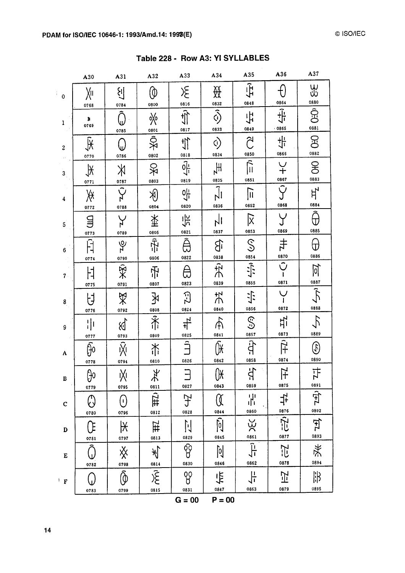|                  | A30                             | A31                                                        | A32                                                        | A33                                                                                      | A34                            | A35                             | A36                                     | A37                           |
|------------------|---------------------------------|------------------------------------------------------------|------------------------------------------------------------|------------------------------------------------------------------------------------------|--------------------------------|---------------------------------|-----------------------------------------|-------------------------------|
| $\mathbf 0$      | Xн<br>0768                      | 생<br>0784                                                  | 0800                                                       | $\mathcal{\Sigma}% _{G}^{X\left( t\right) }=\mathcal{E}_{G}^{X\left( t\right) }$<br>0816 | 斑<br>0832                      | $\overline{\mathbf{H}}$<br>0848 | 0864                                    | 35<br>Su<br>0880              |
| $\mathbf{1}$     | ж<br>0769                       | 0785                                                       | ☆<br>0801                                                  | $\hat{\mathbb{I}}$<br>0817                                                               | $\hat{\odot}$<br>0833          | 坾<br>0849                       | 小<br>$-0865$                            | Ŝ<br>0881                     |
| $\boldsymbol{2}$ | $\overline{\mathbb{R}}$<br>0770 | 0786                                                       | S<br>《<br>0802                                             | $\frac{1}{\sqrt{2}}$<br>0818                                                             | ৌ<br>0834                      | Ŝ<br>0850                       | 쀿<br>0866                               | $\mathbb{E}$<br>0882          |
| 3 <sub>l</sub>   | $\frac{1}{2}$                   | $\aleph$<br>0787                                           | S<br>次<br>0803                                             | $\frac{2}{\sqrt{1}}$<br>0819                                                             | $H_{\mathsf{A}}$<br>0835       | $\hat{\mathbb{D}}$<br>0851      | $\frac{1}{1}$<br>0867                   | $\mathfrak{B}$<br>0883        |
| 4                | 0771<br>∦                       | $\tilde{C}$                                                | $\bigcirc \hspace{-0.75mm}\delta$                          | $\frac{1}{2}$<br>0820                                                                    | $\overline{\hat{J}}$ l<br>0836 | $\overline{\mathbb{I}}$<br>0852 | $\hat{S}$<br>0868                       | $H^{\prime}$<br>0884          |
| 5                | 0772<br>딐                       | 0788                                                       | 0804<br>举                                                  | 六                                                                                        | 0837                           | $\overline{\mathsf{x}}$<br>0853 | 0869                                    | ℿ<br>0885                     |
| $\boldsymbol{6}$ | 0773<br>Ĥ                       | 0789<br>ЪÁ                                                 | 0805<br>示                                                  | 0821<br>ê<br>0822                                                                        | ျ<br>0838                      | $\mathbb{S}$<br>0854            | $\pm$<br>0870                           | ₩<br>0886                     |
| $7 -$            | 0774<br>け                       | 0790<br>$\rtimes$                                          | 0806<br>吊                                                  | Ê<br>0823                                                                                | 穴<br>0839                      | 0855                            | $\overline{\tilde{\mathbf{C}}}$<br>0871 | <u>lol</u><br>0887            |
| 8                | 0775<br>ゖ                       | 0791<br>$\mathbb{X}$                                       | 0807<br>氺                                                  | $\Xi$                                                                                    | 戈<br>0840                      | 小<br>0856                       | 0872                                    | $\tilde{R}$<br>0888           |
| 9                | 0776<br>  <br>                  | 0792<br>$\mathbb{Z}$                                       | 0808<br>禾                                                  | 0824<br><u>א</u><br>치                                                                    | ጡ                              | <u>ු</u><br>0857                | 빇<br>0873                               | 0889                          |
| A                | 0777<br>မြဲ                     | 0793<br>$\overline{\tilde{\mathsf{X}}}%{\mathsf{X}}$       | 0809<br>浠                                                  | 0825<br>$\hat{=}$                                                                        | 0841<br>ÛX                     | Ĥ                               | $\overline{\tilde{H}^2}$                | Þ<br>0890                     |
| $\, {\bf B}$     | 0778<br>ပ္ပါ၀                   | 0794<br>Ņ                                                  | 0810<br>$\frac{1}{2}$                                      | 0826<br>$\Box$                                                                           | 0842<br>$\int \mathsf{R}$      | 0858<br>台<br>5                  | 0874<br>$\overline{H}$                  | 1H                            |
| $\mathbf C$      | 0779<br>ᠿ                       | 0795<br>$\left(\!\!\left\langle 0\right\rangle\!\!\right)$ | 0811<br>$\left  \frac{1}{1} \right $                       | 0827<br>Ŧ                                                                                | 0843<br>Œ                      | 0859<br>$\frac{1}{2}$           | 0875<br>놖                               | 0891<br>$\frac{1}{2}$<br>0892 |
| $\mathbf D$      | 0780<br>Œ                       | 0796<br>$\overline{\mathsf{R}}$                            | 0812<br>ĦZ                                                 | 0828<br>$\mathbb{N}$                                                                     | 0844<br>$\tilde{Q}$            | 0860                            | 0876<br>$\overline{\vec{r}}$            | Fr                            |
| $\bf E$          | 0781                            | 0797<br>x                                                  | 0813<br>$\overline{\mathscr{K}}$                           | 0829<br>$\overline{\mathbb{Q}}$                                                          | 0845<br>$\overline{q}$         | $rac{6861}{1-25}$               | 0877<br>ĒŹ                              | 0893<br>柒                     |
|                  | 0782<br>(,)                     | $\widehat{\textcircled{\scriptsize{0}}}$                   | 0814<br>$\overline{\widetilde{\mathcal{K}}}_{\text{onis}}$ | 0830<br>8                                                                                | 0846<br>卡                      | 0862<br>뉴                       | 0878<br>卫                               | 0894<br>邯                     |
|                  | 0783                            | 0799                                                       |                                                            | 0831<br>$G = 00$                                                                         | 0847<br>$P = 00$               | 0863                            | 0879                                    | 0895                          |

Table 228 - Row A3: YI SYLLABLES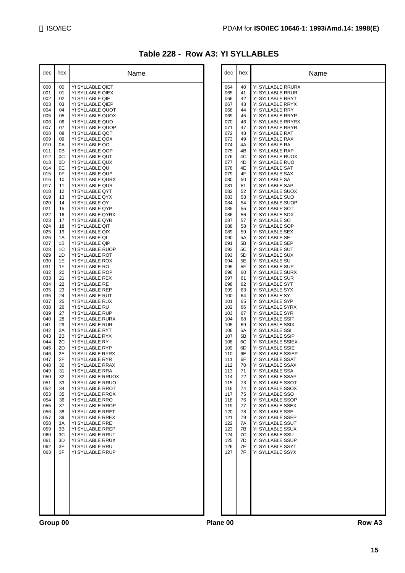### **Table 228 - Row A3: YI SYLLABLES**

| dec        | hex      | Name                                 |          | dec        | hex      | Name                                  |
|------------|----------|--------------------------------------|----------|------------|----------|---------------------------------------|
| 000        | 00       | YI SYLLABLE QIET                     |          | 064        | 40       | YI SYLLABLE RRURX                     |
| 001        | 01       | YI SYLLABLE QIEX                     |          | 065        | 41       | YI SYLLABLE RRUR                      |
| 002        | 02       | YI SYLLABLE QIE                      |          | 066        | 42       | YI SYLLABLE RRYT                      |
| 003        | 03       | YI SYLLABLE QIEP                     |          | 067        | 43       | YI SYLLABLE RRYX                      |
| 004<br>005 | 04<br>05 | YI SYLLABLE QUOT<br>YI SYLLABLE QUOX |          | 068<br>069 | 44<br>45 | YI SYLLABLE RRY<br>YI SYLLABLE RRYP   |
| 006        | 06       | YI SYLLABLE QUO                      |          | 070        | 46       | YI SYLLABLE RRYRX                     |
| 007        | 07       | YI SYLLABLE QUOP                     |          | 071        | 47       | YI SYLLABLE RRYR                      |
| 008        | 08       | YI SYLLABLE QOT                      |          | 072        | 48       | YI SYLLABLE RAT                       |
| 009<br>010 | 09<br>0A | YI SYLLABLE QOX<br>YI SYLLABLE QO    |          | 073<br>074 | 49<br>4A | YI SYLLABLE RAX<br>YI SYLLABLE RA     |
| 011        | 0B       | YI SYLLABLE QOP                      |          | 075        | 4B       | YI SYLLABLE RAP                       |
| 012        | 0C       | YI SYLLABLE QUT                      |          | 076        | 4C       | YI SYLLABLE RUOX                      |
| 013        | 0D       | YI SYLLABLE QUX                      |          | 077        | 4D       | YI SYLLABLE RUO                       |
| 014        | 0E       | YI SYLLABLE QU                       |          | 078        | 4E       | YI SYLLABLE SAT                       |
| 015<br>016 | 0F<br>10 | YI SYLLABLE QUP<br>YI SYLLABLE QURX  |          | 079<br>080 | 4F<br>50 | YI SYLLABLE SAX<br>YI SYLLABLE SA     |
| 017        | 11       | YI SYLLABLE QUR                      |          | 081        | 51       | YI SYLLABLE SAP                       |
| 018        | 12       | YI SYLLABLE QYT                      |          | 082        | 52       | YI SYLLABLE SUOX                      |
| 019        | 13       | YI SYLLABLE QYX                      |          | 083        | 53       | YI SYLLABLE SUO                       |
| 020        | 14       | YI SYLLABLE QY                       |          | 084        | 54       | YI SYLLABLE SUOP                      |
| 021<br>022 | 15<br>16 | YI SYLLABLE QYP<br>YI SYLLABLE QYRX  |          | 085<br>086 | 55<br>56 | YI SYLLABLE SOT<br>YI SYLLABLE SOX    |
| 023        | 17       | YI SYLLABLE QYR                      |          | 087        | 57       | YI SYLLABLE SO                        |
| 024        | 18       | YI SYLLABLE QIT                      |          | 088        | 58       | YI SYLLABLE SOP                       |
| 025        | 19       | YI SYLLABLE QIX                      |          | 089        | 59       | YI SYLLABLE SEX                       |
| 026        | 1A       | YI SYLLABLE QI                       |          | 090        | 5A       | YI SYLLABLE SE                        |
| 027<br>028 | 1B<br>1C | YI SYLLABLE QIP<br>YI SYLLABLE RUOP  |          | 091<br>092 | 5B<br>5C | YI SYLLABLE SEP<br>YI SYLLABLE SUT    |
| 029        | 1D       | YI SYLLABLE ROT                      |          | 093        | 5D       | YI SYLLABLE SUX                       |
| 030        | 1E       | YI SYLLABLE ROX                      |          | 094        | 5E       | YI SYLLABLE SU                        |
| 031        | 1F       | YI SYLLABLE RO                       |          | 095        | 5F       | YI SYLLABLE SUP                       |
| 032<br>033 | 20<br>21 | YI SYLLABLE ROP<br>YI SYLLABLE REX   |          | 096<br>097 | 60<br>61 | YI SYLLABLE SURX<br>YI SYLLABLE SUR   |
| 034        | 22       | YI SYLLABLE RE                       |          | 098        | 62       | YI SYLLABLE SYT                       |
| 035        | 23       | YI SYLLABLE REP                      |          | 099        | 63       | YI SYLLABLE SYX                       |
| 036        | 24       | YI SYLLABLE RUT                      |          | 100        | 64       | YI SYLLABLE SY                        |
| 037        | 25       | YI SYLLABLE RUX                      |          | 101        | 65       | YI SYLLABLE SYP                       |
| 038<br>039 | 26<br>27 | YI SYLLABLE RU<br>YI SYLLABLE RUP    |          | 102<br>103 | 66<br>67 | YI SYLLABLE SYRX<br>YI SYLLABLE SYR   |
| 040        | 28       | YI SYLLABLE RURX                     |          | 104        | 68       | YI SYLLABLE SSIT                      |
| 041        | 29       | YI SYLLABLE RUR                      |          | 105        | 69       | YI SYLLABLE SSIX                      |
| 042        | 2A       | YI SYLLABLE RYT                      |          | 106        | 6A       | YI SYLLABLE SSI                       |
| 043<br>044 | 2B<br>2C | YI SYLLABLE RYX<br>YI SYLLABLE RY    |          | 107<br>108 | 6B<br>6C | YI SYLLABLE SSIP<br>YI SYLLABLE SSIEX |
| 045        | 2D       | YI SYLLABLE RYP                      |          | 109        | 6D       | YI SYLLABLE SSIE                      |
| 046        | 2E       | YI SYLLABLE RYRX                     |          | 110        | 6E       | YI SYLLABLE SSIEP                     |
| 047        | 2F       | YI SYLLABLE RYR                      |          | 111        | 6F       | YI SYLLABLE SSAT                      |
| 048<br>049 | 30<br>31 | YI SYLLABLE RRAX<br>YI SYLLABLE RRA  |          | 112<br>113 | 70<br>71 | YI SYLLABLE SSAX<br>YI SYLLABLE SSA   |
| 050        | 32       | YI SYLLABLE RRUOX                    |          | 114        | 72       | YI SYLLABLE SSAP                      |
| 051        | 33       | YI SYLLABLE RRUO                     |          | 115        | 73       | YI SYLLABLE SSOT                      |
| 052        | 34       | YI SYLLABLE RROT                     |          | 116        | 74       | YI SYLLABLE SSOX                      |
| 053<br>054 | 35<br>36 | YI SYLLABLE RROX<br>YI SYLLABLE RRO  |          | 117<br>118 | 75<br>76 | YI SYLLABLE SSO<br>YI SYLLABLE SSOP   |
| 055        | 37       | YI SYLLABLE RROP                     |          | 119        | 77       | YI SYLLABLE SSEX                      |
| 056        | 38       | YI SYLLABLE RRET                     |          | 120        | 78       | YI SYLLABLE SSE                       |
| 057        | 39       | YI SYLLABLE RREX                     |          | 121        | 79       | YI SYLLABLE SSEP                      |
| 058        | 3A       | YI SYLLABLE RRE                      |          | 122        | 7A       | YI SYLLABLE SSUT                      |
| 059<br>060 | 3B<br>3C | YI SYLLABLE RREP<br>YI SYLLABLE RRUT |          | 123<br>124 | 7B<br>7C | YI SYLLABLE SSUX<br>YI SYLLABLE SSU   |
| 061        | 3D       | YI SYLLABLE RRUX                     |          | 125        | 7D       | YI SYLLABLE SSUP                      |
| 062        | 3E       | YI SYLLABLE RRU                      |          | 126        | 7E       | YI SYLLABLE SSYT                      |
| 063        | 3F       | YI SYLLABLE RRUP                     |          | 127        | 7F       | YI SYLLABLE SSYX                      |
|            |          |                                      |          |            |          |                                       |
|            |          |                                      |          |            |          |                                       |
|            |          |                                      |          |            |          |                                       |
|            |          |                                      |          |            |          |                                       |
|            |          |                                      |          |            |          |                                       |
|            |          |                                      |          |            |          |                                       |
|            |          |                                      |          |            |          |                                       |
|            |          |                                      |          |            |          |                                       |
| Group 00   |          |                                      | Plane 00 |            |          | Row A3                                |
|            |          |                                      |          |            |          |                                       |

| dec        | hex      | Name                                  |
|------------|----------|---------------------------------------|
| 064        | 40       | YI SYLLABLE RRURX                     |
| 065<br>066 | 41<br>42 | YI SYLLABLE RRUR<br>YI SYLLABLE RRYT  |
| 067        | 43       | YI SYLLABLE RRYX                      |
| 068        | 44       | YI SYLLABLE RRY                       |
| 069<br>070 | 45<br>46 | YI SYLLABLE RRYP<br>YI SYLLABLE RRYRX |
| 071        | 47       | YI SYLLABLE RRYR                      |
| 072        | 48       | YI SYLLABLE RAT                       |
| 073<br>074 | 49<br>4A | YI SYLLABLE RAX<br>YI SYLLABLE RA     |
| 075        | 4B       | YI SYLLABLE RAP                       |
| 076        | 4C       | YI SYLLABLE RUOX                      |
| 077<br>078 | 4D<br>4E | YI SYLLABLE RUO<br>YI SYLLABLE SAT    |
| 079        | 4F       | YI SYLLABLE SAX                       |
| 080<br>081 | 50<br>51 | YI SYLLABLE SA<br>YI SYLLABLE SAP     |
| 082        | 52       | YI SYLLABLE SUOX                      |
| 083        | 53       | YI SYLLABLE SUO                       |
| 084<br>085 | 54<br>55 | YI SYLLABLE SUOP<br>YI SYLLABLE SOT   |
| 086        | 56       | YI SYLLABLE SOX                       |
| 087<br>088 | 57<br>58 | YI SYLLABLE SO<br>YI SYLLABLE SOP     |
| 089        | 59       | YI SYLLABLE SEX                       |
| 090        | 5A       | YI SYLLABLE SE                        |
| 091<br>092 | 5В<br>5С | YI SYLLABLE SEP<br>YI SYLLABLE SUT    |
| 093        | 5D       | YI SYLLABLE SUX                       |
| 094<br>095 | 5Е<br>5F | YI SYLLABLE SU<br>YI SYLLABLE SUP     |
| 096        | 60       | YI SYLLABLE SURX                      |
| 097        | 61       | YI SYLLABLE SUR                       |
| 098<br>099 | 62<br>63 | YI SYLLABLE SYT<br>YI SYLLABLE SYX    |
| 100        | 64       | YI SYLLABLE SY                        |
| 101<br>102 | 65<br>66 | YI SYLLABLE SYP<br>YI SYLLABLE SYRX   |
| 103        | 67       | YI SYLLABLE SYR                       |
| 104        | 68<br>69 | YI SYLLABLE SSIT                      |
| 105<br>106 | 6A       | YI SYLLABLE SSIX<br>YI SYLLABLE SSI   |
| 107        | 6B       | YI SYLLABLE SSIP                      |
| 108<br>109 | 6C<br>6D | YI SYLLABLE SSIEX<br>YI SYLLABLE SSIE |
| 110        | 6E       | YI SYLLABLE SSIEP                     |
| 111<br>112 | 6F<br>70 | YI SYLLABLE SSAT<br>YI SYLLABLE SSAX  |
| 113        | 71       | YI SYLLABLE SSA                       |
| 114        | 72       | YI SYLLABLE SSAP                      |
| 115<br>116 | 73<br>74 | YI SYLLABLE SSOT<br>YI SYLLABLE SSOX  |
| 117        | 75       | YI SYLLABLE SSO                       |
| 118        | 76<br>77 | YI SYLLABLE SSOP<br>YI SYLLABLE SSEX  |
| 119<br>120 | 78       | YI SYLLABLE SSE                       |
| 121        | 79       | YI SYLLABLE SSEP                      |
| 122<br>123 | 7A<br>7В | YI SYLLABLE SSUT<br>YI SYLLABLE SSUX  |
| 124        | 7C       | YI SYLLABLE SSU                       |
| 125<br>126 | 7D<br>7E | YI SYLLABLE SSUP<br>YI SYLLABLE SSYT  |
| 127        | 7F       | YI SYLLABLE SSYX                      |
|            |          |                                       |
|            |          |                                       |
|            |          |                                       |
|            |          |                                       |
|            |          |                                       |
|            |          |                                       |
|            |          |                                       |
|            |          |                                       |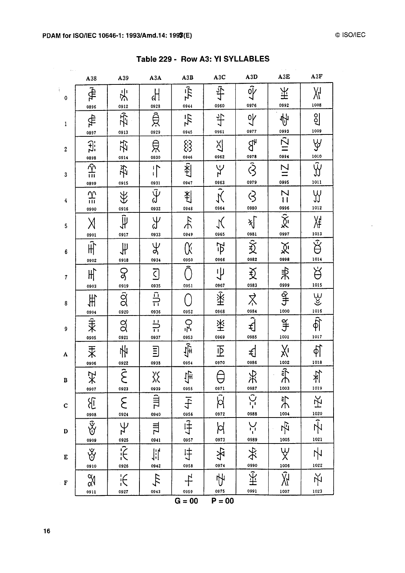$\mathcal{L}^{\pm}$ 

| $\mathbf{r} \neq \mathbf{r}$ | A38                                                                     | A39                                                         | A3A                             | A3B                                          | A3C                             | A3D                                 | A3E                               | A3F                                      |
|------------------------------|-------------------------------------------------------------------------|-------------------------------------------------------------|---------------------------------|----------------------------------------------|---------------------------------|-------------------------------------|-----------------------------------|------------------------------------------|
| $\pmb 0$                     | क्री<br>0896                                                            | 斗<br>0912                                                   | $\frac{1}{2}$<br>0928           | $\tilde{4}$<br>0944                          | 乎<br>0960                       | $\tilde{\Psi}$<br>0976              | 玉<br>0992                         | Ж<br>1008                                |
| 1                            | क्ी<br>0897                                                             | 吞<br>0913                                                   | 良<br>0929                       | $4\frac{1}{2}$<br>0945                       | 45<br>0961                      | $\sqrt{6}$<br>0977                  | Ą<br>0993                         | $\frac{1}{2}$<br>1009                    |
| $\boldsymbol{2}$             | Ĵ.<br>0898                                                              | 芟<br>0914                                                   | 皃<br>0930                       | $\S$<br>0946                                 | $\frac{25}{2}$<br>0962          | βł                                  | $\vert$<br>0994                   | Ψ                                        |
| 3                            | $\frac{\hat{\gamma}}{\ln}$<br>0899                                      | 孕<br>0915                                                   | $\prod_{i=1}^{n}$<br>0931       | $L \times 1$<br>0947                         | 0963                            | $\frac{0978}{\hat{\zeta}}$<br>0979  | $\overline{11}$<br>0995           | $\frac{1010}{\sqrt{1}}$<br>1011          |
| 4                            | $\frac{1}{111}$                                                         | ₩                                                           | $\tilde{\psi}$<br>0932          | 判<br>0948                                    | $\tilde{\aleph}$<br>0964        | $\varsigma$<br>0980                 | $\overline{1}$<br>0996            | Y<br>1012                                |
| 5                            | 0900<br>Χ                                                               | 0916<br>$\widetilde{\downarrow \hspace*{-0.1cm}\downarrow}$ | Y<br>J                          | $\frac{1}{2}$<br>0949                        | K<br>0965                       | 灯<br>0981                           | $\tilde{\chi}$<br>0997            | Жŧ<br>$\frac{1013}{2}$                   |
| 6                            | 0901<br>$\hat{H}$                                                       | 0917<br>$\frac{1}{2}$                                       | 0933<br>$\frac{\psi}{\lambda}$  | Œ                                            | $\vec{P}$<br>0966               | $\frac{1}{2}$                       | 义<br>0998                         | $\overline{\mathfrak{B}}$<br>1014        |
| $\boldsymbol{7}$             | 0902<br>$\sharp \hspace{-0.5mm} \uparrow$                               | 0918<br>Ş                                                   | 0934<br>$\overline{C}$          | 0950                                         | 屮                               | $\boldsymbol{\mathfrak{P}}$<br>0983 | 未                                 | Ř                                        |
| 8                            | 0903<br>丰                                                               | 0919<br>$\overline{\hat{g}}$                                | 0935<br>$\frac{1}{2}$           | 0951                                         | 0967<br>$\hat{\mathbb{X}}$      | ≵                                   | $rac{0999}{97}$                   | 1015                                     |
| 9                            | 0904<br>$\hat{\ddot{\ddot{\mathbf{X}}}}$                                | 0920<br>$\alpha$                                            | 0936<br>$\frac{11}{11}$         | 0952<br>مي<br>أ                              | 0968<br>茶                       | 0984<br>$\overline{\hat{A}}$        | 1000<br>$\frac{\alpha}{\beta}$    | Bilite                                   |
| A                            | 0905<br>汞                                                               | 0921<br>Ҹ                                                   | 0937<br>$\Xi$                   | 0953<br>गुंी⊦                                | 0969<br>$\overline{\mathbb{P}}$ | 0985<br>€                           | 1001<br>χί                        | 1017<br>$\bigcirc \!\!\! \varphi$        |
| B                            | 0906<br>$\star$                                                         | $\frac{0922}{\widehat{\mathbf{C}}}$<br>と                    | 0938<br>$\chi^2_{\rm h}$        | 0954<br>$\ddot{\vec{F}}$                     | 0970<br>$\Delta$                | 0986<br>头                           | 1002<br>$\tilde{\mathbf{r}}$<br>ሐ | 1018<br>体                                |
| $\mathbf C$                  | 0907<br>$\mathcal{E}$                                                   | 0923<br>$\epsilon$                                          | 0939<br>山                       | 0955<br>千                                    | 0971<br>Ŵ                       | 0987<br>$\overline{C}$              | 1003<br>訃                         | 1019<br>牙                                |
| D                            | 0908<br>$\overline{\tilde{\mathcal{X}}}% _{M_{1},M_{2}}^{\prime\prime}$ | 0924<br>Ψ                                                   | 0940<br>$\overline{\mathbb{H}}$ | 0956<br>$\overline{\overline{\overline{H}}}$ | 0972<br>þ                       | 0988<br>Ņ                           | 1004<br>占                         | 1020<br>$\overline{\tilde{\mathcal{W}}}$ |
| E                            | 0909<br>Ÿ                                                               | $\frac{0925}{1}$                                            | 0941                            | 0957<br>中                                    | 0973<br>夕                       | 0989<br>戈                           | 1005<br>Ψ                         | 1021<br>卟                                |
| $\cdot$ F                    | 0910<br>$\frac{\alpha}{\alpha}$                                         | 0926<br>$\frac{1}{2}$                                       | 0942<br>$\tau_{\mathcal{T}}$    | 0958<br>上                                    | 0974<br>屮                       | 0990<br>₩                           | 1006<br>Ŵ                         | 1022<br>火                                |
|                              | 0911                                                                    | 0927                                                        | 0943                            | 0959<br>$G = 00$                             | 0975<br>$P = 00$                | 0991                                | 1007                              | 1023                                     |

Table 229 - Row A3: YI SYLLABLES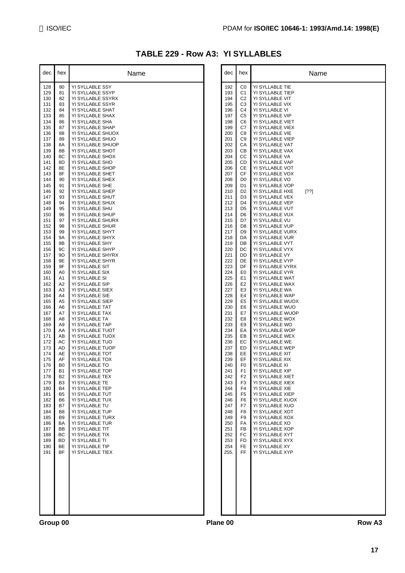#### **TABLE 229 - Row A3: YI SYLLABLES**

| dec        | hex                              | Name                                  |          | dec        | hex                              | Name                                |
|------------|----------------------------------|---------------------------------------|----------|------------|----------------------------------|-------------------------------------|
| 128        | 80                               | YI SYLLABLE SSY                       |          | 192        | C0                               | YI SYLLABLE TIE                     |
| 129        | 81                               | YI SYLLABLE SSYP                      |          | 193        | C <sub>1</sub>                   | YI SYLLABLE TIEP                    |
| 130        | 82                               | YI SYLLABLE SSYRX                     |          | 194        | C <sub>2</sub>                   | YI SYLLABLE VIT                     |
| 131<br>132 | 83<br>84                         | YI SYLLABLE SSYR<br>YI SYLLABLE SHAT  |          | 195<br>196 | C <sub>3</sub><br>C4             | YI SYLLABLE VIX<br>YI SYLLABLE VI   |
| 133        | 85                               | YI SYLLABLE SHAX                      |          | 197        | C <sub>5</sub>                   | YI SYLLABLE VIP                     |
| 134        | 86                               | YI SYLLABLE SHA                       |          | 198        | C <sub>6</sub>                   | YI SYLLABLE VIET                    |
| 135        | 87                               | YI SYLLABLE SHAP                      |          | 199        | C7                               | YI SYLLABLE VIEX                    |
| 136<br>137 | 88<br>89                         | YI SYLLABLE SHUOX<br>YI SYLLABLE SHUO |          | 200<br>201 | C8<br>C <sub>9</sub>             | YI SYLLABLE VIE<br>YI SYLLABLE VIEP |
| 138        | 8A                               | YI SYLLABLE SHUOP                     |          | 202        | CA                               | YI SYLLABLE VAT                     |
| 139        | 8Β                               | YI SYLLABLE SHOT                      |          | 203        | CВ                               | YI SYLLABLE VAX                     |
| 140        | 8C                               | YI SYLLABLE SHOX                      |          | 204        | CC                               | YI SYLLABLE VA                      |
| 141<br>142 | 8D<br>8E                         | YI SYLLABLE SHO                       |          | 205<br>206 | CD<br>СE                         | YI SYLLABLE VAP                     |
| 143        | 8F                               | YI SYLLABLE SHOP<br>YI SYLLABLE SHET  |          | 207        | СF                               | YI SYLLABLE VOT<br>YI SYLLABLE VOX  |
| 144        | 90                               | YI SYLLABLE SHEX                      |          | 208        | D <sub>0</sub>                   | YI SYLLABLE VO                      |
| 145        | 91                               | YI SYLLABLE SHE                       |          | 209        | D <sub>1</sub>                   | YI SYLLABLE VOP                     |
| 146        | 92                               | YI SYLLABLE SHEP                      |          | 210        | D <sub>2</sub>                   | YI SYLLABLE HXE<br>$[?\,?\]$        |
| 147<br>148 | 93<br>94                         | YI SYLLABLE SHUT<br>YI SYLLABLE SHUX  |          | 211<br>212 | D <sub>3</sub><br>D4             | YI SYLLABLE VEX<br>YI SYLLABLE VEP  |
| 149        | 95                               | YI SYLLABLE SHU                       |          | 213        | D <sub>5</sub>                   | YI SYLLABLE VUT                     |
| 150        | 96                               | YI SYLLABLE SHUP                      |          | 214        | D <sub>6</sub>                   | YI SYLLABLE VUX                     |
| 151        | 97                               | YI SYLLABLE SHURX                     |          | 215        | D7                               | YI SYLLABLE VU                      |
| 152        | 98                               | YI SYLLABLE SHUR                      |          | 216        | D8                               | YI SYLLABLE VUP                     |
| 153<br>154 | 99<br><b>9A</b>                  | YI SYLLABLE SHYT<br>YI SYLLABLE SHYX  |          | 217<br>218 | D <sub>9</sub><br>DA             | YI SYLLABLE VURX<br>YI SYLLABLE VUR |
| 155        | 9B                               | YI SYLLABLE SHY                       |          | 219        | DB                               | YI SYLLABLE VYT                     |
| 156        | 9C                               | YI SYLLABLE SHYP                      |          | 220        | DC                               | YI SYLLABLE VYX                     |
| 157        | 9D                               | YI SYLLABLE SHYRX                     |          | 221        | DD                               | YI SYLLABLE VY                      |
| 158<br>159 | 9E<br>9F                         | YI SYLLABLE SHYR<br>YI SYLLABLE SIT   |          | 222<br>223 | DE<br>DF                         | YI SYLLABLE VYP<br>YI SYLLABLE VYRX |
| 160        | A0                               | YI SYLLABLE SIX                       |          | 224        | E <sub>0</sub>                   | YI SYLLABLE VYR                     |
| 161        | A1                               | YI SYLLABLE SI                        |          | 225        | E <sub>1</sub>                   | YI SYLLABLE WAT                     |
| 162        | A2                               | YI SYLLABLE SIP                       |          | 226        | E <sub>2</sub>                   | YI SYLLABLE WAX                     |
| 163<br>164 | A <sub>3</sub><br>A4             | YI SYLLABLE SIEX<br>YI SYLLABLE SIE   |          | 227<br>228 | E <sub>3</sub><br>E4             | YI SYLLABLE WA<br>YI SYLLABLE WAP   |
| 165        | A5                               | YI SYLLABLE SIEP                      |          | 229        | E <sub>5</sub>                   | YI SYLLABLE WUOX                    |
| 166        | A6                               | YI SYLLABLE TAT                       |          | 230        | E <sub>6</sub>                   | YI SYLLABLE WUO                     |
| 167        | A7                               | YI SYLLABLE TAX                       |          | 231        | E7                               | YI SYLLABLE WUOP                    |
| 168<br>169 | A8<br>A9                         | YI SYLLABLE TA                        |          | 232<br>233 | E8<br>E9                         | YI SYLLABLE WOX                     |
| 170        | AA                               | YI SYLLABLE TAP<br>YI SYLLABLE TUOT   |          | 234        | EA                               | YI SYLLABLE WO<br>YI SYLLABLE WOP   |
| 171        | AB                               | YI SYLLABLE TUOX                      |          | 235        | EB                               | YI SYLLABLE WEX                     |
| 172        | AC                               | YI SYLLABLE TUO                       |          | 236        | EC                               | YI SYLLABLE WE                      |
| 173        | AD                               | YI SYLLABLE TUOP                      |          | 237        | ED                               | YI SYLLABLE WEP                     |
| 174<br>175 | AE<br>AF                         | YI SYLLABLE TOT<br>YI SYLLABLE TOX    |          | 238<br>239 | EE<br>EF                         | YI SYLLABLE XIT<br>YI SYLLABLE XIX  |
| 176        | B <sub>0</sub>                   | YI SYLLABLE TO                        |          | 240        | F <sub>0</sub>                   | YI SYLLABLE XI                      |
| 177        | B <sub>1</sub>                   | YI SYLLABLE TOP                       |          | 241        | F <sub>1</sub>                   | YI SYLLABLE XIP                     |
| 178        | <b>B2</b>                        | YI SYLLABLE TEX                       |          | 242        | F <sub>2</sub>                   | YI SYLLABLE XIET                    |
| 179<br>180 | B <sub>3</sub><br><b>B4</b>      | YI SYLLABLE TE<br>YI SYLLABLE TEP     |          | 243<br>244 | F <sub>3</sub><br>F <sub>4</sub> | YI SYLLABLE XIEX<br>YI SYLLABLE XIE |
| 181        | <b>B5</b>                        | YI SYLLABLE TUT                       |          | 245        | F <sub>5</sub>                   | YI SYLLABLE XIEP                    |
| 182        | B6                               | YI SYLLABLE TUX                       |          | 246        | F6                               | YI SYLLABLE XUOX                    |
| 183        | B7                               | YI SYLLABLE TU                        |          | 247        | F7                               | YI SYLLABLE XUO                     |
| 184<br>185 | B <sub>8</sub><br>B <sub>9</sub> | YI SYLLABLE TUP<br>YI SYLLABLE TURX   |          | 248<br>249 | F <sub>8</sub><br>F <sub>9</sub> | YI SYLLABLE XOT<br>YI SYLLABLE XOX  |
| 186        | BA                               | YI SYLLABLE TUR                       |          | 250        | FA                               | YI SYLLABLE XO                      |
| 187        | <b>BB</b>                        | YI SYLLABLE TIT                       |          | 251        | FB                               | YI SYLLABLE XOP                     |
| 188        | BС                               | YI SYLLABLE TIX                       |          | 252        | FC                               | YI SYLLABLE XYT                     |
| 189<br>190 | <b>BD</b><br><b>BE</b>           | YI SYLLABLE TI<br>YI SYLLABLE TIP     |          | 253<br>254 | FD<br>FE                         | YI SYLLABLE XYX<br>YI SYLLABLE XY   |
| 191        | BF                               | YI SYLLABLE TIEX                      |          | 255.       | <b>FF</b>                        | YI SYLLABLE XYP                     |
|            |                                  |                                       |          |            |                                  |                                     |
|            |                                  |                                       |          |            |                                  |                                     |
|            |                                  |                                       |          |            |                                  |                                     |
|            |                                  |                                       |          |            |                                  |                                     |
|            |                                  |                                       |          |            |                                  |                                     |
|            |                                  |                                       |          |            |                                  |                                     |
|            |                                  |                                       |          |            |                                  |                                     |
|            |                                  |                                       |          |            |                                  |                                     |
|            |                                  |                                       |          |            |                                  |                                     |
| Group 00   |                                  |                                       | Plane 00 |            |                                  | Row A3                              |

| dec                                                                                                                                                                                                                                                                                                                                                                                                                                                           | hex                                                                                                                                                                                                                                                                                                                                                                                                                                                                                     | Name                                                                                                                                                                                                                                                                                                                                                                                                                                                                                                                                                                                                                                                                                                                                                                                                                                                                                                                                                                                                                                                                                                                                                                                                                                                                  |
|---------------------------------------------------------------------------------------------------------------------------------------------------------------------------------------------------------------------------------------------------------------------------------------------------------------------------------------------------------------------------------------------------------------------------------------------------------------|-----------------------------------------------------------------------------------------------------------------------------------------------------------------------------------------------------------------------------------------------------------------------------------------------------------------------------------------------------------------------------------------------------------------------------------------------------------------------------------------|-----------------------------------------------------------------------------------------------------------------------------------------------------------------------------------------------------------------------------------------------------------------------------------------------------------------------------------------------------------------------------------------------------------------------------------------------------------------------------------------------------------------------------------------------------------------------------------------------------------------------------------------------------------------------------------------------------------------------------------------------------------------------------------------------------------------------------------------------------------------------------------------------------------------------------------------------------------------------------------------------------------------------------------------------------------------------------------------------------------------------------------------------------------------------------------------------------------------------------------------------------------------------|
| 192<br>193<br>194<br>195<br>196<br>197<br>198<br>199<br>200<br>201<br>202<br>203<br>204<br>205<br>206<br>207<br>208<br>209<br>210<br>211<br>212<br>213<br>214<br>215<br>216<br>217<br>218<br>219<br>220<br>221<br>222<br>223<br>224<br>225<br>226<br>227<br>228<br>229<br>230<br>231<br>232<br>233<br>234<br>235<br>236<br>237<br>238<br>239<br>240<br>241<br>242<br>243<br>244<br>245<br>246<br>247<br>248<br>249<br>250<br>251<br>252<br>253<br>254<br>255. | C0<br>C1<br>C2<br>CЗ<br>C4<br>C5<br>C6<br>C7<br>C8<br>C9<br>СA<br>CВ<br>CС<br>CD<br>CЕ<br>СF<br>D0<br>D1<br>D2<br>D3<br>D4<br>D5<br>D6<br>D7<br>D8<br>D9<br>DA<br>DB<br>DC<br>DD<br>DE<br>DF<br>E0<br>E1<br>E2<br>E3<br>E4<br>E5<br>E6<br>E7<br>E8<br>E9<br>ЕA<br>EВ<br>EС<br>ED<br>EЕ<br>EF<br>F0<br>F <sub>1</sub><br>F <sub>2</sub><br>F <sub>3</sub><br>F <sub>4</sub><br>F <sub>5</sub><br>F <sub>6</sub><br>F7<br>F <sub>8</sub><br>F9<br>FA<br><b>FB</b><br>FC<br>FD<br>FE<br>FF | YI SYLLABLE TIE<br>YI SYLLABLE TIEP<br>YI SYLLABLE VIT<br>YI SYLLABLE VIX<br>YI SYLLABLE VI<br>YI SYLLABLE VIP<br>YI SYLLABLE VIET<br>YI SYLLABLE VIEX<br>YI SYLLABLE VIE<br>YI SYLLABLE VIEP<br>YI SYLLABLE VAT<br>YI SYLLABLE VAX<br>YI SYLLABLE VA<br>YI SYLLABLE VAP<br>YI SYLLABLE VOT<br>YI SYLLABLE VOX<br>YI SYLLABLE VO<br>YI SYLLABLE VOP<br>YI SYLLABLE HXE<br>[??]<br>YI SYLLABLE VEX<br>YI SYLLABLE VEP<br>YI SYLLABLE VUT<br>YI SYLLABLE VUX<br>YI SYLLABLE VU<br>YI SYLLABLE VUP<br>YI SYLLABLE VURX<br>YI SYLLABLE VUR<br>YI SYLLABLE VYT<br>YI SYLLABLE VYX<br>YI SYLLABLE VY<br>YI SYLLABLE VYP<br>YI SYLLABLE VYRX<br>YI SYLLABLE VYR<br>YI SYLLABLE WAT<br>YI SYLLABLE WAX<br>YI SYLLABLE WA<br>YI SYLLABLE WAP<br>YI SYLLABLE WUOX<br>YI SYLLABLE WUO<br>YI SYLLABLE WUOP<br>YI SYLLABLE WOX<br>YI SYLLABLE WO<br>YI SYLLABLE WOP<br>YI SYLLABLE WEX<br>YI SYLLABLE WE<br>YI SYLLABLE WEP<br>YI SYLLABLE XIT<br>YI SYLLABLE XIX<br>YI SYLLABLE XI<br>YI SYLLABLE XIP<br>YI SYLLABLE XIET<br>YI SYLLABLE XIEX<br>YI SYLLABLE XIE<br>YI SYLLABLE XIEP<br>YI SYLLABLE XUOX<br>YI SYLLABLE XUO<br>YI SYLLABLE XOT<br>YI SYLLABLE XOX<br>YI SYLLABLE XO<br>YI SYLLABLE XOP<br>YI SYLLABLE XYT<br>YI SYLLABLE XYX<br>YI SYLLABLE XY<br>YI SYLLABLE XYP |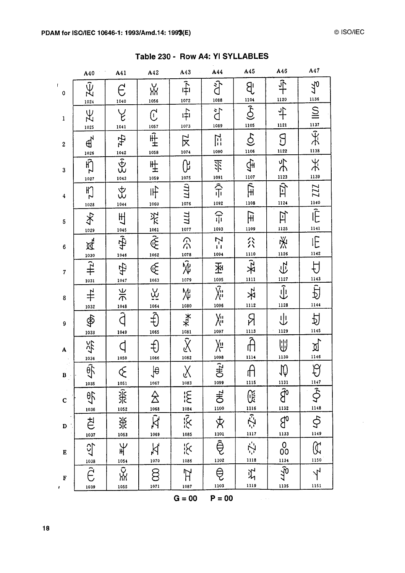|                   | A40                                                 | A41                                                                                                                                                                                                                                                                                                                                                                                                                                                                                                                    | A42                               | A43                                        | A44                                                | A45                                       | A46                                           | A47                            |
|-------------------|-----------------------------------------------------|------------------------------------------------------------------------------------------------------------------------------------------------------------------------------------------------------------------------------------------------------------------------------------------------------------------------------------------------------------------------------------------------------------------------------------------------------------------------------------------------------------------------|-----------------------------------|--------------------------------------------|----------------------------------------------------|-------------------------------------------|-----------------------------------------------|--------------------------------|
| $\mathbf{I}$<br>0 | Ŵ,<br>1024                                          | $\epsilon$<br>1040                                                                                                                                                                                                                                                                                                                                                                                                                                                                                                     | ӂ<br>1056                         | 中<br>1072                                  | ्<br>दी<br>1088                                    | $\mathcal{B}$                             | $\hat{+}$<br>1120                             | 770                            |
| $\mathbf 1$       | ЪŹ<br>1025                                          | と<br>1041                                                                                                                                                                                                                                                                                                                                                                                                                                                                                                              | $\overline{C}$<br>1057            | $\hat{H}$<br>1073                          | ă<br>1089                                          | $\frac{1104}{\text{O}}$<br>1105           | $\ddagger$<br>1121                            |                                |
| $\boldsymbol{2}$  | $\mathbb{d}$                                        | 44                                                                                                                                                                                                                                                                                                                                                                                                                                                                                                                     | $\overline{\mathbb{H}}$<br>1058   | $\overline{\mathbf{X}}$<br>1074            | $\overline{\Pi}$<br>1090                           | $\mathfrak{S}$<br>1106                    | $\overline{\mathcal{C}}$<br>1122              | $\frac{1137}{2}$<br>1138       |
| 3                 | 1026<br>$\vec{F}_2$                                 | $\begin{array}{c}\n1042 \\ \overline{+} \\ \overline{+} \\ \overline{+} \\ \overline{+} \\ \overline{+} \\ \overline{+} \\ \overline{+} \\ \overline{+} \\ \overline{+} \\ \overline{+} \\ \overline{+} \\ \overline{+} \\ \overline{+} \\ \overline{+} \\ \overline{+} \\ \overline{+} \\ \overline{+} \\ \overline{+} \\ \overline{+} \\ \overline{+} \\ \overline{+} \\ \overline{+} \\ \overline{+} \\ \overline{+} \\ \overline{+} \\ \overline{+} \\ \overline{+} \\ \overline{+} \\ \overline{+} \\ \overline{$ | 吐<br>生<br>1059                    | ᠙<br>1075                                  | 氺<br>1091                                          | $\bigoplus_{i=1}^n$<br>1107               | $\frac{4}{3}$<br>1123                         | 天<br>1139                      |
| 4                 | 1027<br>FZ                                          | 1043<br>。<br>次                                                                                                                                                                                                                                                                                                                                                                                                                                                                                                         | 吓<br>1060                         | ШЦ<br>1076                                 | 令<br>1092                                          | $\hat{\mathbb{H}}$<br>1108                | 可<br>1124                                     | III                            |
| 5                 | 1028<br>冬                                           | 1044<br>Щ                                                                                                                                                                                                                                                                                                                                                                                                                                                                                                              |                                   | ПП<br>1077                                 | 吊<br>1093                                          | $\overline{\mathbb{H}}$<br>1109           | 互<br>1125                                     | $\frac{1140}{\hat{F}}$<br>1141 |
| $\bf 6$           | 1029<br>运                                           | $rac{1045}{4}$                                                                                                                                                                                                                                                                                                                                                                                                                                                                                                         | $rac{1}{2}$<br>$rac{1}{2}$        | $\frac{1078}{2078}$                        | $\overline{N}$<br>Ĥ<br>1094                        | 公<br>1110                                 | 泾<br>1126                                     | IE<br>1142                     |
| $\overline{7}$    | $\overbrace{\text{+} \atop \text{+}}^{\text{1030}}$ | 1046<br>中<br>1047                                                                                                                                                                                                                                                                                                                                                                                                                                                                                                      | $\overline{\mathbb{R}}$           | 1079                                       | 函<br>1095                                          | $\overline{\mathcal{X}}$<br>$\frac{1}{1}$ | $\overline{\overline{C}}$                     | $\overline{\overline{U}}$      |
| 8                 | 1031                                                | $\Rightarrow$ K<br>1048                                                                                                                                                                                                                                                                                                                                                                                                                                                                                                | $\overline{\mathfrak{R}}$<br>1064 | ₩<br>1080                                  | $\overline{\widetilde{\chi_{\mathbf{u}}}}$<br>1096 | 玄<br>1112                                 | $\frac{1127}{\sqrt{\frac{1}{2}}$<br>1128      | $rac{1143}{5}$<br>1144         |
| 9                 | 1032<br>$\hat{\mathfrak{P}}$<br>1033                | Ĵ<br>1049                                                                                                                                                                                                                                                                                                                                                                                                                                                                                                              | $\hat{\ddagger}$<br>1065          | $\begin{matrix} 1081 \\ 1081 \end{matrix}$ | y.,<br>X"<br>1097                                  | Я<br>1113                                 | ⇓<br>1129                                     | 习<br>1145                      |
| A                 | 兴                                                   |                                                                                                                                                                                                                                                                                                                                                                                                                                                                                                                        | €<br>1066                         | $\sum_{1082}$                              | ⁄≝<br>1098                                         | ĥ<br>1114                                 | ⋓<br>1130                                     | <u>ম</u><br>1146               |
| $\mathbf{B}$      | 1034<br>$\frac{1}{2}$                               | 1050<br>╭<br>E                                                                                                                                                                                                                                                                                                                                                                                                                                                                                                         | $\frac{1}{\theta}$<br>1067        | $\lambda$<br>V<br>1083                     | $\frac{1}{2}$<br>1099                              | $\cap$<br>门<br>1115                       | $\sqrt{2}$<br><u>1131</u>                     | $\beta$<br>1147                |
| $\mathbf C$       | 1035<br>$\frac{1}{2}$<br>1036                       | 1051<br>$rac{2}{\pi}$<br>1052                                                                                                                                                                                                                                                                                                                                                                                                                                                                                          | $\overline{\mathbb{A}}$<br>1068   | ig<br>1084                                 | OH <sub>2</sub><br>1100                            | 暖                                         | $\widehat{d}^{\circ}$<br>1132                 | $\hat{\hat{\phi}}$<br>1148     |
| D                 | ざ                                                   | 兴<br>1053                                                                                                                                                                                                                                                                                                                                                                                                                                                                                                              | $ \mathbf{x} $<br>1069            | $\overline{\tilde{\mathcal{X}}}$<br>1085   | $\rm \not\! X$<br>1101                             | $\frac{1116}{25}$<br>1117                 | $\beta$<br>1133                               | $\Phi$<br>1149                 |
| E                 | 1037<br><u>()</u>                                   | $\frac{1}{2}$                                                                                                                                                                                                                                                                                                                                                                                                                                                                                                          | $\aleph$                          | ۲ <mark>ٌ</mark><br>1086                   | ą<br>1102                                          | Ź.<br>1118                                | $\begin{matrix} 0 \\ 00 \end{matrix}$<br>1134 | (K<br>1150                     |
| F                 | 1038                                                | 1054<br>ух<br>Ж                                                                                                                                                                                                                                                                                                                                                                                                                                                                                                        | 1070<br>8                         | ਸ                                          | ę<br>1103                                          | だ<br>1119                                 | $\tilde{\epsilon}_{\tau}$                     | $\lambda$                      |
| ŧ                 | 1039                                                | 1055                                                                                                                                                                                                                                                                                                                                                                                                                                                                                                                   | 1071                              | 1087<br>$G = 00$                           | $P = 00$                                           |                                           | 1135                                          | 1151                           |

Table 230 - Row A4: YI SYLLABLES

 $\hat{\mathcal{A}}$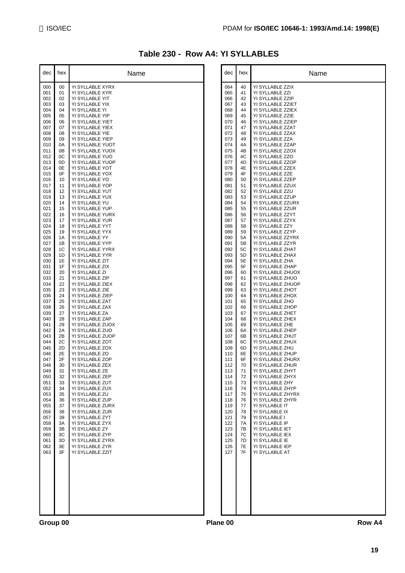### **Table 230 - Row A4: YI SYLLABLES**

| dec        | hex      | Name                                |          | dec        | hex      | Name                                  |
|------------|----------|-------------------------------------|----------|------------|----------|---------------------------------------|
| 000        | 00       | YI SYLLABLE XYRX                    |          | 064        | 40       | YI SYLLABLE ZZIX                      |
| 001        | 01       | YI SYLLABLE XYR                     |          | 065        | 41       | YI SYLLABLE ZZI                       |
| 002<br>003 | 02<br>03 | YI SYLLABLE YIT<br>YI SYLLABLE YIX  |          | 066<br>067 | 42<br>43 | YI SYLLABLE ZZIP<br>YI SYLLABLE ZZIET |
| 004        | 04       | YI SYLLABLE YI                      |          | 068        | 44       | YI SYLLABLE ZZIEX                     |
| 005        | 05       | YI SYLLABLE YIP                     |          | 069        | 45       | YI SYLLABLE ZZIE                      |
| 006        | 06       | YI SYLLABLE YIET                    |          | 070        | 46       | YI SYLLABLE ZZIEP                     |
| 007<br>008 | 07<br>08 | YI SYLLABLE YIEX<br>YI SYLLABLE YIE |          | 071<br>072 | 47<br>48 | YI SYLLABLE ZZAT<br>YI SYLLABLE ZZAX  |
| 009        | 09       | YI SYLLABLE YIEP                    |          | 073        | 49       | YI SYLLABLE ZZA                       |
| 010        | 0A       | YI SYLLABLE YUOT                    |          | 074        | 4A       | YI SYLLABLE ZZAP                      |
| 011<br>012 | 0B<br>0C | YI SYLLABLE YUOX                    |          | 075<br>076 | 4B<br>4C | YI SYLLABLE ZZOX                      |
| 013        | 0D       | YI SYLLABLE YUO<br>YI SYLLABLE YUOP |          | 077        | 4D       | YI SYLLABLE ZZO<br>YI SYLLABLE ZZOP   |
| 014        | 0E       | YI SYLLABLE YOT                     |          | 078        | 4E       | YI SYLLABLE ZZEX                      |
| 015        | 0F       | YI SYLLABLE YOX                     |          | 079        | 4F       | YI SYLLABLE ZZE                       |
| 016<br>017 | 10<br>11 | YI SYLLABLE YO<br>YI SYLLABLE YOP   |          | 080<br>081 | 50<br>51 | YI SYLLABLE ZZEP<br>YI SYLLABLE ZZUX  |
| 018        | 12       | YI SYLLABLE YUT                     |          | 082        | 52       | YI SYLLABLE ZZU                       |
| 019        | 13       | YI SYLLABLE YUX                     |          | 083        | 53       | YI SYLLABLE ZZUP                      |
| 020        | 14       | YI SYLLABLE YU                      |          | 084        | 54       | YI SYLLABLE ZZURX                     |
| 021<br>022 | 15<br>16 | YI SYLLABLE YUP<br>YI SYLLABLE YURX |          | 085<br>086 | 55<br>56 | YI SYLLABLE ZZUR<br>YI SYLLABLE ZZYT  |
| 023        | 17       | YI SYLLABLE YUR                     |          | 087        | 57       | YI SYLLABLE ZZYX                      |
| 024        | 18       | YI SYLLABLE YYT                     |          | 088        | 58       | YI SYLLABLE ZZY                       |
| 025        | 19       | YI SYLLABLE YYX                     |          | 089        | 59       | YI SYLLABLE ZZYP                      |
| 026<br>027 | 1A<br>1B | YI SYLLABLE YY<br>YI SYLLABLE YYP   |          | 090<br>091 | 5A<br>5B | YI SYLLABLE ZZYRX<br>YI SYLLABLE ZZYR |
| 028        | 1C       | YI SYLLABLE YYRX                    |          | 092        | 5C       | YI SYLLABLE ZHAT                      |
| 029        | 1D       | YI SYLLABLE YYR                     |          | 093        | 5D       | YI SYLLABLE ZHAX                      |
| 030        | 1E       | YI SYLLABLE ZIT                     |          | 094        | 5E       | YI SYLLABLE ZHA                       |
| 031<br>032 | 1F<br>20 | YI SYLLABLE ZIX<br>YI SYLLABLE ZI   |          | 095<br>096 | 5F<br>60 | YI SYLLABLE ZHAP<br>YI SYLLABLE ZHUOX |
| 033        | 21       | YI SYLLABLE ZIP                     |          | 097        | 61       | YI SYLLABLE ZHUO                      |
| 034        | 22       | YI SYLLABLE ZIEX                    |          | 098        | 62       | YI SYLLABLE ZHUOP                     |
| 035        | 23       | YI SYLLABLE ZIE                     |          | 099        | 63       | YI SYLLABLE ZHOT                      |
| 036<br>037 | 24<br>25 | YI SYLLABLE ZIEP<br>YI SYLLABLE ZAT |          | 100<br>101 | 64<br>65 | YI SYLLABLE ZHOX<br>YI SYLLABLE ZHO   |
| 038        | 26       | YI SYLLABLE ZAX                     |          | 102        | 66       | YI SYLLABLE ZHOP                      |
| 039        | 27       | YI SYLLABLE ZA                      |          | 103        | 67       | YI SYLLABLE ZHET                      |
| 040<br>041 | 28<br>29 | YI SYLLABLE ZAP<br>YI SYLLABLE ZUOX |          | 104<br>105 | 68<br>69 | YI SYLLABLE ZHEX<br>YI SYLLABLE ZHE   |
| 042        | 2A       | YI SYLLABLE ZUO                     |          | 106        | 6A       | YI SYLLABLE ZHEP                      |
| 043        | 2B       | YI SYLLABLE ZUOP                    |          | 107        | 6B       | YI SYLLABLE ZHUT                      |
| 044        | 2C       | YI SYLLABLE ZOT                     |          | 108        | 6C       | YI SYLLABLE ZHUX                      |
| 045<br>046 | 2D<br>2E | YI SYLLABLE ZOX<br>YI SYLLABLE ZO   |          | 109<br>110 | 6D<br>6E | YI SYLLABLE ZHU<br>YI SYLLABLE ZHUP   |
| 047        | 2F       | YI SYLLABLE ZOP                     |          | 111        | 6F       | YI SYLLABLE ZHURX                     |
| 048        | 30       | YI SYLLABLE ZEX                     |          | 112        | 70       | YI SYLLABLE ZHUR                      |
| 049<br>050 | 31<br>32 | YI SYLLABLE ZE<br>YI SYLLABLE ZEP   |          | 113<br>114 | 71<br>72 | YI SYI LABLE ZHYT<br>YI SYLLABLE ZHYX |
| 051        | 33       | YI SYLLABLE ZUT                     |          | 115        | 73       | YI SYLLABLE ZHY                       |
| 052        | 34       | YI SYLLABLE ZUX                     |          | 116        | 74       | YI SYLLABLE ZHYP                      |
| 053        | 35       | YI SYLLABLE ZU                      |          | 117        | 75       | YI SYLLABLE ZHYRX                     |
| 054<br>055 | 36<br>37 | YI SYLLABLE ZUP<br>YI SYLLABLE ZURX |          | 118<br>119 | 76<br>77 | YI SYLLABLE ZHYR<br>YI SYLLABLE IT    |
| 056        | 38       | YI SYLLABLE ZUR                     |          | 120        | 78       | YI SYLLABLE IX                        |
| 057        | 39       | YI SYLLABLE ZYT                     |          | 121        | 79       | YI SYLLABLE I                         |
| 058<br>059 | 3A<br>3B | YI SYLLABLE ZYX                     |          | 122<br>123 | 7A<br>7B | YI SYLLABLE IP                        |
| 060        | 3C       | YI SYLLABLE ZY<br>YI SYLLABLE ZYP   |          | 124        | 7C       | YI SYLLABLE IET<br>YI SYLLABLE IEX    |
| 061        | 3D       | YI SYLLABLE ZYRX                    |          | 125        | 7D       | YI SYLLABLE IE                        |
| 062        | 3E       | YI SYLLABLE ZYR                     |          | 126        | 7E       | YI SYLLABLE IEP                       |
| 063        | 3F       | YI SYLLABLE ZZIT                    |          | 127        | 7F       | YI SYLLABLE AT                        |
|            |          |                                     |          |            |          |                                       |
|            |          |                                     |          |            |          |                                       |
|            |          |                                     |          |            |          |                                       |
|            |          |                                     |          |            |          |                                       |
|            |          |                                     |          |            |          |                                       |
|            |          |                                     |          |            |          |                                       |
|            |          |                                     |          |            |          |                                       |
| Group 00   |          |                                     | Plane 00 |            |          | Row A4                                |
|            |          |                                     |          |            |          |                                       |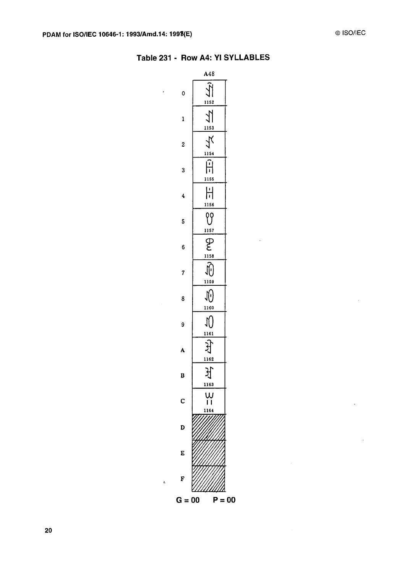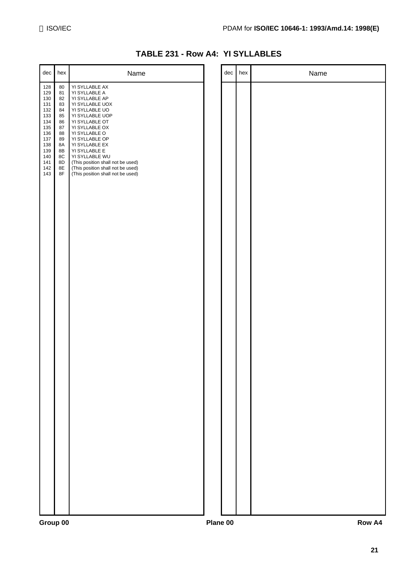|  |  | TABLE 231 - Row A4: YI SYLLABLES |
|--|--|----------------------------------|
|--|--|----------------------------------|

| dec                                                                                                          | hex                                                                                                     | Name                                                                                                                                                                                                                                                                                                                                                 | dec | hex | Name |
|--------------------------------------------------------------------------------------------------------------|---------------------------------------------------------------------------------------------------------|------------------------------------------------------------------------------------------------------------------------------------------------------------------------------------------------------------------------------------------------------------------------------------------------------------------------------------------------------|-----|-----|------|
| 128<br>129<br>130<br>131<br>132<br>133<br>134<br>135<br>136<br>137<br>138<br>139<br>140<br>141<br>142<br>143 | 80<br>81<br>82<br>83<br>84<br>85<br>86<br>87<br>88<br>89<br>8A<br>8B<br>8C<br>8D<br>8E<br>$8\mathsf{F}$ | YI SYLLABLE AX<br>YI SYLLABLE A<br>YI SYLLABLE AP<br>YI SYLLABLE UOX<br>YI SYLLABLE UO<br>YI SYLLABLE UOP<br>YI SYLLABLE OT<br>YI SYLLABLE OX<br>YI SYLLABLE O<br>YI SYLLABLE OP<br>YI SYLLABLE EX<br>YI SYLLABLE E<br>YI SYLLABLE WU<br>(This position shall not be used)<br>(This position shall not be used)<br>(This position shall not be used) |     |     |      |
|                                                                                                              |                                                                                                         |                                                                                                                                                                                                                                                                                                                                                      |     |     |      |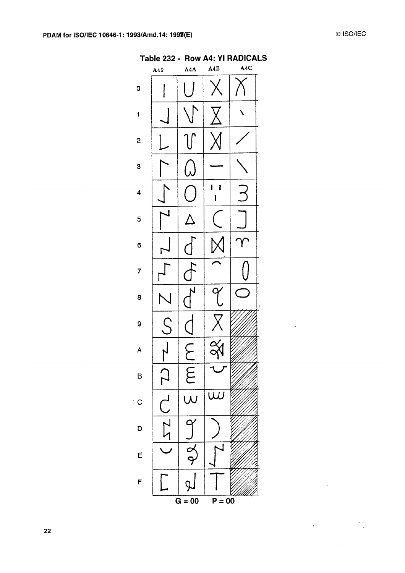| Table 232 - Row A4: YI RADICALS<br>A4C<br>A4B<br>A4A<br>A49 |        |                    |             |  |  |  |  |
|-------------------------------------------------------------|--------|--------------------|-------------|--|--|--|--|
| 0                                                           |        |                    |             |  |  |  |  |
| 1                                                           |        |                    |             |  |  |  |  |
| $\mathbf{z}$                                                |        |                    |             |  |  |  |  |
| 3                                                           |        |                    |             |  |  |  |  |
| 4                                                           |        |                    | ı<br>ı<br>ı |  |  |  |  |
| 5                                                           | 1      |                    |             |  |  |  |  |
| 6                                                           |        |                    |             |  |  |  |  |
| 7                                                           |        |                    |             |  |  |  |  |
| 8                                                           |        |                    |             |  |  |  |  |
| 9                                                           | ς      |                    |             |  |  |  |  |
| A                                                           |        |                    |             |  |  |  |  |
| B                                                           |        | $rac{C}{E}$        |             |  |  |  |  |
| C                                                           |        | $\frac{1}{\omega}$ |             |  |  |  |  |
| D                                                           | 22 C 2 |                    |             |  |  |  |  |
| E                                                           |        | $-\frac{1}{2}$     |             |  |  |  |  |
| F                                                           |        |                    |             |  |  |  |  |
|                                                             |        | $G = 00$           | $P = 00$    |  |  |  |  |

 $\mathbb{Z}^2$ 

 $\sim 10^7$ 

 $\mathcal{L}(\mathcal{L})$  and  $\mathcal{L}(\mathcal{L})$ 

 $\sim 10$ 

 $\frac{1}{\sqrt{2}}$ 

 $\sim 10^{-1}$ 

#### $22$